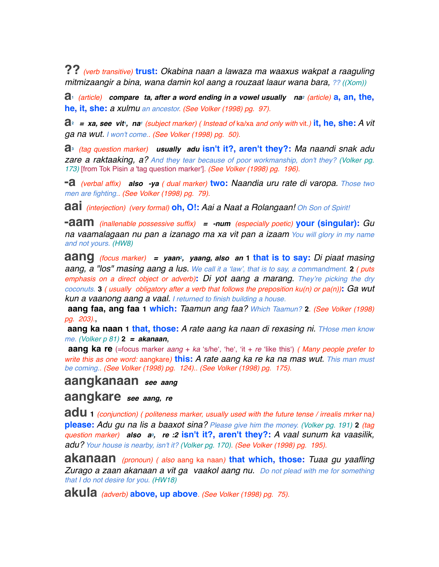**??** *(verb transitive)* **trust:** *Okabina naan a lawaza ma waaxus wakpat a raaguling mitmizaangir a bina, wana damin kol aang a rouzaat laaur wana bara, ?? ((Xom))*

**a1** *(article) compare ta, after a word ending in a vowel usually na2 (article)* **a, an, the, he, it, she:** *a xulmu an ancestor. (See Volker (1998) pg. 97).*

**a2** *= xa, see vit1, na1 (subject marker) ( Instead of* ka/xa *and only with* vit*.)* **it, he, she:** *A vit ga na wut. I won't come.. (See Volker (1998) pg. 50).*

**a3** *(tag question marker) usually adu* **isn't it?, aren't they?:** *Ma naandi snak adu zare a raktaaking, a? And they tear because of poor workmanship, don't they? (Volker pg. 173)* [from Tok Pisin *a* 'tag question marker']*. (See Volker (1998) pg. 196).*

**-a** *(verbal affix) also -ya ( dual marker)* **two:** *Naandia uru rate di varopa. Those two men are fighting.. (See Volker (1998) pg. 79).*

**aai** *(interjection) (very formal)* **oh, O!:** *Aai a Naat a Rolangaan! Oh Son of Spirit!*

**-aam** *(inallenable possessive suffix) = -num (especially poetic)* **your (singular):** *Gu na vaamalagaan nu pan a izanago ma xa vit pan a izaam You will glory in my name and not yours. (HW8)*

**aang** *(focus marker) = yaan2, yaang, also an* **1 that is to say:** *Di piaat masing aang, a "los" masing aang a lus. We call it a 'law', that is to say, a commandment.* **2** *( puts emphasis on a direct object or adverb)***:** *Di yot aang a marang. They're picking the dry coconuts.* **3** *( usually obligatory after a verb that follows the preposition ku(n) or pa(n))***:** *Ga wut kun a vaanong aang a vaal. I returned to finish building a house.*

 **aang faa, ang faa 1 which:** *Taamun ang faa? Which Taamun?* **2***. (See Volker (1998) pg. 203).*,

 **aang ka naan 1 that, those:** *A rate aang ka naan di rexasing ni. THose men know me. (Volker p 81)* **2** *= akanaan*,

 **aang ka re** (=focus marker *aang* + *ka* ʻs/heʻ, ʻheʻ, ʻit + *re* ʻlike thisʻ) *( Many people prefer to write this as one word:* aangkare*)* **this:** *A rate aang ka re ka na mas wut. This man must be coming.. (See Volker (1998) pg. 124).. (See Volker (1998) pg. 175).*

# **aangkanaan** *see aang*

## **aangkare** *see aang, re*

**adu <sup>1</sup>** *(conjunction) ( politeness marker, usually used with the future tense / irrealis mrker* na*)* **please:** *Adu gu na lis a baaxot sina? Please give him the money. (Volker pg. 191)* **2** *(tag question marker) also a3, re :2* **isn't it?, aren't they?:** *A vaal sunum ka vaasilik, adu? Your house is nearby, isn't it? (Volker pg. 170). (See Volker (1998) pg. 195).*

**akanaan** *(pronoun) ( also* aang ka naan*)* **that which, those:** *Tuaa gu yaafling Zurago a zaan akanaan a vit ga vaakol aang nu. Do not plead with me for something that I do not desire for you. (HW18)*

**akula** *(adverb)* **above, up above***. (See Volker (1998) pg. 75).*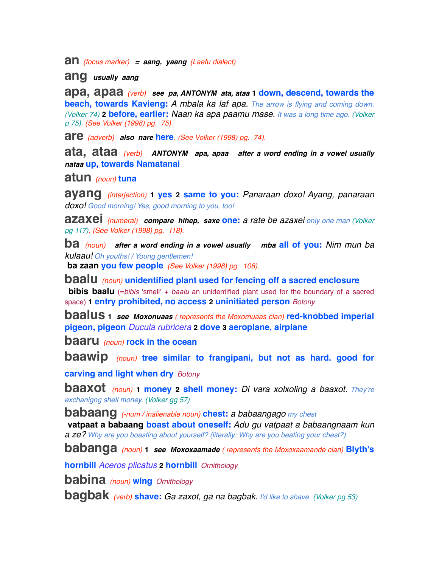**an** *(focus marker) = aang, yaang (Laefu dialect)*

**ang** *usually aang*

**apa, apaa** *(verb) see pa, ANTONYM ata, ataa* **1 down, descend, towards the beach, towards Kavieng:** *A mbala ka laf apa. The arrow is flying and coming down. (Volker 74)* **2 before, earlier:** *Naan ka apa paamu mase. It was a long time ago. (Volker p 75). (See Volker (1998) pg. 75).*

**are** *(adverb) also nare* **here***. (See Volker (1998) pg. 74).*

**ata, ataa** *(verb) ANTONYM apa, apaa after a word ending in a vowel usually nataa* **up, towards Namatanai**

**atun** *(noun)* **tuna**

**ayang** *(interjection)* **1 yes 2 same to you:** *Panaraan doxo! Ayang, panaraan doxo! Good morning! Yes, good morning to you, too!*

**azaxei** *(numeral) compare hihep, saxe* **one:** *a rate be azaxei only one man (Volker pg 117). (See Volker (1998) pg. 118).*

**ba** *(noun) after a word ending in a vowel usually mba* **all of you:** *Nim mun ba kulaau! Oh youths! / Young gentlemen!*

 **ba zaan you few people***. (See Volker (1998) pg. 106).*

**baalu** *(noun)* **unidentified plant used for fencing off a sacred enclosure bibis baalu** (=*bibis* 'smell' + *baalu* an unidentified plant used for the boundary of a sacred space) **1 entry prohibited, no access 2 uninitiated person** *Botony*

**baalus <sup>1</sup>** *see Moxonuaas ( represents the Moxomuaas clan)* **red-knobbed imperial pigeon, pigeon** *Ducula rubricera* **2 dove 3 aeroplane, airplane**

**baaru** *(noun)* **rock in the ocean**

**baawip** *(noun)* **tree similar to frangipani, but not as hard. good for** 

**carving and light when dry** *Botony*

**baaxot** *(noun)* **1 money 2 shell money:** *Di vara xolxoling a baaxot. They're exchanigng shell money. (Volker gg 57)*

**babaang** *(-num / inalienable noun)* **chest:** *a babaangago my chest*  **vatpaat a babaang boast about oneself:** *Adu gu vatpaat a babaangnaam kun a ze? Why are you boasting about yourself? (literally: Why are you beating your chest?)*

**babanga** *(noun)* **<sup>1</sup>** *see Moxoxaamade ( represents the Moxoxaamande clan)* **Blyth's** 

**hornbill** *Aceros plicatus* **2 hornbill** *Ornithology*

**babina** *(noun)* **wing** *Ornithology*

**bagbak** *(verb)* **shave:** *Ga zaxot, ga na bagbak. I'd like to shave. (Volker pg 53)*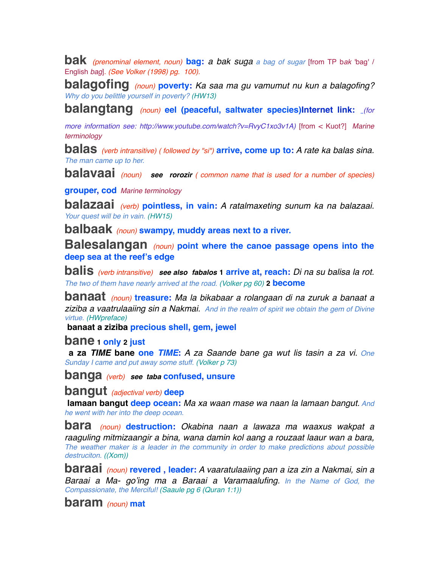**bak** *(prenominal element, noun)* **bag:** *a bak suga a bag of sugar* [from TP b*ak* 'bag' / English *bag*]*. (See Volker (1998) pg. 100).*

**balagofing** *(noun)* **poverty:** *Ka saa ma gu vamumut nu kun a balagofing? Why do you belittle yourself in poverty? (HW13)*

**balangtang** *(noun)* **eel (peaceful, saltwater species)Internet link:** *(for* 

*more information see: http://www.youtube.com/watch?v=RvyC1xo3v1A)* [from < Kuot?] *Marine terminology*

**balas** *(verb intransitive) ( followed by "si")* **arrive, come up to:** *A rate ka balas sina. The man came up to her.*

**balavaai** *(noun) see rorozir ( common name that is used for a number of species)*

**grouper, cod** *Marine terminology*

**balazaai** *(verb)* **pointless, in vain:** *A ratalmaxeting sunum ka na balazaai. Your quest will be in vain. (HW15)*

**balbaak** *(noun)* **swampy, muddy areas next to a river.**

**Balesalangan** *(noun)* **point where the canoe passage opens into the deep sea at the reef's edge**

**balis** *(verb intransitive) see also fabalos* **1 arrive at, reach:** *Di na su balisa la rot. The two of them have nearly arrived at the road. (Volker pg 60)* **2 become**

**banaat** *(noun)* **treasure:** *Ma la bikabaar a rolangaan di na zuruk a banaat a ziziba a vaatrulaaiing sin a Nakmai. And in the realm of spirit we obtain the gem of Divine virtue. (HWpreface)*

 **banaat a ziziba precious shell, gem, jewel**

**bane 1 only 2 just**

 **a za** *TIME* **bane one** *TIME***:** *A za Saande bane ga wut lis tasin a za vi. One Sunday I came and put away some stuff. (Volker p 73)*

**banga** *(verb) see taba* **confused, unsure**

**bangut** *(adjectival verb)* **deep**

 **lamaan bangut deep ocean:** *Ma xa waan mase wa naan la lamaan bangut. And he went with her into the deep ocean.*

**bara** *(noun)* **destruction:** *Okabina naan a lawaza ma waaxus wakpat a raaguling mitmizaangir a bina, wana damin kol aang a rouzaat laaur wan a bara, The weather maker is a leader in the community in order to make predictions about possible destruciton. ((Xom))*

**baraai** *(noun)* **revered , leader:** *A vaaratulaaiing pan a iza zin a Nakmai, sin a Baraai a Ma- go'ing ma a Baraai a Varamaalufing. In the Name of God, the Compassionate, the Merciful! (Saaule pg 6 (Quran 1:1))*

**baram** *(noun)* **mat**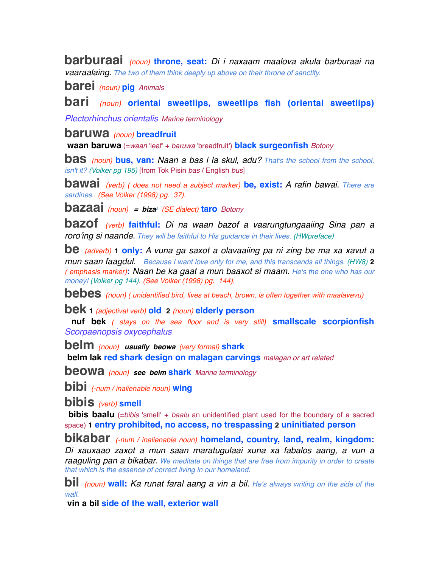**barburaai** *(noun)* **throne, seat:** *Di i naxaam maalova akula barburaai na vaaraalaing. The two of them think deeply up above on their throne of sanctity.*

**barei** *(noun)* **pig** *Animals* 

**bari** *(noun)* **oriental sweetlips, sweetlips fish (oriental sweetlips)**

*Plectorhinchus orientalis Marine terminology*

#### **baruwa** *(noun)* **breadfruit**

 **waan baruwa** (=*waan* 'leaf' + *baruwa* 'breadfruit') **black surgeonfish** *Botony*

**bas** *(noun)* **bus, van:** *Naan a bas i la skul, adu? That's the school from the school, isn't it? (Volker pg 195)* [from Tok Pisin *bas* / English *bus*]

**bawai** *(verb) ( does not need a subject marker)* **be, exist:** *A rafin bawai. There are sardines.. (See Volker (1998) pg. 37).*

**bazaai** *(noun) = biza2 (SE dialect)* **taro** *Botony*

**bazof** *(verb)* **faithful:** *Di na waan bazof a vaarungtungaaiing Sina pan a roro'ing si naande. They will be faithful to His guidance in their lives. (HWpreface)*

**be** *(adverb)* **1 only:** *A vuna ga saxot a olavaaiing pa ni zing be ma xa xavut a mun saan faagdul. Because I want love only for me, and this transcends all things. (HW8)* **2** *( emphasis marker)***:** *Naan be ka gaat a mun baaxot si maam. He's the one who has our money! (Volker pg 144). (See Volker (1998) pg. 144).*

**bebes** *(noun) ( unidentified bird, lives at beach, brown, is often together with maalavevu)*

**bek <sup>1</sup>** *(adjectival verb)* **old 2** *(noun)* **elderly person**

 **nuf bek** *( stays on the sea floor and is very still)* **smallscale scorpionfish** *Scorpaenopsis oxycephalus*

**belm** *(noun) usually beowa (very formal)* **shark belm lak red shark design on malagan carvings** *malagan or art related*

**beowa** *(noun) see belm* **shark** *Marine terminology*

**bibi** *(-num / inalienable noun)* **wing**

**bibis** *(verb)* **smell**

**bibis baalu** (=*bibis* 'smell' + *baalu* an unidentified plant used for the boundary of a sacred space) **1 entry prohibited, no access, no trespassing 2 uninitiated person**

**bikabar** *(-num / inalienable noun)* **homeland, country, land, realm, kingdom:** *Di xauxaao zaxot a mun saan maratugulaai xuna xa fabalos aang, a vun a raaguling pan a bikabar. We meditate on things that are free from impurity in order to create that which is the essence of correct living in our homeland.*

**bil** *(noun)* **wall:** *Ka runat faral aang a vin a bil. He*ʻ*s always writing on the side of the wall.*

 **vin a bil side of the wall, exterior wall**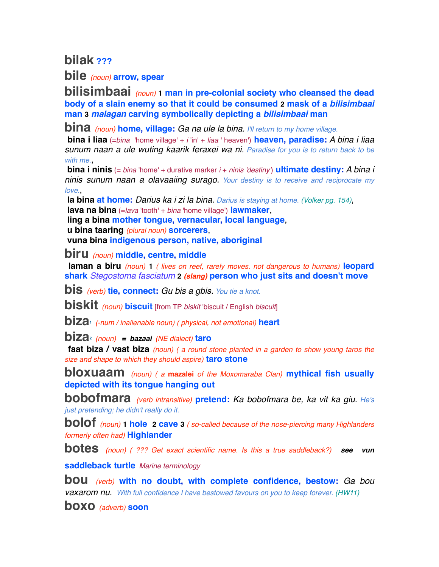**bilak ???**

**bile** *(noun)* **arrow, spear**

**bilisimbaai** *(noun)* **1 man in pre-colonial society who cleansed the dead body of a slain enemy so that it could be consumed 2 mask of a** *bilisimbaai* **man 3** *malagan* **carving symbolically depicting a** *bilisimbaai* **man**

**bina** *(noun)* **home, village:** *Ga na ule la bina. I'll return to my home village.*

 **bina i liaa** (=*bina* 'home village' + *i* 'in' + *liaa* ' heaven') **heaven, paradise:** *A bina i liaa sunum naan a ule wuting kaarik feraxei wa ni. Paradise for you is to return back to be*  with me.

 **bina i ninis** (= *bina* 'home' + durative marker *i* + *ninis 'destiny'*) **ultimate destiny:** *A bina i ninis sunum naan a olavaaiing surago. Your destiny is to receive and reciprocate my love.*,

 **la bina at home:** *Darius ka i zi la bina. Darius is staying at home. (Volker pg. 154)*,  **lava na bina** (=*lava* 'tooth' + *bina* 'home village') **lawmaker**,

 **ling a bina mother tongue, vernacular, local language**,

 **u bina taaring** *(plural noun)* **sorcerers**,

 **vuna bina indigenous person, native, aboriginal**

**biru** *(noun)* **middle, centre, middle** 

 **laman a biru** *(noun)* **1** *( lives on reef, rarely moves. not dangerous to humans)* **leopard shark** *Stegostoma fasciatum* **2** *(slang)* **person who just sits and doesn't move**

**bis** *(verb)* **tie, connect:** *Gu bis a gbis. You tie a knot.*

**biskit** *(noun)* **biscuit** [from TP *biskit* 'biscuit / English *biscuit*]

**biza1** *(-num / inalienable noun) ( physical, not emotional)* **heart**

**biza2** *(noun) = bazaai (NE dialect)* **taro**

 **faat biza / vaat biza** *(noun) ( a round stone planted in a garden to show young taros the size and shape to which they should aspire)* **taro stone**

**bloxuaam** *(noun) ( a* **mazalei** *of the Moxomaraba Clan)* **mythical fish usually depicted with its tongue hanging out**

**bobofmara** *(verb intransitive)* **pretend:** *Ka bobofmara be, ka vit ka giu. He's just pretending; he didn't really do it.*

**bolof** *(noun)* **1 hole 2 cave <sup>3</sup>** *( so-called because of the nose-piercing many Highlanders formerly often had)* **Highlander**

**botes** *(noun) ( ??? Get exact scientific name. Is this a true saddleback?) see vun*

**saddleback turtle** *Marine terminology*

**bou** *(verb)* **with no doubt, with complete confidence, bestow:** *Ga bou vaxarom nu. With full confidence I have bestowed favours on you to keep forever. (HW11)*

**boxo** *(adverb)* **soon**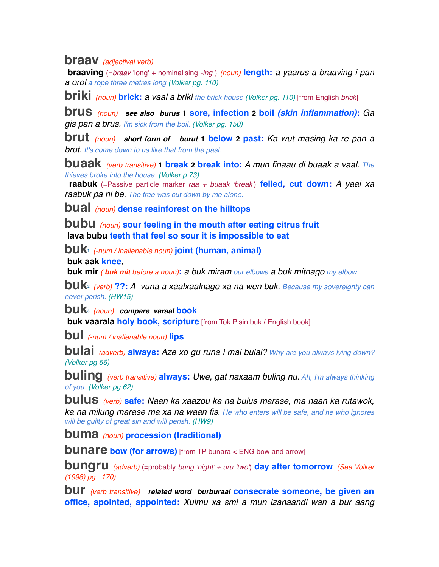### **braav** *(adjectival verb)*

 **braaving** (=*braav* 'long' + nominalising *-ing* ) *(noun)* **length:** *a yaarus a braaving i pan a orol a rope three metres long (Volker pg. 110)*

**briki** *(noun)* **brick:** *a vaal a briki the brick house (Volker pg. 110)* [from English *brick*]

**brus** *(noun) see also burus* **1 sore, infection 2 boil** *(skin inflammation)***:** *Ga gis pan a brus. I'm sick from the boil. (Volker pg. 150)*

**brut** *(noun) short form of burut* **1 below 2 past:** *Ka wut masing ka re pan a brut. It's come down to us like that from the past.*

**buaak** *(verb transitive)* **1 break 2 break into:** *A mun finaau di buaak a vaal. The thieves broke into the house. (Volker p 73)*

 **raabuk** (=Passive particle marker *raa + buaak 'break'*) **felled, cut down:** *A yaai xa raabuk pa ni be. The tree was cut down by me alone.*

**bual** *(noun)* **dense reainforest on the hilltops**

**bubu** *(noun)* **sour feeling in the mouth after eating citrus fruit lava bubu teeth that feel so sour it is impossible to eat**

**buk1** *(-num / inalienable noun)* **joint (human, animal)**

 **buk aak knee**,

 **buk mir** *( buk mit before a noun)***:** *a buk miram our elbows a buk mitnago my elbow*

**buk2** *(verb)* **??:** *A vuna a xaalxaalnago xa na wen buk. Because my sovereignty can never perish. (HW15)*

**buk3** *(noun) compare varaal* **book**

**buk vaarala holy book, scripture** [from Tok Pisin buk / English book]

**bul** *(-num / inalienable noun)* **lips**

**bulai** *(adverb)* **always:** *Aze xo gu runa i mal bulai? Why are you always lying down? (Volker pg 56)*

**buling** *(verb transitive)* **always:** *Uwe, gat naxaam buling nu. Ah, I'm always thinking of you. (Volker pg 62)*

**bulus** *(verb)* **safe:** *Naan ka xaazou ka na bulus marase, ma naan ka rutawok, ka na milung marase ma xa na waan fis. He who enters will be safe, and he who ignores will be guilty of great sin and will perish. (HW9)*

**buma** *(noun)* **procession (traditional)**

**bunare bow (for arrows)** [from TP bunara < ENG bow and arrow]

**bungru** *(adverb)* (=probably *bung 'night' + uru 'two'*) **day after tomorrow***. (See Volker (1998) pg. 170).*

**bur** *(verb transitive) related word burburaai* **consecrate someone, be given an office, apointed, appointed:** *Xulmu xa smi a mun izanaandi wan a bur aang*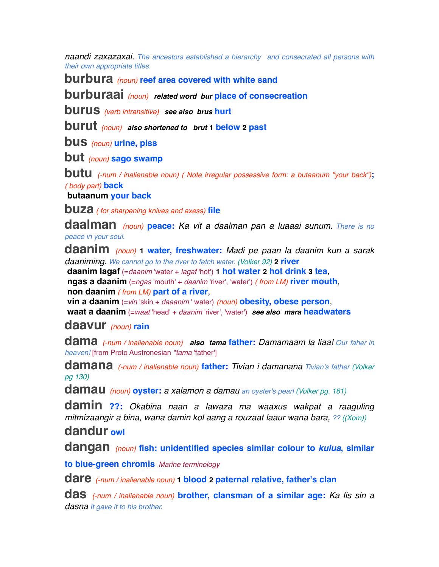*naandi zaxazaxai. The ancestors established a hierarchy and consecrated all persons with their own appropriate titles.*

**burbura** *(noun)* **reef area covered with white sand**

**burburaai** *(noun) related word bur* **place of consecreation**

**burus** *(verb intransitive) see also brus* **hurt**

**burut** *(noun) also shortened to brut* **1 below 2 past**

**bus** *(noun)* **urine, piss**

**but** *(noun)* **sago swamp**

**butu** *(-num / inalienable noun) ( Note irregular possessive form: a butaanum "your back")***;** *( body part)* **back**

 **butaanum your back**

**buza** *( for sharpening knives and axess)* **file**

**daalman** *(noun)* **peace:** *Ka vit a daalman pan a luaaai sunum. There is no peace in your soul.*

**daanim** *(noun)* **1 water, freshwater:** *Madi pe paan la daanim kun a sarak daaniming. We cannot go to the river to fetch water. (Volker 92)* **2 river**

 **daanim lagaf** (=*daanim* 'water + *lagaf* 'hot') **1 hot water 2 hot drink 3 tea**,  **ngas a daanim** (=*ngas* 'mouth' + *daanim* 'river', 'water') *( from LM)* **river mouth**,  **non daanim** *( from LM)* **part of a river**,

 **vin a daanim** (=*vin* 'skin + *daaanim* ' water) *(noun)* **obesity, obese person**,  **waat a daanim** (=*waat* 'head' + *daanim* 'river', 'water') *see also mara* **headwaters**

### **daavur** *(noun)* **rain**

**dama** *(-num / inalienable noun) also tama* **father:** *Damamaam la liaa! Our faher in heaven!* [from Proto Austronesian *\*tama* 'father']

**damana** *(-num / inalienable noun)* **father:** *Tivian i damanana Tivian's father (Volker pg 130)*

**damau** *(noun)* **oyster:** *a xalamon a damau an oyster's pearl (Volker pg. 161)*

**damin ??:** *Okabina naan a lawaza ma waaxus wakpat a raaguling mitmizaangir a bina, wana damin kol aang a rouzaat laaur wana bara, ?? ((Xom))*

# **dandur owl**

**dangan** *(noun)* **fish: unidentified species similar colour to** *kulua***, similar** 

**to blue-green chromis** *Marine terminology*

**dare** *(-num / inalienable noun)* **1 blood 2 paternal relative, father's clan**

**das** *(-num / inalienable noun)* **brother, clansman of a similar age:** *Ka lis sin a dasna It gave it to his brother.*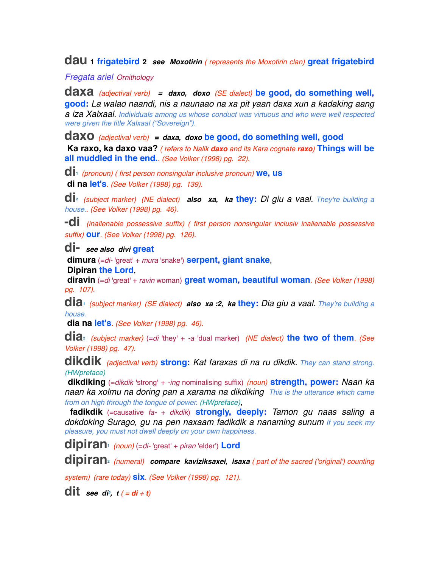**dau 1 frigatebird <sup>2</sup>** *see Moxotirin ( represents the Moxotirin clan)* **great frigatebird**

*Fregata ariel Ornithology*

**daxa** *(adjectival verb) = daxo, doxo (SE dialect)* **be good, do something well, good:** *La walao naandi, nis a naunaao na xa pit yaan daxa xun a kadaking aang a iza Xalxaal. Individuals among us whose conduct was virtuous and who were well respected were given the title Xalxaal ("Sovereign").*

**daxo** *(adjectival verb) = daxa, doxo* **be good, do something well, good Ka raxo, ka daxo vaa?** *( refers to Nalik daxo and its Kara cognate raxo)* **Things will be all muddled in the end.***. (See Volker (1998) pg. 22).*

**di1** *(pronoun) ( first person nonsingular inclusive pronoun)* **we, us di na let's***. (See Volker (1998) pg. 139).*

**di2** *(subject marker) (NE dialect) also xa, ka* **they:** *Di giu a vaal. They're building a house.. (See Volker (1998) pg. 46).*

**-di** *(inallenable possessive suffix) ( first person nonsingular inclusiv inalienable possessive suffix)* **our***. (See Volker (1998) pg. 126).*

**di-** *see also divi* **great**

 **dimura** (=*di-* 'great' + *mura* 'snake') **serpent, giant snake**,

 **Dipiran the Lord**,

 **diravin** (=*di* 'great' + *ravin* woman) **great woman, beautiful woman***. (See Volker (1998) pg. 107).*

**dia1** *(subject marker) (SE dialect) also xa :2, ka* **they:** *Dia giu a vaal. They're building a house.*

 **dia na let's***. (See Volker (1998) pg. 46).*

**dia2** *(subject marker)* (=*di* 'they' + *-a* 'dual marker) *(NE dialect)* **the two of them***. (See Volker (1998) pg. 47).*

**dikdik** *(adjectival verb)* **strong:** *Kat faraxas di na ru dikdik. They can stand strong. (HWpreface)*

 **dikdiking** (=*dikdik* 'strong' + *-ing* nominalising suffix) *(noun)* **strength, power:** *Naan ka naan ka xolmu na doring pan a xarama na dikdiking This is the utterance which came from on high through the tongue of power. (HWpreface)*,

 **fadikdik** (=causative *fa-* + *dikdik*) **strongly, deeply:** *Tamon gu naas saling a dokdoking Surago, gu na pen naxaam fadikdik a nanaming sunum If you seek my pleasure, you must not dwell deeply on your own happiness.*

**dipiran1** *(noun)* (=*di-* 'great' + *piran* 'elder') **Lord**

**dipiran2** *(numeral) compare kaviziksaxei, isaxa ( part of the sacred ('original') counting* 

*system) (rare today)* **six***. (See Volker (1998) pg. 121).*

**dit** see di<sup>2</sup>,  $t$  ( = di + t)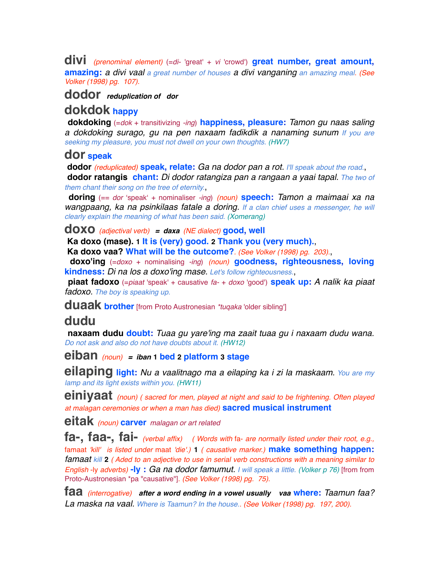**divi** *(prenominal element)* (=*di-* 'great' + *vi* 'crowd') **great number, great amount, amazing:** *a divi vaal a great number of houses a divi vanganing an amazing meal. (See Volker (1998) pg. 107).*

### **dodor** *reduplication of dor*

# **dokdok happy**

 **dokdoking** (=*dok* + transitivizing *-ing*) **happiness, pleasure:** *Tamon gu naas saling a dokdoking surago, gu na pen naxaam fadikdik a nanaming sunum If you are seeking my pleasure, you must not dwell on your own thoughts. (HW7)*

#### **dor speak**

 **dodor** *(reduplicated)* **speak, relate:** *Ga na dodor pan a rot. I'll speak about the road.*,  **dodor ratangis chant:** *Di dodor ratangiza pan a rangaan a yaai tapal. The two of* 

*them chant their song on the tree of eternity.*,

 **doring** (== *dor* ʻspeakʻ + nominaliser *-ing*) *(noun)* **speech:** *Tamon a maimaai xa na wangpaang, ka na psinkilaas fatale a doring. If a clan chief uses a messenger, he will clearly explain the meaning of what has been said. (Xomerang)*

#### **doxo** *(adjectival verb) = daxa (NE dialect)* **good, well**

 **Ka doxo (mase). 1 It is (very) good. 2 Thank you (very much).**,

 **Ka doxo vaa? What will be the outcome?***. (See Volker (1998) pg. 203).*,

 **doxo'ing** (=*doxo* + nominalising *-ing*) *(noun)* **goodness, righteousness, loving kindness:** *Di na los a doxo'ing mase. Let's follow righteousness.*,

 **piaat fadoxo** (=*piaat* 'speak' + causative *fa-* + *doxo* 'good') **speak up:** *A nalik ka piaat fadoxo. The boy is speaking up.*

**duaak brother** [from Proto Austronesian *\*tuqaka* 'older sibling']

# **dudu**

 **naxaam dudu doubt:** *Tuaa gu yare'ing ma zaait tuaa gu i naxaam dudu wana. Do not ask and also do not have doubts about it. (HW12)*

**eiban** *(noun) = iban* **1 bed 2 platform 3 stage**

**eilaping light:** *Nu a vaalitnago ma a eilaping ka i zi la maskaam. You are my lamp and its light exists within you. (HW11)*

**einiyaat** *(noun) ( sacred for men, played at night and said to be frightening. Often played at malagan ceremonies or when a man has died)* **sacred musical instrument**

**eitak** *(noun)* **carver** *malagan or art related*

**fa-, faa-, fai-** *(verbal affix) ( Words with* fa- *are normally listed under their root, e.g.,*  famaat *'kill' is listed under* maat *'die'.)* **1** *( causative marker.)* **make something happen:** *famaat kill* **2** *( Aded to an adjective to use in serial verb constructions with a meaning similar to English* -ly *adverbs)* **-ly :** *Ga na dodor famumut. I will speak a little. (Volker p 76)* [from from Proto-Austronesian \*pa "causative"]*. (See Volker (1998) pg. 75).*

**faa** *(interrogative) after a word ending in a vowel usually vaa* **where:** *Taamun faa? La maska na vaal. Where is Taamun? In the house.. (See Volker (1998) pg. 197, 200).*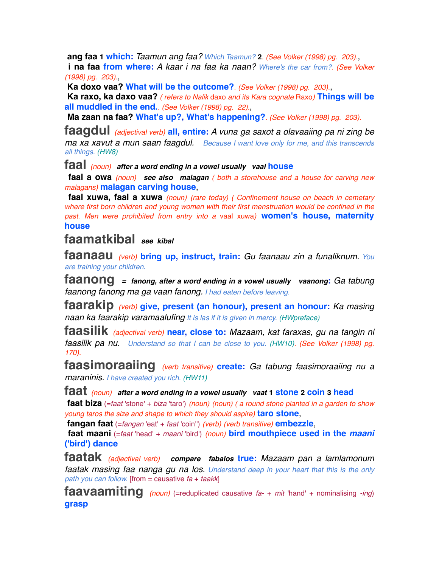**ang faa 1 which:** *Taamun ang faa? Which Taamun?* **2***. (See Volker (1998) pg. 203).*,

 **i na faa from where:** *A kaar i na faa ka naan? Where's the car from?. (See Volker (1998) pg. 203).*,

 **Ka doxo vaa? What will be the outcome?***. (See Volker (1998) pg. 203).*,

 **Ka raxo, ka daxo vaa?** *( refers to Nalik* daxo *and its Kara cognate* Raxo*)* **Things will be all muddled in the end.***. (See Volker (1998) pg. 22).*,

 **Ma zaan na faa? What's up?, What's happening?***. (See Volker (1998) pg. 203).*

**faagdul** *(adjectival verb)* **all, entire:** *A vuna ga saxot a olavaaiing pa ni zing be ma xa xavut a mun saan faagdul. Because I want love only for me, and this transcends all things. (HW8)*

**faal** *(noun) after a word ending in a vowel usually vaal* **house**

 **faal a owa** *(noun) see also malagan ( both a storehouse and a house for carving new malagans)* **malagan carving house**,

 **faal xuwa, faal a xuwa** *(noun) (rare today) ( Confinement house on beach in cemetary where first born children and young women with their first menstruation would be confined in the past. Men were prohibited from entry into a* vaal xuwa*)* **women's house, maternity house**

## **faamatkibal** *see kibal*

**faanaau** *(verb)* **bring up, instruct, train:** *Gu faanaau zin a funaliknum. You are training your children.*

**faanong** *= fanong, after a word ending in a vowel usually vaanong***:** *Ga tabung faanong fanong ma ga vaan fanong. I had eaten before leaving.* 

**faarakip** *(verb)* **give, present (an honour), present an honour:** *Ka masing naan ka faarakip varamaalufing It is las if it is given in mercy. (HWpreface)*

**faasilik** *(adjectival verb)* **near, close to:** *Mazaam, kat faraxas, gu na tangin ni faasilik pa nu. Understand so that I can be close to you. (HW10). (See Volker (1998) pg. 170).*

**faasimoraaiing** *(verb transitive)* **create:** *Ga tabung faasimoraaiing nu a maraninis. I have created you rich. (HW11)*

**faat** *(noun) after a word ending in a vowel usually vaat* **1 stone 2 coin 3 head**

 **faat biza** (=*faat* 'stone' + *biza* 'taro') *(noun) (noun) ( a round stone planted in a garden to show young taros the size and shape to which they should aspire)* **taro stone**,

 **fangan faat** (=*fangan* 'eat' + *faat* 'coin'') *(verb) (verb transitive)* **embezzle**,

 **faat maani** (=*faat* 'head' + *maani* 'bird') *(noun)* **bird mouthpiece used in the** *maani* **('bird') dance**

**faatak** *(adjectival verb) compare fabalos* **true:** *Mazaam pan a lamlamonum faatak masing faa nanga gu na los. Understand deep in your heart that this is the only path you can follow.* [from = causative *fa* + *taakk*]

**faavaamiting** *(noun)* (=reduplicated causative *fa-* + *mit* 'hand' + nominalising *-ing*) **grasp**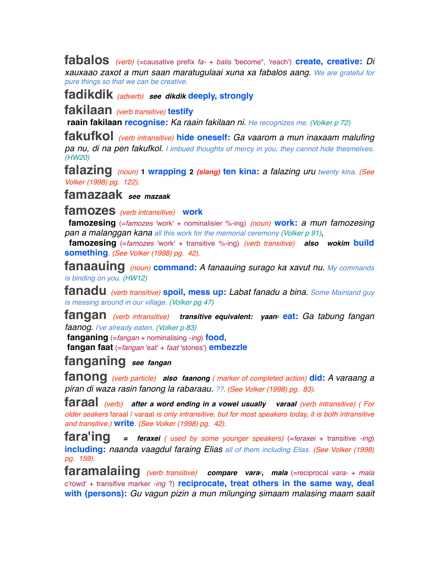**fabalos** *(verb)* (=causative prefix *fa-* + *balis* 'become", 'reach') **create, creative:** *Di xauxaao zaxot a mun saan maratugulaai xuna xa fabalos aang. We are grateful for pure things so that we can be creative.* 

**fadikdik** *(adverb) see dikdik* **deeply, strongly**

**fakilaan** *(verb transitive)* **testify**

 **raain fakilaan recognise:** *Ka raain fakilaan ni. He recognizes me. (Volker p 72)*

**fakufkol** *(verb intransitive)* **hide oneself:** *Ga vaarom a mun inaxaam malufing pa nu, di na pen fakufkol. I imbued thoughts of mercy in you, they cannot hide thesmelves. (HW20)*

**falazing** *(noun)* **1 wrapping <sup>2</sup>** *(slang)* **ten kina:** *a falazing uru twenty kina. (See Volker (1998) pg. 122).*

**famazaak** *see mazaak*

**famozes** *(verb intransitive)* **work**

 **famozesing** (=*famozes* 'work' + nominalisier %-ing) *(noun)* **work:** *a mun famozesing pan a malanggan kana all this work for the memorial ceremony (Volker p 91)*,

 **famozesing** (=*famozes* 'work' + transitive %-ing) *(verb transitive) also wokim* **build something***. (See Volker (1998) pg. 42).*

**fanaauing** *(noun)* **command:** *A fanaauing surago ka xavut nu. My commands is binding on you. (HW12)*

**fanadu** *(verb transitive)* **spoil, mess up:** *Labat fanadu a bina. Some Mainland guy is messing around in our village. (Volker pg 47)*

**fangan** *(verb intransitive) transitive equivalent: yaan<sup>2</sup> eat: Ga tabung fangan faanog. I've already eaten. (Volker p 83)*

 **fanganing** (=*fangan* + nominalising -*ing*) **food**,

 **fangan faat** (=*fangan* 'eat' + *faat* 'stones') **embezzle**

**fanganing** *see fangan*

**fanong** *(verb particle) also faanong ( marker of completed action)* **did:** *A varaang a piran di waza rasin fanong la rabaraau. ??. (See Volker (1998) pg. 83).*

**faraal** *(verb) after a word ending in a vowel usually varaal (verb intransitive) ( For older seakers* faraal / varaal *is only intransitive, but for most speakers today, it is both intransitive and transitive.)* **write***. (See Volker (1998) pg. 42).*

**fara'ing** *= feraxei ( used by some younger speakers)* (=*feraxei* + transitive *-ing*) **including:** *naanda vaagdul faraing Elias all of them including Elias. (See Volker (1998) pg. 159).*

**faramalaiing** *(verb transitive) compare vara2, mala* (=reciprocal *vara-* + *mala* c'rowd' + transifive marker *-ing* ?) **reciprocate, treat others in the same way, deal with (persons):** *Gu vagun pizin a mun milunging simaam malasing maam saait*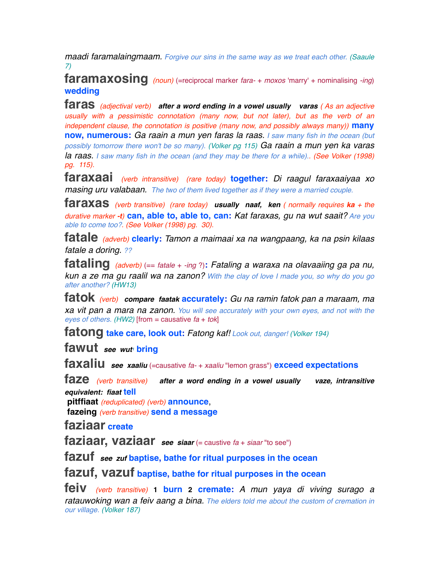*maadi faramalaingmaam. Forgive our sins in the same way as we treat each other. (Saaule 7)*

**faramaxosing** *(noun)* (=reciprocal marker *fara-* + *moxos* 'marry' + nominalising *-ing*) **wedding**

**faras** *(adjectival verb) after a word ending in a vowel usually varas ( As an adjective usually with a pessimistic connotation (many now, but not later), but as the verb of an independent clause, the connotation is positive (many now, and possibly always many))* **many now, numerous:** *Ga raain a mun yen faras la raas. I saw many fish in the ocean (but possibly tomorrow there won't be so many). (Volker pg 115) Ga raain a mun yen ka varas*  **la raas.** I saw many fish in the ocean (and they may be there for a while).. (See Volker (1998) *pg. 115).*

**faraxaai** *(verb intransitive) (rare today)* **together:** *Di raagul faraxaaiyaa xo masing uru valabaan. The two of them lived together as if they were a married couple.*

**faraxas** *(verb transitive) (rare today) usually naaf, ken ( normally requires ka + the durative marker -t)* **can, able to, able to, can:** *Kat faraxas, gu na wut saait? Are you able to come too?. (See Volker (1998) pg. 30).*

**fatale** *(adverb)* **clearly:** *Tamon a maimaai xa na wangpaang, ka na psin kilaas fatale a doring. ??*

**fataling** *(adverb)* (== *fatale* + *-ing* ?)**:** *Fataling a waraxa na olavaaiing ga pa nu, kun a ze ma gu raalil wa na zanon? With the clay of love I made you, so why do you go after another? (HW13)*

**fatok** *(verb) compare faatak* **accurately:** *Gu na ramin fatok pan a maraam, ma xa vit pan a mara na zanon. You will see accurately with your own eyes, and not with the eyes of others. (HW2)* [from = causative *fa* + *tok*]

**fatong take care, look out:** *Fatong kaf! Look out, danger! (Volker 194)*

**fawut** see wut **bring** 

**faxaliu** *see xaaliu* (=causative *fa-* + *xaaliu* "lemon grass") **exceed expectations**

**faze** *(verb transitive) after a word ending in a vowel usually vaze, intransitive equivalent: fiaat* **tell**

 **pitffiaat** *(reduplicated) (verb)* **announce**,  **fazeing** *(verb transitive)* **send a message**

**faziaar create**

**faziaar, vaziaar** *see siaar* (= caustive *fa* + *siaar* "to see")

**fazuf** *see zuf* **baptise, bathe for ritual purposes in the ocean**

**fazuf, vazuf baptise, bathe for ritual purposes in the ocean**

**feiv** *(verb transitive)* **1 burn 2 cremate:** *A mun yaya di viving surago a ratauwoking wan a feiv aang a bina. The elders told me about the custom of cremation in our village. (Volker 187)*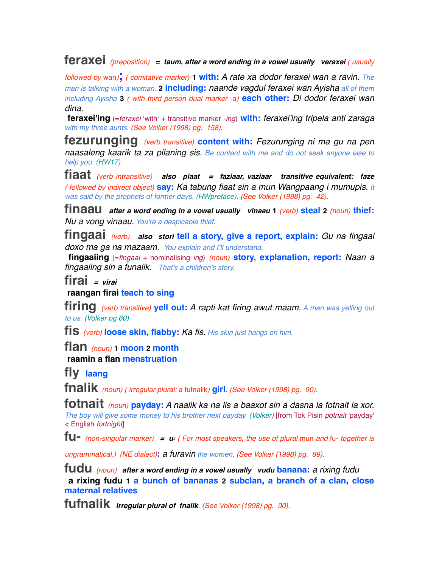# **feraxei** *(preposition) = taum, after a word ending in a vowel usually veraxei ( usually*

*followed by* wan*)***;** *( comitative marker)* **1 with:** *A rate xa dodor feraxei wan a ravin. The man is talking with a woman.* **2 including:** *naande vagdul feraxei wan Ayisha all of them including Ayisha* **3** *( with third person dual marker* -a*)* **each other:** *Di dodor feraxei wan dina.*

 **feraxei'ing** (=*feraxei* ʻwithʻ + transitive marker *-ing*) **with:** *feraxei'ing tripela anti zaraga with my three aunts. (See Volker (1998) pg. 158).*

**fezurunging** *(verb transitive)* **content with:** *Fezurunging ni ma gu na pen naasaleng kaarik ta za pilaning sis. Be content with me and do not seek anyone else to help you. (HW17)*

**fiaat** *(verb intransitive) also piaat = faziaar, vaziaar transitive equivalent: faze ( followed by indirect object)* **say:** *Ka tabung fiaat sin a mun Wangpaang i mumupis. It was said by the prophets of former days. (HWpreface). (See Volker (1998) pg. 42).*

**finaau** *after a word ending in a vowel usually vinaau* **<sup>1</sup>** *(verb)* **steal <sup>2</sup>** *(noun)* **thief:** *Nu a vong vinaau. You're a despicable thief.*

**fingaai** *(verb) also stori* **tell a story, give a report, explain:** *Gu na fingaai doxo ma ga na mazaam. You explain and I'll understand.* 

 **fingaaiing** (=*fingaai* + nominalising *ing*) *(noun)* **story, explanation, report:** *Naan a fingaaiing sin a funalik. That's a children's story.*

**firai** *= virai*

 **raangan firai teach to sing**

**firing** *(verb transitive)* **yell out:** *A rapti kat firing awut maam. A man was yelling out to us. (Volker pg 60)*

**fis** *(verb)* **loose skin, flabby:** *Ka fis. His skin just hangs on him.*

**flan** *(noun)* **1 moon 2 month raamin a flan menstruation**

**fly laang**

**fnalik** *(noun) ( irregular plural:* a fufnalik*)* **girl***. (See Volker (1998) pg. 90).*

**fotnait** *(noun)* **payday:** *A naalik ka na lis a baaxot sin a dasna la fotnait la xor. The boy will give some money to his brother next payday. (Volker)* [from Tok Pisin *potnait* 'payday' < English *fortnight*]

**fu-** *(non-singular marker) = u2 ( For most speakers, the use of plural* mun *and* fu- *together is* 

*ungrammatical.) (NE dialect)***:** *a furavin the women. (See Volker (1998) pg. 89).*

**fudu** *(noun) after a word ending in a vowel usually vudu* **banana:** *a rixing fudu*  **a rixing fudu 1 a bunch of bananas 2 subclan, a branch of a clan, close maternal relatives**

**fufnalik** *irregular plural of fnalik. (See Volker (1998) pg. 90).*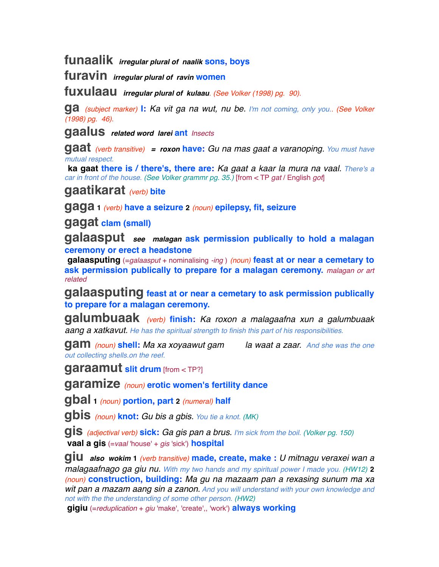**funaalik** *irregular plural of naalik* **sons, boys**

**furavin** *irregular plural of ravin* **women**

**fuxulaau** *irregular plural of kulaau. (See Volker (1998) pg. 90).*

**ga** *(subject marker)* **I:** *Ka vit ga na wut, nu be. I'm not coming, only you.. (See Volker (1998) pg. 46).*

**gaalus** *related word larei* **ant** *Insects*

**gaat** *(verb transitive) = roxon* **have:** *Gu na mas gaat a varanoping. You must have mutual respect.*

 **ka gaat there is / there's, there are:** *Ka gaat a kaar la mura na vaal. There's a car in front of the house. (See Volker grammr pg. 35.)* [from < TP *gat* / English *got*]

# **gaatikarat** *(verb)* **bite**

**gaga <sup>1</sup>** *(verb)* **have a seizure <sup>2</sup>** *(noun)* **epilepsy, fit, seizure**

**gagat clam (small)**

**galaasput** *see malagan* **ask permission publically to hold a malagan ceremony or erect a headstone**

 **galaasputing** (=*galaasput* + nominalising *-ing* ) *(noun)* **feast at or near a cemetary to ask permission publically to prepare for a malagan ceremony.** *malagan or art related*

**galaasputing feast at or near a cemetary to ask permission publically to prepare for a malagan ceremony.**

**galumbuaak** *(verb)* **finish:** *Ka roxon a malagaafna xun a galumbuaak aang a xatkavut. He has the spiritual strength to finish this part of his responsibilities.*

**gam** *(noun)* **shell:** *Ma xa xoyaawut gam la waat a zaar. And she was the one out collecting shells.on the reef.*

**garaamut slit drum** [from < TP?]

**garamize** *(noun)* **erotic women's fertility dance**

**gbal <sup>1</sup>** *(noun)* **portion, part <sup>2</sup>** *(numeral)* **half**

**gbis** *(noun)* **knot:** *Gu bis a gbis. You tie a knot. (MK)*

**gis** *(adjectival verb)* **sick:** *Ga gis pan a brus. I'm sick from the boil. (Volker pg. 150)*  **vaal a gis** (=*vaal* 'house' + *gis* 'sick') **hospital**

**giu** *also wokim* **<sup>1</sup>** *(verb transitive)* **made, create, make :** *U mitnagu veraxei wan a malagaafnago ga giu nu. With my two hands and my spiritual power I made you. (HW12)* **2** *(noun)* **construction, building:** *Ma gu na mazaam pan a rexasing sunum ma xa wit pan a mazam aang sin a zanon. And you will understand with your own knowledge and not with the the understanding of some other person. (HW2)*

 **gigiu** (=*reduplication* + *giu* 'make', 'create',, 'work') **always working**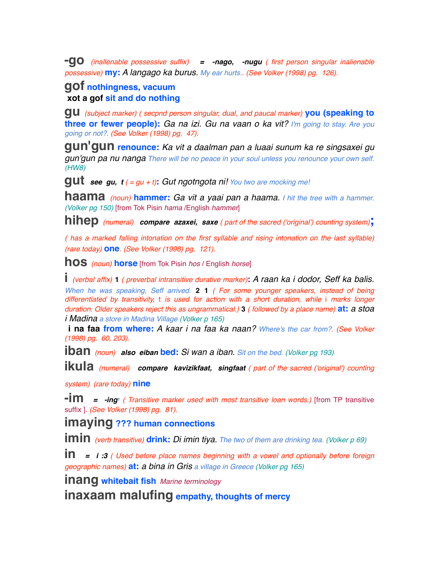**-go** *(inallenable possessive suffix) = -nago, -nugu ( first person singular inalienable possessive)* **my:** *A langago ka burus. My ear hurts.. (See Volker (1998) pg. 126).*

#### **gof nothingness, vacuum xot a gof sit and do nothing**

**gu** *(subject marker) ( secpnd person singular, dual, and paucal marker)* **you (speaking to three or fewer people):** *Ga na izi. Gu na vaan o ka vit? I'm going to stay. Are you going or not?. (See Volker (1998) pg. 47).*

**gun'gun renounce:** *Ka vit a daalman pan a luaai sunum ka re singsaxei gu gun'gun pa nu nanga There will be no peace in your soul unless you renounce your own self. (HW8)*

**gut** *see gu, t ( = gu + t)***:** *Gut ngotngota ni! You two are mocking me!*

**haama** *(noun)* **hammer:** *Ga vit a yaai pan a haama. I hit the tree with a hammer. (Volker pg 150)* [from Tok Pisin *hama* /English *hammer*]

**hihep** *(numeral) compare azaxei, saxe ( part of the sacred ('original') counting system)***;**

*( has a marked falling intonation on the first syllable and rising intonation on the last syllable) (rare today)* **one***. (See Volker (1998) pg. 121).*

**hos** *(noun)* **horse** [from Tok Pisin *hos* / English *horse*]

**i** *(verbal affix)* **<sup>1</sup>** *( preverbal intransitive durative marker)***:** *A raan ka i dodor, Seff ka balis.*

*When he was speaking, Seff arrived.* **2 1** *( For some younger speakers, instead of being differentiated by transitivity,* t *is used for action with a short duration, while* i *marks longer duration. Older speakers reject this as ungrammatical.)* **3** *( followed by a place name)* **at:** *a stoa i Madina a store in Madina Village (Volker p 165)*

 **i na faa from where:** *A kaar i na faa ka naan? Where's the car from?. (See Volker (1998) pg. 60, 203).*

**iban** *(noun) also eiban* **bed:** *Si wan a iban. Sit on the bed. (Volker pg 193)*

**ikula** *(numeral) compare kavizikfaat, singfaat ( part of the sacred ('original') counting* 

*system) (rare today)* **nine**

**-im** *= -ing1 ( Transitive marker used with most transitive loan words.)* [from TP transitive suffix ]*. (See Volker (1998) pg. 81).*

**imaying ??? human connections**

**imin** *(verb transitive)* **drink:** *Di imin tiya. The two of them are drinking tea. (Volker p 69)*

**in** *= i :3 ( Used before place names beginning with a vowel and optionally before foreign geographic names)* **at:** *a bina in Gris a village in Greece (Volker pg 165)*

**inang whitebait fish** *Marine terminology*

**inaxaam malufing empathy, thoughts of mercy**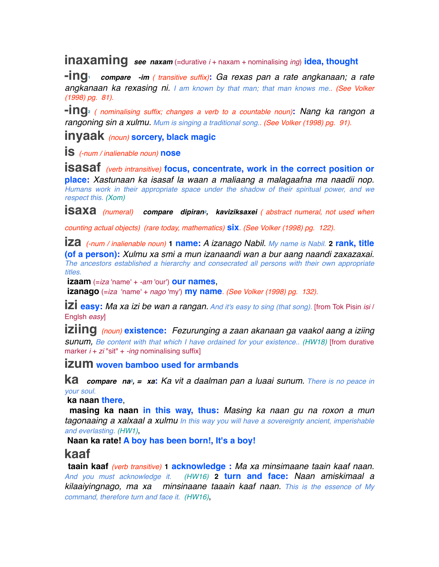**inaxaming** *see naxam* (=durative *i* + naxam + nominalising *ing*) **idea, thought**

**-ing1** *compare -im ( transitive suffix)***:** *Ga rexas pan a rate angkanaan; a rate angkanaan ka rexasing ni. I am known by that man; that man knows me.. (See Volker (1998) pg. 81).*

**-ing2** *( nominalising suffix; changes a verb to a countable noun)***:** *Nang ka rangon a rangoning sin a xulmu. Mum is singing a traditional song.. (See Volker (1998) pg. 91).*

### **inyaak** *(noun)* **sorcery, black magic**

**is** *(-num / inalienable noun)* **nose**

**isasaf** *(verb intransitive)* **focus, concentrate, work in the correct position or place:** *Xastunaan ka isasaf la waan a maliaang a malagaafna ma naadii nop. Humans work in their appropriate space under the shadow of their spiritual power, and we respect this. (Xom)*

**isaxa** (numeral) **compare dipiran**<sup>2</sup>, kaviziksaxei (abstract numeral, not used when

*counting actual objects) (rare today, mathematics)* **six***. (See Volker (1998) pg. 122).*

**iza** *(-num / inalienable noun)* **1 name:** *A izanago Nabil. My name is Nabil.* **2 rank, title (of a person):** *Xulmu xa smi a mun izanaandi wan a bur aang naandi zaxazaxai. The ancestors established a hierarchy and consecrated all persons with their own appropriate titles.*

 **izaam** (=*iza* 'name' + *-am* 'our') **our names**,

 **izanago** (=*iza* 'name' + *nago* 'my') **my name***. (See Volker (1998) pg. 132).*

**izi easy:** *Ma xa izi be wan a rangan. And it's easy to sing (that song).* [from Tok Pisin *isi* / Englsh *easy*]

**iziing** *(noun)* **existence:** *Fezurunging a zaan akanaan ga vaakol aang a iziing sunum, Be content with that which I have ordained for your existence.. (HW18)* [from durative marker *i* + *zi* "sit" + *-ing* nominalising suffix]

**izum woven bamboo used for armbands**

**ka** *compare na3, = xa***:** *Ka vit a daalman pan a luaai sunum. There is no peace in your soul.*

 **ka naan there**,

 **masing ka naan in this way, thus:** *Masing ka naan gu na roxon a mun tagonaaing a xalxaal a xulmu In this way you will have a sovereignty ancient, imperishable and everlasting. (HW1)*,

 **Naan ka rate! A boy has been born!, It's a boy!**

# **kaaf**

 **taain kaaf** *(verb transitive)* **1 acknowledge :** *Ma xa minsimaane taain kaaf naan. And you must acknowledge it. (HW16)* **2 turn and face:** *Naan amiskimaal a kilaaiyingnago, ma xa minsinaane taaain kaaf naan. This is the essence of My command, therefore turn and face it. (HW16)*,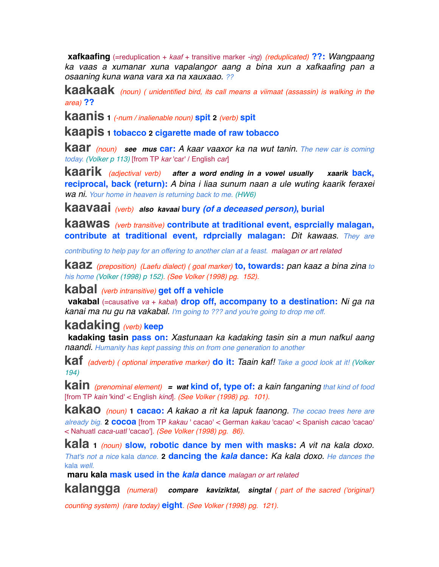**xafkaafing** (=reduplication + *kaaf* + transitive marker *-ing*) *(reduplicated)* **??:** *Wangpaang ka vaas a xumanar xuna vapalangor aang a bina xun a xafkaafing pan a osaaning kuna wana vara xa na xauxaao. ??*

**kaakaak** *(noun) ( unidentified bird, its call means a viimaat (assassin) is walking in the area)* **??** 

**kaanis <sup>1</sup>** *(-num / inalienable noun)* **spit <sup>2</sup>** *(verb)* **spit**

**kaapis 1 tobacco 2 cigarette made of raw tobacco**

**kaar** *(noun) see mus* **car:** *A kaar vaaxor ka na wut tanin. The new car is coming today. (Volker p 113)* [from TP *kar* 'car' / English *car*]

**kaarik** *(adjectival verb) after a word ending in a vowel usually xaarik* **back, reciprocal, back (return):** *A bina i liaa sunum naan a ule wuting kaarik feraxei wa ni. Your home in heaven is returning back to me. (HW6)*

**kaavaai** *(verb) also kavaai* **bury** *(of a deceased person)***, burial**

**kaawas** *(verb transitive)* **contribute at traditional event, esprcially malagan, contribute at traditional event, rdprcially malagan:** *Dit kawaas. They are* 

*contributing to help pay for an offering to another clan at a feast. malagan or art related*

**kaaz** *(preposition) (Laefu dialect) ( goal marker)* **to, towards:** *pan kaaz a bina zina to his home (Volker (1998) p 152). (See Volker (1998) pg. 152).*

#### **kabal** *(verb intransitive)* **get off a vehicle**

 **vakabal** (=causative *va* + *kabal*) **drop off, accompany to a destination:** *Ni ga na kanai ma nu gu na vakabal. I'm going to ??? and you're going to drop me off.*

# **kadaking** *(verb)* **keep**

 **kadaking tasin pass on:** *Xastunaan ka kadaking tasin sin a mun nafkul aang naandi. Humanity has kept passing this on from one generation to another*

**kaf** *(adverb) ( optional imperative marker)* **do it:** *Taain kaf! Take a good look at it! (Volker 194)*

**kain** *(prenominal element) = wat* **kind of, type of:** *a kain fanganing that kind of food* [from TP *kain* 'kind' < English *kind*]*. (See Volker (1998) pg. 101).*

**kakao** *(noun)* **1 cacao:** *A kakao a rit ka lapuk faanong. The cocao trees here are already big.* **2 cocoa** [from TP *kakau* ' cacao' < German *kakau* 'cacao' < Spanish *cacao* 'cacao' < Nahuatl *caca-uatl* 'cacao']*. (See Volker (1998) pg. 86).*

**kala <sup>1</sup>** *(noun)* **slow, robotic dance by men with masks:** *A vit na kala doxo. That's not a nice* kala *dance.* **2 dancing the** *kala* **dance:** *Ka kala doxo. He dances the*  kala *well.*

 **maru kala mask used in the** *kala* **dance** *malagan or art related*

**kalangga** *(numeral) compare kaviziktal, singtal ( part of the sacred ('original')* 

*counting system) (rare today)* **eight***. (See Volker (1998) pg. 121).*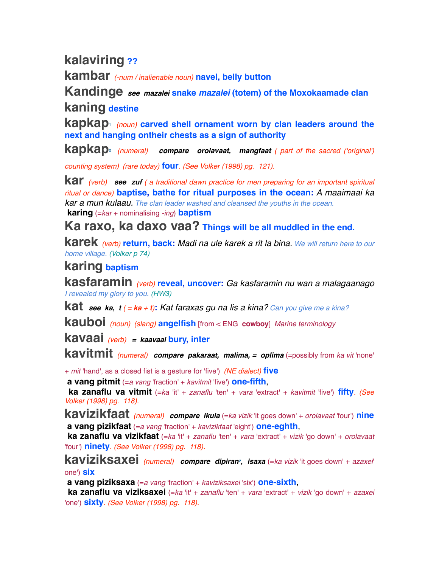# **kalaviring ??**

**kambar** *(-num / inalienable noun)* **navel, belly button**

**Kandinge** *see mazalei* **snake** *mazalei* **(totem) of the Moxokaamade clan kaning destine**

**kapkap1** *(noun)* **carved shell ornament worn by clan leaders around the next and hanging ontheir chests as a sign of authority**

**kapkap2** *(numeral) compare orolavaat, mangfaat ( part of the sacred ('original')* 

*counting system) (rare today)* **four***. (See Volker (1998) pg. 121).*

**kar** *(verb) see zuf ( a traditional dawn practice for men preparing for an important spiritual ritual or dance)* **baptise, bathe for ritual purposes in the ocean:** *A maaimaai ka kar a mun kulaau. The clan leader washed and cleansed the youths in the ocean.*  **karing** (=*kar* + nominalising *-ing*) **baptism**

**Ka raxo, ka daxo vaa? Things will be all muddled in the end.**

**karek** *(verb)* **return, back:** *Madi na ule karek a rit la bina. We will return here to our home village. (Volker p 74)*

# **karing baptism**

**kasfaramin** *(verb)* **reveal, uncover:** *Ga kasfaramin nu wan a malagaanago I revealed my glory to you. (HW3)*

**kat** *see ka, t ( = ka + t)***:** *Kat faraxas gu na lis a kina? Can you give me a kina?*

**kauboi** *(noun) (slang)* **angelfish** [from < ENG **cowboy**] *Marine terminology*

**kavaai** *(verb) = kaavaai* **bury, inter**

**kavitmit** *(numeral) compare pakaraat, malima, = oplima* (=possibly from *ka vit* 'none'

+ *mit* 'hand', as a closed fist is a gesture for 'five') *(NE dialect)* **five**

 **a vang pitmit** (=*a vang* 'fraction' + *kavitmit* 'five') **one-fifth**,

 **ka zanaflu va vitmit** (=*ka* 'it' + *zanaflu* 'ten' + *vara* 'extract' + *kavitmit* 'five') **fifty***. (See Volker (1998) pg. 118).*

**kavizikfaat** *(numeral) compare ikula* (=*ka vizik* 'it goes down' + *orolavaat* 'four') **nine a vang pizikfaat** (=*a vang* 'fraction' + *kavizikfaat* 'eight') **one-eghth**,

 **ka zanaflu va vizikfaat** (=*ka* 'it' + *zanaflu* 'ten' + *vara* 'extract' + *vizik* 'go down' + *orolavaat* 'four') **ninety***. (See Volker (1998) pg. 118).*

**kaviziksaxei** *(numeral) compare dipiran2, isaxa* (=*ka vizik* 'it goes down' + *azaxei*' one') **six**

 **a vang piziksaxa** (=*a vang* 'fraction' + *kaviziksaxei* 'six') **one-sixth**,

 **ka zanaflu va viziksaxei** (=*ka* 'it' + *zanaflu* 'ten' + *vara* 'extract' + *vizik* 'go down' + *azaxei* 'one') **sixty***. (See Volker (1998) pg. 118).*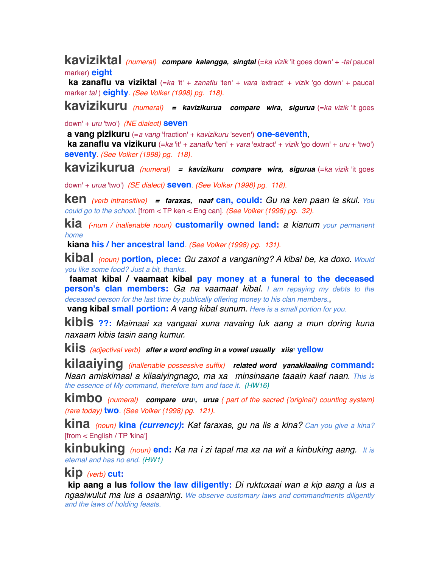**kaviziktal** *(numeral) compare kalangga, singtal* (=*ka vizik* 'it goes down' + *-tal* paucal marker) **eight**

 **ka zanaflu va viziktal** (=*ka* 'it' + *zanaflu* 'ten' + *vara* 'extract' + *vizik* 'go down' + paucal marker *tal* ) **eighty***. (See Volker (1998) pg. 118).*

**kavizikuru** *(numeral) = kavizikurua compare wira, sigurua* (=*ka vizik* 'it goes

down' + *uru* 'two') *(NE dialect)* **seven**

 **a vang pizikuru** (=*a vang* 'fraction' + *kavizikuru* 'seven') **one-seventh**,

 **ka zanaflu va vizikuru** (=*ka* 'it' + *zanaflu* 'ten' + *vara* 'extract' + *vizik* 'go down' + *uru* + 'two') **seventy***. (See Volker (1998) pg. 118).*

**kavizikurua** *(numeral) = kavizikuru compare wira, sigurua* (=*ka vizik* 'it goes

down' + *urua* 'two') *(SE dialect)* **seven***. (See Volker (1998) pg. 118).*

**ken** *(verb intransitive) = faraxas, naaf* **can, could:** *Gu na ken paan la skul. You could go to the school.* [from < TP ken < Eng can]*. (See Volker (1998) pg. 32).*

**kia** *(-num / inalienable noun)* **customarily owned land:** *a kianum your permanent home*

 **kiana his / her ancestral land***. (See Volker (1998) pg. 131).*

**kibal** *(noun)* **portion, piece:** *Gu zaxot a vanganing? A kibal be, ka doxo. Would you like some food? Just a bit, thanks.*

 **faamat kibal / vaamaat kibal pay money at a funeral to the deceased person's clan members:** *Ga na vaamaat kibal. I am repaying my debts to the deceased person for the last time by publically offering money to his clan members.*,

 **vang kibal small portion:** *A vang kibal sunum. Here is a small portion for you.*

**kibis ??:** *Maimaai xa vangaai xuna navaing luk aang a mun doring kuna naxaam kibis tasin aang kumur.*

**kiis** *(adjectival verb)* after a word ending in a vowel usually xiis<sup>1</sup> yellow

**kilaaiying** *(inallenable possessive suffix) related word yanakilaaiing* **command:** *Naan amiskimaal a kilaaiyingnago, ma xa minsinaane taaain kaaf naan. This is the essence of My command, therefore turn and face it. (HW16)*

**kimbo** *(numeral) compare uru1, urua ( part of the sacred ('original') counting system) (rare today)* **two***. (See Volker (1998) pg. 121).*

**kina** *(noun)* **kina** *(currency)***:** *Kat faraxas, gu na lis a kina? Can you give a kina?* [from < English / TP 'kina']

**kinbuking** *(noun)* **end:** *Ka na i zi tapal ma xa na wit a kinbuking aang. It is eternal and has no end. (HW1)*

### **kip** *(verb)* **cut:**

 **kip aang a lus follow the law diligently:** *Di ruktuxaai wan a kip aang a lus a ngaaiwulut ma lus a osaaning. We observe customary laws and commandments diligently and the laws of holding feasts.*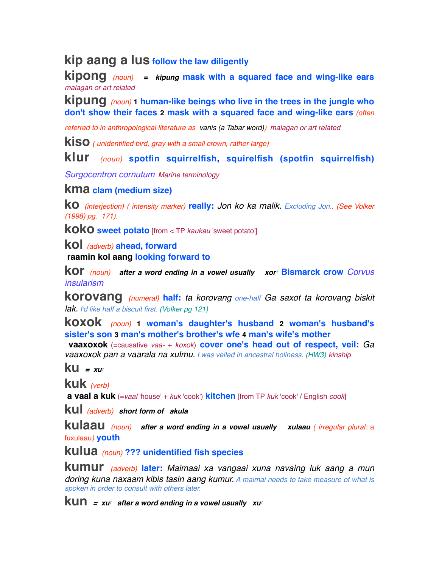**kip aang a lus follow the law diligently**

**kipong** *(noun) = kipung* **mask with a squared face and wing-like ears** *malagan or art related*

**kipung** *(noun)* **1 human-like beings who live in the trees in the jungle who don't show their faces 2 mask with a squared face and wing-like ears** *(often* 

*referred to in anthropological literature as vanis (a Tabar word)) malagan or art related*

**kiso** *( unidentified bird, gray with a small crown, rather large)*

**klur** *(noun)* **spotfin squirrelfish, squirelfish (spotfin squirrelfish)**

*Surgocentron cornutum Marine terminology*

#### **kma clam (medium size)**

**ko** *(interjection) ( intensity marker)* **really:** *Jon ko ka malik. Excluding Jon.. (See Volker (1998) pg. 171).*

**koko sweet potato** [from < TP *kaukau* 'sweet potato']

**kol** *(adverb)* **ahead, forward**

 **raamin kol aang looking forward to**

**kor** *(noun) after a word ending in a vowel usually xor1* **Bismarck crow** *Corvus insularism*

**korovang** *(numeral)* **half:** *ta korovang one-half Ga saxot ta korovang biskit lak. I'd like half a biscuit first. (Volker pg 121)*

**koxok** *(noun)* **1 woman's daughter's husband 2 woman's husband's sister's son 3 man's mother's brother's wfe 4 man's wife's mother**

 **vaaxoxok** (=causative *vaa-* + *koxok*) **cover one's head out of respect, veil:** *Ga vaaxoxok pan a vaarala na xulmu. I was veiled in ancestral holiness. (HW3) kinship*

**ku** *= xu1*

**kuk** *(verb)*

 **a vaal a kuk** (=*vaal* 'house' + *kuk* 'cook') **kitchen** [from TP *kuk* 'cook' / English *cook*]

**kul** *(adverb) short form of akula*

**kulaau** *(noun) after a word ending in a vowel usually xulaau ( irregular plural:* <sup>a</sup> fuxulaau*)* **youth**

**kulua** *(noun)* **??? unidentified fish species**

**kumur** *(adverb)* **later:** *Maimaai xa vangaai xuna navaing luk aang a mun doring kuna naxaam kibis tasin aang kumur. A maimai needs to take measure of what is spoken in order to consult with others later.*

**kun** =  $xu_1$  after a word ending in a vowel usually  $xu_1$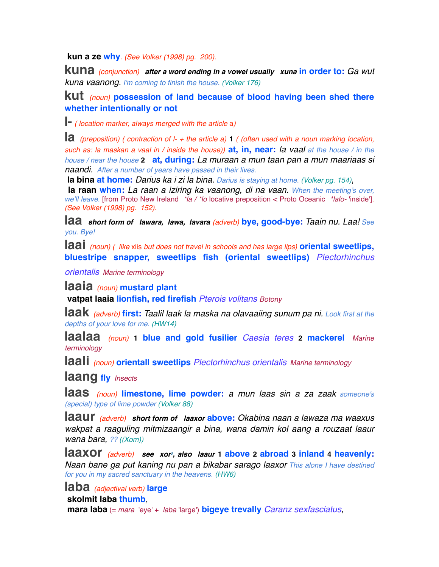**kun a ze why***. (See Volker (1998) pg. 200).*

**kuna** *(conjunction) after a word ending in a vowel usually xuna* **in order to:** *Ga wut kuna vaanong. I'm coming to finish the house. (Volker 176)*

#### **kut** *(noun)* **possession of land because of blood having been shed there whether intentionally or not**

**l-** *( location marker, always merged with the article* a*)*

**la** *(preposition) ( contraction of l- + the article a)* **<sup>1</sup>** *( (often used with a noun marking location, such as: la maskan a vaal in / inside the house))* **at, in, near:** *la vaal at the house / in the house / near the house* **2 at, during:** *La muraan a mun taan pan a mun maariaas si naandi. After a number of years have passed in their lives.*

 **la bina at home:** *Darius ka i zi la bina. Darius is staying at home. (Volker pg. 154)*,

 **la raan when:** *La raan a iziring ka vaanong, di na vaan. When the meeting's over, we'll leave.* [from Proto New Ireland *\*la / \*lo* locative preposition < Proto Oceanic *\*lalo-* 'inside']*. (See Volker (1998) pg. 152).*

**laa** *short form of lawara, lawa, lavara (adverb)* **bye, good-bye:** *Taain nu. Laa! See you. Bye!*

**laai** *(noun) ( like* xiis *but does not travel in schools and has large lips)* **oriental sweetlips, bluestripe snapper, sweetlips fish (oriental sweetlips)** *Plectorhinchus* 

*orientalis Marine terminology*

**laaia** *(noun)* **mustard plant**

 **vatpat laaia lionfish, red firefish** *Pterois volitans Botony*

**laak** *(adverb)* **first:** *Taalil laak la maska na olavaaiing sunum pa ni. Look first at the depths of your love for me. (HW14)*

**laalaa** *(noun)* **1 blue and gold fusilier** *Caesia teres* **2 mackerel** *Marine terminology*

**laali** *(noun)* **orientall sweetlips** *Plectorhinchus orientalis Marine terminology*

**laang fly** *Insects*

**laas** *(noun)* **limestone, lime powder:** *a mun laas sin a za zaak someone's (special) type of lime powder (Volker 88)*

**laaur** *(adverb) short form of laaxor* **above:** *Okabina naan a lawaza ma waaxus wakpat a raaguling mitmizaangir a bina, wana damin kol aang a rouzaat laaur wana bara, ?? ((Xom))*

**laaxor** *(adverb) see xor2, also laaur* **1 above 2 abroad 3 inland 4 heavenly:** *Naan bane ga put kaning nu pan a bikabar sarago laaxor This alone I have destined for you in my sacred sanctuary in the heavens. (HW6)*

**laba** *(adjectival verb)* **large**

 **skolmit laba thumb**,

 **mara laba** (= *mara* 'eye' + *laba* 'large') **bigeye trevally** *Caranz sexfasciatus*,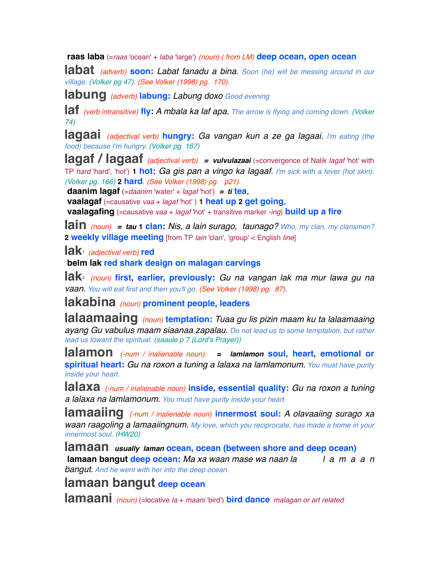**raas laba** (=*raas* 'ocean' + *laba* 'large') *(noun) ( from LM)* **deep ocean, open ocean**

**labat** *(adverb)* **soon:** *Labat fanadu a bina. Soon (he) will be messing around in our village. (Volker pg 47). (See Volker (1998) pg. 170).*

**labung** *(adverb)* **labung:** *Labung doxo Good evening*

**laf** *(verb intransitive)* **fly:** *A mbala ka laf apa. The arrow is flying and coming down. (Volker 74)*

**lagaai** *(adjectival verb)* **hungry:** *Ga vangan kun a ze ga lagaai. I'm eating (the food) because I'm hungry. (Volker pg. 167)*

**lagaf / lagaaf** *(adjectival verb) = vulvulazaai* (=convergence of Nalik *lagaf* 'hot' with TP *hard* 'hard', 'hot') **1 hot:** *Ga gis pan a vingo ka lagaaf. I'm sick with a fever (hot skin). (Volker pg. 166)* **2 hard***. (See Volker (1998) pg. p21).*

 **daanim lagaf** (=*daanim* 'water' + *lagaf* 'hot') *= ti* **tea**,

 **vaalagaf** (=causative *vaa* + *lagaf* 'hot' ) **1 heat up 2 get going**,

 **vaalagafing** (=causative *vaa* + *lagaf* 'hot' + transitive marker *-ing*) **build up a fire**

**lain** *(noun) = tau* **1 clan:** *Nis, a lain surago, taunago? Who, my clan, my clansmen?* **2 weekly village meeting** [from TP *lain* 'clan', 'group' < English *line*]

**lak1** *(adjectival verb)* **red**

 **belm lak red shark design on malagan carvings**

**lak**<sup>2</sup> (noun) first, earlier, previously: Gu na vangan lak ma mur lawa gu na *vaan. You will eat first and then you'll go. (See Volker (1998) pg. 87).*

**lakabina** *(noun)* **prominent people, leaders**

**lalaamaaing** *(noun)* **temptation:** *Tuaa gu lis pizin maam ku ta lalaamaaing ayang Gu vabulus maam siaanaa zapalau. Do not lead us to some temptation, but rather lead us toward the spiritual. (saaule p 7 (Lord's Prayer))*

**lalamon** *(-num / inalienable noun) = lamlamon* **soul, heart, emotional or spiritual heart:** *Gu na roxon a tuning a lalaxa na lamlamonum. You must have purity inside your heart.*

**lalaxa** *(-num / inalienable noun)* **inside, essential quality:** *Gu na roxon a tuning a lalaxa na lamlamonum. You must have purity inside your heart.*

**lamaaiing** *(-num / inalienable noun)* **innermost soul:** *A olavaaiing surago xa waan raagoling a lamaaiingnum. My love, which you reciprocate, has made a home in your innermost soul. (HW20)*

**lamaan** *usually laman* **ocean, ocean (between shore and deep ocean) lamaan bangut deep ocean:** *Ma xa waan mase wa naan la l a m a a n bangut. And he went with her into the deep ocean.*

# **lamaan bangut deep ocean**

**lamaani** *(noun)* (=locative *la* + *maani* 'bird') **bird dance** *malagan or art related*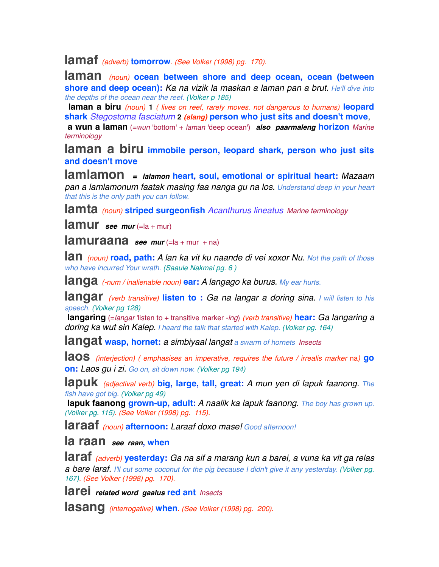**lamaf** *(adverb)* **tomorrow***. (See Volker (1998) pg. 170).*

**laman** *(noun)* **ocean between shore and deep ocean, ocean (between shore and deep ocean):** *Ka na vizik la maskan a laman pan a brut. He'll dive into the depths of the ocean near the reef. (Volker p 185)*

 **laman a biru** *(noun)* **1** *( lives on reef, rarely moves. not dangerous to humans)* **leopard shark** *Stegostoma fasciatum* **2** *(slang)* **person who just sits and doesn't move**,

 **a wun a laman** (=*wun* 'bottom' + *laman* 'deep ocean') *also paarmaleng* **horizon** *Marine terminology*

**laman a biru immobile person, leopard shark, person who just sits and doesn't move**

**lamlamon** *= lalamon* **heart, soul, emotional or spiritual heart:** *Mazaam pan a lamlamonum faatak masing faa nanga gu na los. Understand deep in your heart that this is the only path you can follow.*

**lamta** *(noun)* **striped surgeonfish** *Acanthurus lineatus Marine terminology*

**lamur** see mur (=la + mur)

**lamuraana** see mur (=la + mur + na)

**lan** *(noun)* **road, path:** *A lan ka vit ku naande di vei xoxor Nu. Not the path of those who have incurred Your wrath. (Saaule Nakmai pg. 6 )*

**langa** *(-num / inalienable noun)* **ear:** *A langago ka burus. My ear hurts.*

**langar** *(verb transitive)* **listen to :** *Ga na langar a doring sina. I will listen to his speech. (Volker pg 128)*

 **langaring** (=*langar* 'listen to + transitive marker *-ing*) *(verb transitive)* **hear:** *Ga langaring a doring ka wut sin Kalep. I heard the talk that started with Kalep. (Volker pg. 164)*

**langat wasp, hornet:** *a simbiyaal langat a swarm of hornets Insects*

**laos** *(interjection) ( emphasises an imperative, requires the future / irrealis marker* na*)* **go on:** *Laos gu i zi. Go on, sit down now. (Volker pg 194)*

**lapuk** *(adjectival verb)* **big, large, tall, great:** *A mun yen di lapuk faanong. The fish have got big. (Volker pg 49)*

 **lapuk faanong grown-up, adult:** *A naalik ka lapuk faanong. The boy has grown up. (Volker pg. 115). (See Volker (1998) pg. 115).*

**laraaf** *(noun)* **afternoon:** *Laraaf doxo mase! Good afternoon!*

**la raan** *see raan***, when**

**laraf** *(adverb)* **yesterday:** *Ga na sif a marang kun a barei, a vuna ka vit ga relas a bare laraf. I'll cut some coconut for the pig because I didn't give it any yesterday. (Volker pg. 167). (See Volker (1998) pg. 170).*

**larei** *related word gaalus* **red ant** *Insects*

**lasang** *(interrogative)* **when***. (See Volker (1998) pg. 200).*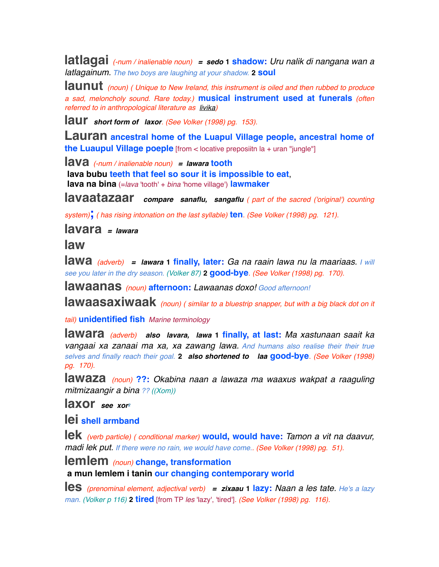**latlagai** *(-num / inalienable noun) = sedo* **1 shadow:** *Uru nalik di nangana wan a latlagainum. The two boys are laughing at your shadow.* **2 soul**

**launut** *(noun) ( Unique to New Ireland, this instrument is oiled and then rubbed to produce a sad, meloncholy sound. Rare today.)* **musical instrument used at funerals** *(often referred to in anthropological literature as livika)*

**laur** *short form of laxor. (See Volker (1998) pg. 153).*

**Lauran** ancestral home of the Luapul Village people, ancestral home of **the Luaupul Village poeple** [from < locative preposiitn la + uran "jungle"]

**lava** *(-num / inalienable noun) = lawara* **tooth**

 **lava bubu teeth that feel so sour it is impossible to eat**,  **lava na bina** (=*lava* 'tooth' + *bina* 'home village') **lawmaker**

**lavaatazaar** *compare sanaflu, sangaflu ( part of the sacred ('original') counting* 

*system)***;** *( has rising intonation on the last syllable)* **ten***. (See Volker (1998) pg. 121).*

**lavara** *= lawara*

**law**

**lawa** *(adverb) = lawara* **1 finally, later:** *Ga na raain lawa nu la maariaas. I will see you later in the dry season. (Volker 87)* **2 good-bye***. (See Volker (1998) pg. 170).*

**lawaanas** *(noun)* **afternoon:** *Lawaanas doxo! Good afternoon!*

**lawaasaxiwaak** *(noun) ( similar to a bluestrip snapper, but with a big black dot on it* 

*tail)* **unidentified fish** *Marine terminology*

**lawara** *(adverb) also lavara, lawa* **1 finally, at last:** *Ma xastunaan saait ka vangaai xa zanaai ma xa, xa zawang lawa. And humans also realise their their true selves and finally reach their goal.* **2** *also shortened to laa* **good-bye***. (See Volker (1998) pg. 170).*

**lawaza** *(noun)* **??:** *Okabina naan a lawaza ma waaxus wakpat a raaguling mitmizaangir a bina ?? ((Xom))*

**laxor** *see xor2*

**lei shell armband**

**lek** *(verb particle) ( conditional marker)* **would, would have:** *Tamon a vit na daavur, madi lek put. If there were no rain, we would have come.. (See Volker (1998) pg. 51).*

**lemlem** *(noun)* **change, transformation a mun lemlem i tanin our changing contemporary world**

**les** *(prenominal element, adjectival verb) = zixaau* **1 lazy:** *Naan a les tate. He's a lazy man. (Volker p 116)* **2 tired** [from TP *les* 'lazy', 'tired']*. (See Volker (1998) pg. 116).*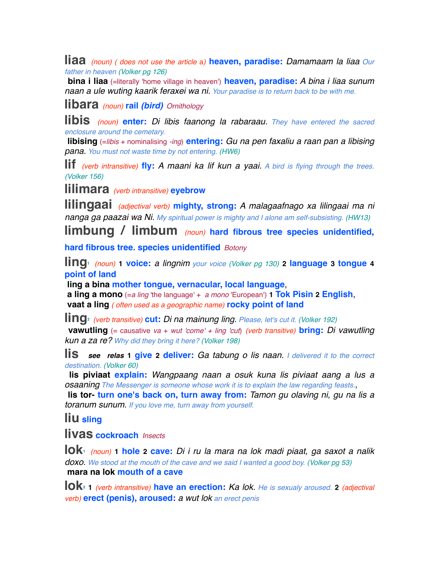**liaa** *(noun) ( does not use the article* a*)* **heaven, paradise:** *Damamaam la liaa Our father in heaven (Volker pg 126)*

 **bina i liaa** (=literally 'home village in heaven') **heaven, paradise:** *A bina i liaa sunum naan a ule wuting kaarik feraxei wa ni. Your paradise is to return back to be with me.*

**libara** *(noun)* **rail** *(bird) Ornithology*

**libis** *(noun)* **enter:** *Di libis faanong la rabaraau. They have entered the sacred enclosure around the cemetary.*

 **libising** (=*libis* + nominalising *-ing*) **entering:** *Gu na pen faxaliu a raan pan a libising pana. You must not waste time by not entering. (HW6)*

**lif** *(verb intransitive)* **fly:** *A maani ka lif kun a yaai. A bird is flying through the trees. (Volker 156)*

**lilimara** *(verb intransitive)* **eyebrow**

**lilingaai** *(adjectival verb)* **mighty, strong:** *A malagaafnago xa lilingaai ma ni nanga ga paazai wa Ni. My spiritual power is mighty and I alone am self-subsisting. (HW13)*

**limbung / limbum** *(noun)* **hard fibrous tree species unidentified,**

**hard fibrous tree. species unidentified** *Botony*

**ling1** *(noun)* **1 voice:** *a lingnim your voice (Volker pg 130)* **2 language 3 tongue <sup>4</sup> point of land**

 **ling a bina mother tongue, vernacular, local language**,

 **a ling a mono** (=*a ling* 'the language' + *a mono* 'European') **1 Tok Pisin 2 English**,  **vaat a ling** *( often used as a geographic name)* **rocky point of land**

**ling2** *(verb transitive)* **cut:** *Di na mainung ling. Please, let's cut it. (Volker 192)*

 **vawutling** (= causative *va* + *wut 'come' + ling 'cut*) *(verb transitive)* **bring:** *Di vawutling kun a za re? Why did they bring it here? (Volker 198)*

**lis** *see relas* **1 give 2 deliver:** *Ga tabung o lis naan. I delivered it to the correct destination. (Volker 60)*

 **lis piviaat explain:** *Wangpaang naan a osuk kuna lis piviaat aang a lus a osaaning The Messenger is someone whose work it is to explain the law regarding feasts.*,

 **lis tor- turn one's back on, turn away from:** *Tamon gu olaving ni, gu na lis a toranum sunum. If you love me, turn away from yourself.*

**liu sling**

**livas cockroach** *Insects*

**lok1** *(noun)* **1 hole 2 cave:** *Di i ru la mara na lok madi piaat, ga saxot a nalik doxo. We stood at the mouth of the cave and we said I wanted a good boy. (Volker pg 53)*  **mara na lok mouth of a cave**

**lok2 <sup>1</sup>** *(verb intransitive)* **have an erection:** *Ka lok. He is sexualy aroused.* **<sup>2</sup>** *(adjectival verb)* **erect (penis), aroused:** *a wut lok an erect penis*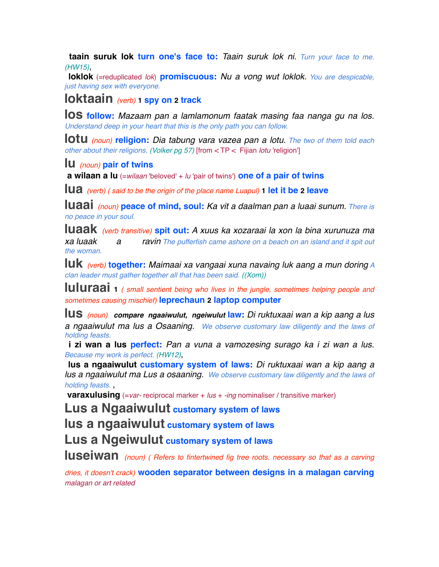**taain suruk lok turn one's face to:** *Taain suruk lok ni. Turn your face to me. (HW15)*,

 **loklok** (=reduplicated *lok*) **promiscuous:** *Nu a vong wut loklok. You are despicable, just having sex with everyone.*

**loktaain** *(verb)* **1 spy on 2 track** 

**los follow:** *Mazaam pan a lamlamonum faatak masing faa nanga gu na los. Understand deep in your heart that this is the only path you can follow.*

**lotu** *(noun)* **religion:** *Dia tabung vara vazea pan a lotu. The two of them told each other about their religions. (Volker pg 57)* [from < TP < Fijian *lotu* 'religion']

**lu** *(noun)* **pair of twins**

 **a wilaan a lu** (=*wilaan* 'beloved' + *lu* 'pair of twins') **one of a pair of twins**

**lua** *(verb) ( said to be the origin of the place name Luapul)* **1 let it be 2 leave**

**luaai** *(noun)* **peace of mind, soul:** *Ka vit a daalman pan a luaai sunum. There is no peace in your soul.*

**luaak** *(verb transitive)* **spit out:** *A xuus ka xozaraai la xon la bina xurunuza ma xa luaak a ravin The pufferfish came ashore on a beach on an island and it spit out the woman.*

**luk** *(verb)* **together:** *Maimaai xa vangaai xuna navaing luk aang a mun doring A clan leader must gather together all that has been said. ((Xom))*

**luluraai <sup>1</sup>** *( small sentient being who lives in the jungle, sometimes helping people and sometimes causing mischief)* **leprechaun 2 laptop computer**

**lus** *(noun) compare ngaaiwulut, ngeiwulut* **law:** *Di ruktuxaai wan a kip aang a lus a ngaaiwulut ma lus a Osaaning. We observe customary law diligently and the laws of holding feasts.*

 **i zi wan a lus perfect:** *Pan a vuna a vamozesing surago ka i zi wan a lus. Because my work is perfect. (HW12)*,

 **lus a ngaaiwulut customary system of laws:** *Di ruktuxaai wan a kip aang a lus a ngaaiwulut ma Lus a osaaning. We observe customary law diligently and the laws of holding feasts.* ,

**varaxulusing** (=var- reciprocal marker + lus + -ing nominaliser / transitive marker)

**Lus a Ngaaiwulut customary system of laws**

**lus a ngaaiwulut customary system of laws**

**Lus a Ngeiwulut customary system of laws**

**luseiwan** *(noun) ( Refers to fintertwined fig tree roots. necessary so that as a carving* 

*dries, it doesn't crack)* **wooden separator between designs in a malagan carving** *malagan or art related*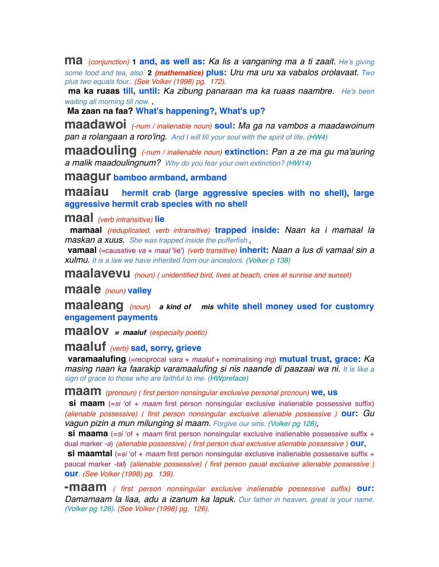**ma** *(conjunction)* **1 and, as well as:** *Ka lis a vanganing ma a ti zaait. He's giving some food and tea, also.* **2** *(mathematics)* **plus:** *Uru ma uru xa vabalos orolavaat. Two plus two equals four.. (See Volker (1998) pg. 172).*

 **ma ka ruaas till, until:** *Ka zibung panaraan ma ka ruaas naambre. He's been waiting all morning till now.* ,

 **Ma zaan na faa? What's happening?, What's up?**

**maadawoi** *(-num / inalienable noun)* **soul:** *Ma ga na vambos a maadawoinum pan a rolangaan a roro'ing. And I will fill your soul with the spirit of life. (HW4)*

**maadouling** *(-num / inalienable noun)* **extinction:** *Pan a ze ma gu ma'auring a malik maadoulingnum? Why do you fear your own extinction? (HW14)*

**maagur bamboo armband, armband**

**maaiau hermit crab (large aggressive species with no shell), large aggressive hermit crab species with no shell**

**maal** *(verb intransitive)* **lie**

 **mamaal** *(reduplicated, verb intransitive)* **trapped inside:** *Naan ka i mamaal la maskan a xuus. She was trapped inside the pufferfish.*,

 **vamaal** (=causative *va* + *maal* 'lie') *(verb transitive)* **inherit:** *Naan a lus di vamaal sin a xulmu. It is a law we have inherited from our ancestors. (Volker p 138)*

**maalavevu** *(noun) ( unidentified bird, lives at beach, cries at sunrise and sunset)*

**maale** *(noun)* **valley**

**maaleang** *(noun) a kind of mis* **white shell money used for customry engagement payments**

**maalov** *= maaluf (especially poetic)*

### **maaluf** *(verb)* **sad, sorry, grieve**

 **varamaalufing** (=reciprocal *vara* + *maaluf* + nominalising *ing*) **mutual trust, grace:** *Ka masing naan ka faarakip varamaalufing si nis naande di paazaai wa ni. It is like a sign of grace to those who are faithful to me. (HWpreface)*

**maam** *(pronoun) ( first person nonsingular exclusive personal pronoun)* **we, us**

**si maam** (=si 'of + *maam* first person nonsingular exclusive inalienable possessive suffix) *(alienable possessive) ( first person nonsingular exclusive alienable possessive )* **our:** *Gu vagun pizin a mun milunging si maam. Forgive our sins. (Volker pg 128)*,

**si maama** (=si 'of + maam first person nonsingular exclusive inalienable possessive suffix + dual marker *-a*) *(alienable possessive) ( first person dual exclusive alienable possessive )* **our**,

**si maamtal** (=si 'of + *maam* first person nonsingular exclusive inalienable possessive suffix + paucal marker *-tal*) *(alienable possessive) ( first person paual exclusive alienable possessive )* **our***. (See Volker (1998) pg. 139).*

**-maam** *( first person nonsingular exclusive inalienable possessive suffix)* **our:** *Damamaam la liaa, adu a izanum ka lapuk. Our father in heaven, great is your name. (Volker pg 126). (See Volker (1998) pg. 126).*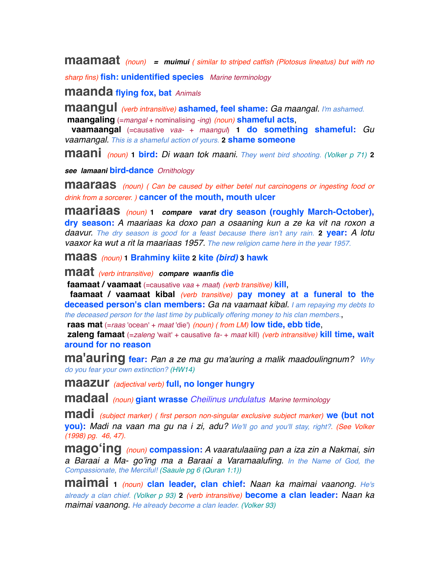**maamaat** *(noun) = muimui ( similar to striped catfish (Plotosus lineatus) but with no* 

*sharp fins)* **fish: unidentified species** *Marine terminology*

**maanda flying fox, bat** *Animals* 

**maangul** *(verb intransitive)* **ashamed, feel shame:** *Ga maangal. I'm ashamed.*  **maangaling** (=*mangal* + nominalising *-ing*) *(noun)* **shameful acts**,

 **vaamaangal** (=causative *vaa-* + *maangul*) **1 do something shameful:** *Gu vaamangal. This is a shameful action of yours.* **2 shame someone**

**maani** *(noun)* **1 bird:** *Di waan tok maani. They went bird shooting. (Volker p 71)* **<sup>2</sup>**

*see lamaani* **bird-dance** *Ornithology*

**maaraas** (noun) (Can be caused by either betel nut carcinogens or ingesting food or *drink from a sorcerer. )* **cancer of the mouth, mouth ulcer**

**maariaas** *(noun)* **<sup>1</sup>** *compare varat* **dry season (roughly March-October), dry season:** *A maariaas ka doxo pan a osaaning kun a ze ka vit na roxon a daavur. The dry season is good for a feast because there isn't any rain.* **2 year:** *A lotu vaaxor ka wut a rit la maariaas 1957. The new religion came here in the year 1957.*

**maas** *(noun)* **1 Brahminy kiite 2 kite** *(bird)* **3 hawk**

**maat** *(verb intransitive) compare waanfis* **die**

 **faamaat / vaamaat** (=causative *vaa* + *maat*) *(verb transitive)* **kill**,

 **faamaat / vaamaat kibal** *(verb transitive)* **pay money at a funeral to the deceased person's clan members:** *Ga na vaamaat kibal. I am repaying my debts to the deceased person for the last time by publically offering money to his clan members.*,

 **raas mat** (=*raas* 'ocean' + *maat* 'die') *(noun) ( from LM)* **low tide, ebb tide**,

 **zaleng famaat** (=*zaleng* 'wait' + causative *fa-* + *maat* kill) *(verb intransitive)* **kill time, wait around for no reason**

**ma'auring fear:** *Pan a ze ma gu ma'auring a malik maadoulingnum? Why do you fear your own extinction? (HW14)*

**maazur** *(adjectival verb)* **full, no longer hungry**

**madaal** *(noun)* **giant wrasse** *Cheilinus undulatus Marine terminology*

**madi** *(subject marker) ( first person non-singular exclusive subject marker)* **we (but not you):** *Madi na vaan ma gu na i zi, adu? We'll go and you'll stay, right?. (See Volker (1998) pg. 46, 47).*

**magoʻing** *(noun)* **compassion:** *A vaaratulaaiing pan a iza zin a Nakmai, sin a Baraai a Ma- go'ing ma a Baraai a Varamaalufing. In the Name of God, the Compassionate, the Merciful! (Saaule pg 6 (Quran 1:1))*

**maimai <sup>1</sup>** *(noun)* **clan leader, clan chief:** *Naan ka maimai vaanong. He's already a clan chief. (Volker p 93)* **2** *(verb intransitive)* **become a clan leader:** *Naan ka maimai vaanong. He already become a clan leader. (Volker 93)*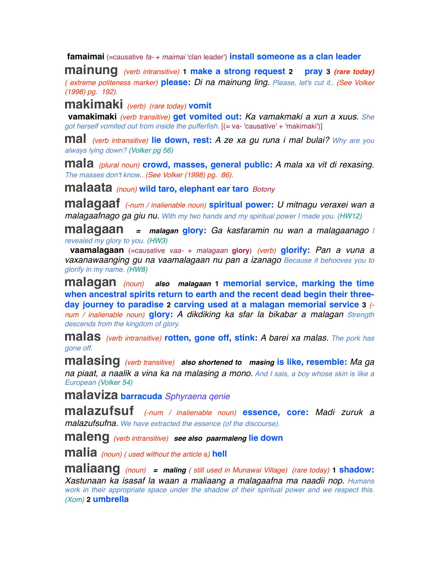**famaimai** (=causative *fa-* + *maimai* 'clan leader') **install someone as a clan leader**

**mainung** *(verb intransitive)* **1 make a strong request 2 pray <sup>3</sup>** *(rare today) ( extreme politeness marker)* **please:** *Di na mainung ling. Please, let's cut it.. (See Volker (1998) pg. 192).*

**makimaki** *(verb) (rare today)* **vomit**

 **vamakimaki** *(verb transitive)* **get vomited out:** *Ka vamakmaki a xun a xuus. She got herself vomited out from inside the pufferfish.* [(= va- 'causative' + 'makimaki')]

**mal** *(verb intransitive)* **lie down, rest:** *A ze xa gu runa i mal bulai? Why are you always lying down? (Volker pg 56)*

**mala** *(plural noun)* **crowd, masses, general public:** *A mala xa vit di rexasing. The masses don't know.. (See Volker (1998) pg. 86).*

**malaata** *(noun)* **wild taro, elephant ear taro** *Botony*

**malagaaf** *(-num / inalienable noun)* **spiritual power:** *U mitnagu veraxei wan a malagaafnago ga giu nu. With my two hands and my spiritual power I made you. (HW12)*

**malagaan** *= malagan* **glory:** *Ga kasfaramin nu wan a malagaanago I revealed my glory to you. (HW3)*

 **vaamalagaan** (=causative *vaa-* + *malagaan* **glory**) *(verb)* **glorify:** *Pan a vuna a vaxanawaanging gu na vaamalagaan nu pan a izanago Because it behooves you to glorify in my name. (HW8)*

**malagan** *(noun) also malagaan* **1 memorial service, marking the time when ancestral spirits return to earth and the recent dead begin their threeday journey to paradise 2 carving used at a malagan memorial service 3** *( num / inalienable noun)* **glory:** *A dikdiking ka sfar la bikabar a malagan Strength descends from the kingdom of glory.*

**malas** *(verb intransitive)* **rotten, gone off, stink:** *A barei xa malas. The pork has gone off.*

**malasing** *(verb transitive) also shortened to masing* **is like, resemble:** *Ma ga na piaat, a naalik a vina ka na malasing a mono. And I sais, a boy whose skin is like a European (Volker 54)*

**malaviza barracuda** *Sphyraena qenie*

**malazufsuf** *(-num / inalienable noun)* **essence, core:** *Madi zuruk a malazufsufna. We have extracted the essence (of the discourse).*

**maleng** *(verb intransitive) see also paarmaleng* **lie down**

**malia** *(noun) ( used without the article* a*)* **hell**

**maliaang** *(noun) = maling ( still used in Munawai Village) (rare today)* **1 shadow:** *Xastunaan ka isasaf la waan a maliaang a malagaafna ma naadii nop. Humans work in their appropriate space under the shadow of their spiritual power and we respect this. (Xom)* **2 umbrella**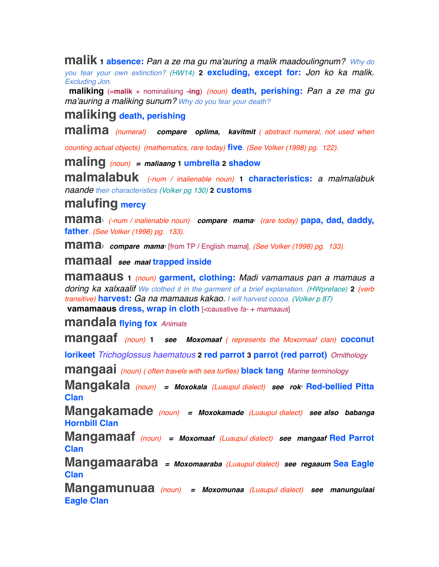**malik 1 absence:** *Pan a ze ma gu ma'auring a malik maadoulingnum? Why do you fear your own extinction? (HW14)* **2 excluding, except for:** *Jon ko ka malik. Excluding Jon.*

 **maliking** (=**malik** + nominalising **-ing**) *(noun)* **death, perishing:** *Pan a ze ma gu ma'auring a maliking sunum? Why do you fear your death?*

# **maliking death, perishing**

**malima** *(numeral) compare oplima, kavitmit ( abstract numeral, not used when* 

*counting actual objects) (mathematics, rare today)* **five***. (See Volker (1998) pg. 122).*

**maling** *(noun) = maliaang* **1 umbrella 2 shadow**

**malmalabuk** *(-num / inalienable noun)* **1 characteristics:** *a malmalabuk naande their characteristics (Volker pg 130)* **2 customs**

# **malufing mercy**

**mama1** *(-num / inalienable noun) compare mama1 (rare today)* **papa, dad, daddy, father***. (See Volker (1998) pg. 133).*

**mama2** *compare mama1* [from TP / English *mama*]*. (See Volker (1998) pg. 133).*

**mamaal** *see maal* **trapped inside**

**mamaaus <sup>1</sup>** *(noun)* **garment, clothing:** *Madi vamamaus pan a mamaus a doring ka xalxaalif We clothed it in the garment of a brief explanation. (HWpreface)* **2** *(verb transitive)* **harvest:** *Ga na mamaaus kakao. I will harvest cocoa. (Volker p 87)*  **vamamaaus dress, wrap in cloth** [<causative *fa-* + *mamaaus*]

**mandala flying fox** *Animals* 

**mangaaf** *(noun)* **<sup>1</sup>** *see Moxomaaf ( represents the Moxomaaf clan)* **coconut** 

**lorikeet** *Trichoglossus haematous* **2 red parrot 3 parrot (red parrot)** *Ornithology*

**mangaai** *(noun) ( often travels with sea turtles)* **black tang** *Marine terminology*

**Mangakala** *(noun) = Moxokala (Luaupul dialect) see rok1* **Red-bellied Pitta Clan**

**Mangakamade** *(noun) = Moxokamade (Luaupul dialect) see also babanga* **Hornbill Clan**

**Mangamaaf** *(noun) = Moxomaaf (Luaupul dialect) see mangaaf* **Red Parrot Clan**

**Mangamaaraba** *= Moxomaaraba (Luaupul dialect) see regaaum* **Sea Eagle Clan**

**Mangamunuaa** *(noun) = Moxomunaa (Luaupul dialect) see manungulaai* **Eagle Clan**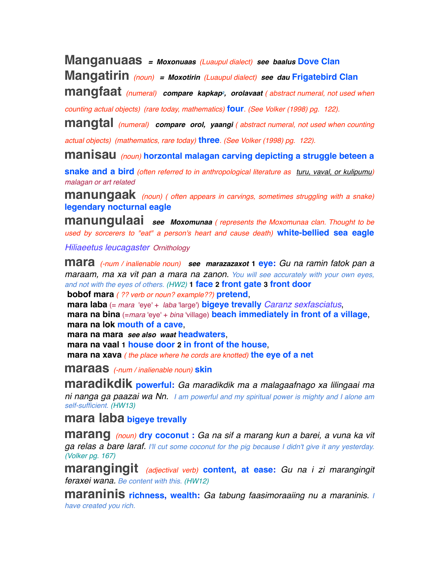**Manganuaas** *= Moxonuaas (Luaupul dialect) see baalus* **Dove Clan**

**Mangatirin** *(noun) = Moxotirin (Luaupul dialect) see dau* **Frigatebird Clan**

**mangfaat** *(numeral) compare kapkap2, orolavaat ( abstract numeral, not used when* 

*counting actual objects) (rare today, mathematics)* **four***. (See Volker (1998) pg. 122).*

**mangtal** *(numeral) compare orol, yaangi ( abstract numeral, not used when counting* 

*actual objects) (mathematics, rare today)* **three***. (See Volker (1998) pg. 122).*

**manisau** *(noun)* **horzontal malagan carving depicting a struggle beteen a** 

**snake and a bird** *(often referred to in anthropological literature as turu, vaval, or kulipumu) malagan or art related*

**manungaak** *(noun) ( often appears in carvings, sometimes struggling with a snake)* **legendary nocturnal eagle**

**manungulaai** *see Moxomunaa ( represents the Moxomunaa clan. Thought to be used by sorcerers to "eat" a person's heart and cause death)* **white-bellied sea eagle**

*Hiliaeetus leucagaster Ornithology*

**mara** *(-num / inalienable noun) see marazazaxot* **1 eye:** *Gu na ramin fatok pan a maraam, ma xa vit pan a mara na zanon. You will see accurately with your own eyes, and not with the eyes of others. (HW2)* **1 face 2 front gate 3 front door**

 **bobof mara** *( ?? verb or noun? example??)* **pretend**,

 **mara laba** (= *mara* 'eye' + *laba* 'large') **bigeye trevally** *Caranz sexfasciatus*,  **mara na bina** (=*mara* 'eye' + *bina* 'village) **beach immediately in front of a village**,  **mara na lok mouth of a cave**,

 **mara na mara** *see also waat* **headwaters**,

 **mara na vaal 1 house door 2 in front of the house**,

 **mara na xava** *( the place where he cords are knotted)* **the eye of a net**

**maraas** *(-num / inalienable noun)* **skin**

**maradikdik powerful:** *Ga maradikdik ma a malagaafnago xa lilingaai ma ni nanga ga paazai wa Nn. I am powerful and my spiritual power is mighty and I alone am self-sufficient. (HW13)*

**mara laba bigeye trevally**

**marang** *(noun)* **dry coconut :** *Ga na sif a marang kun a barei, a vuna ka vit ga relas a bare laraf. I'll cut some coconut for the pig because I didn't give it any yesterday. (Volker pg. 167)*

**marangingit** *(adjectival verb)* **content, at ease:** *Gu na i zi marangingit feraxei wana. Be content with this. (HW12)*

**maraninis richness, wealth:** *Ga tabung faasimoraaiing nu a maraninis. I have created you rich.*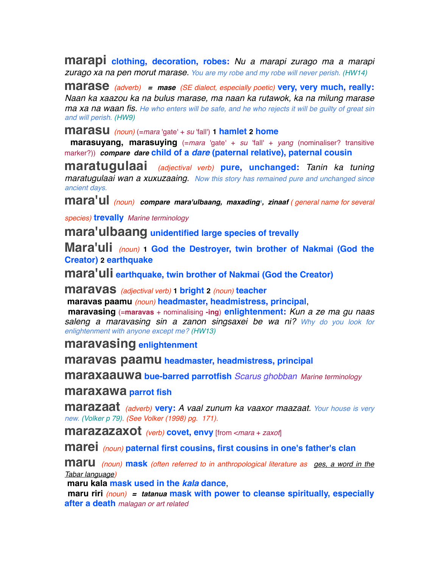**marapi clothing, decoration, robes:** *Nu a marapi zurago ma a marapi zurago xa na pen morut marase. You are my robe and my robe will never perish. (HW14)*

**marase** *(adverb) = mase (SE dialect, especially poetic)* **very, very much, really:** *Naan ka xaazou ka na bulus marase, ma naan ka rutawok, ka na milung marase ma xa na waan fis. He who enters will be safe, and he who rejects it will be guilty of great sin and will perish. (HW9)*

**marasu** *(noun)* (=*mara* 'gate' + *su* 'fall') **1 hamlet 2 home**

**marasuyang, marasuying** (=*mara* 'gate' + *su* 'fall' + *yang* (nominaliser? transitive marker?)) *compare dare* **child of a** *dare* **(paternal relative), paternal cousin**

**maratugulaai** *(adjectival verb)* **pure, unchanged:** *Tanin ka tuning maratugulaai wan a xuxuzaaing. Now this story has remained pure and unchanged since ancient days.*

mara'ul (noun) compare mara'ulbaang, maxading<sup>1</sup>, zinaaf (general name for several

*species)* **trevally** *Marine terminology*

**mara'ulbaang unidentified large species of trevally**

**Mara'uli** *(noun)* **1 God the Destroyer, twin brother of Nakmai (God the Creator) 2 earthquake**

**mara'uli earthquake, twin brother of Nakmai (God the Creator)**

**maravas** *(adjectival verb)* **1 bright <sup>2</sup>** *(noun)* **teacher**

 **maravas paamu** *(noun)* **headmaster, headmistress, principal**,

 **maravasing** (=**maravas** + nominalising **-ing**) **enlightenment:** *Kun a ze ma gu naas saleng a maravasing sin a zanon singsaxei be wa ni? Why do you look for enlightenment with anyone except me? (HW13)*

**maravasing enlightenment**

**maravas paamu headmaster, headmistress, principal**

**maraxaauwa bue-barred parrotfish** *Scarus ghobban Marine terminology*

**maraxawa parrot fish**

**marazaat** *(adverb)* **very:** *A vaal zunum ka vaaxor maazaat. Your house is very new. (Volker p 79). (See Volker (1998) pg. 171).*

**marazazaxot** *(verb)* **covet, envy** [from <*mara* + *zaxot*]

**marei** *(noun)* **paternal first cousins, first cousins in one's father's clan**

**maru** *(noun)* **mask** *(often referred to in anthropological literature as ges, a word in the Tabar language)*

 **maru kala mask used in the** *kala* **dance**,

 **maru riri** *(noun) = tatanua* **mask with power to cleanse spiritually, especially after a death** *malagan or art related*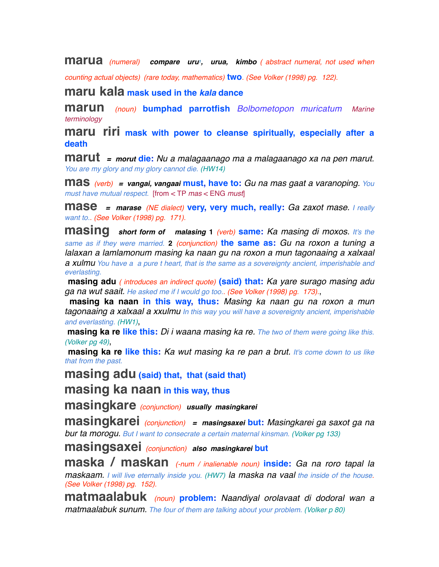**marua** *(numeral)* **compare uru<sup>***t***</sup>, urua, kimbo** *( abstract numeral, not used when* 

*counting actual objects) (rare today, mathematics)* **two***. (See Volker (1998) pg. 122).*

**maru kala mask used in the** *kala* **dance**

**marun** *(noun)* **bumphad parrotfish** *Bolbometopon muricatum Marine terminology*

**maru riri mask with power to cleanse spiritually, especially after a death**

**marut** *= morut* **die:** *Nu a malagaanago ma a malagaanago xa na pen marut. You are my glory and my glory cannot die. (HW14)*

**mas** *(verb) = vangai, vangaai* **must, have to:** *Gu na mas gaat a varanoping. You must have mutual respect.* [from < TP *mas* < ENG *must*]

**mase** *= marase (NE dialect)* **very, very much, really:** *Ga zaxot mase. I really want to.. (See Volker (1998) pg. 171).*

**masing** *short form of malasing* **<sup>1</sup>** *(verb)* **same:** *Ka masing di moxos. It's the same as if they were married.* **2** *(conjunction)* **the same as:** *Gu na roxon a tuning a lalaxan a lamlamonum masing ka naan gu na roxon a mun tagonaaing a xalxaal a xulmu You have a a pure t heart, that is the same as a sovereignty ancient, imperishable and everlasting.* 

 **masing adu** *( introduces an indirect quote)* **(said) that:** *Ka yare surago masing adu ga na wut saait. He asked me if I would go too.. (See Volker (1998) pg. 173).*,

 **masing ka naan in this way, thus:** *Masing ka naan gu na roxon a mun tagonaaing a xalxaal a xxulmu In this way you will have a sovereignty ancient, imperishable and everlasting. (HW1)*,

 **masing ka re like this:** *Di i waana masing ka re. The two of them were going like this. (Volker pg 49)*,

 **masing ka re like this:** *Ka wut masing ka re pan a brut. It's come down to us like that from the past.*

**masing adu (said) that, that (said that)**

**masing ka naan in this way, thus**

**masingkare** *(conjunction) usually masingkarei*

**masingkarei** *(conjunction) = masingsaxei* **but:** *Masingkarei ga saxot ga na bur ta morogu. But I want to consecrate a certain maternal kinsman. (Volker pg 133)*

**masingsaxei** *(conjunction) also masingkarei* **but**

**maska / maskan** *(-num / inalienable noun)* **inside:** *Ga na roro tapal la maskaam. I will live eternally inside you. (HW7) la maska na vaal the inside of the house. (See Volker (1998) pg. 152).*

**matmaalabuk** *(noun)* **problem:** *Naandiyal orolavaat di dodoral wan a matmaalabuk sunum. The four of them are talking about your problem. (Volker p 80)*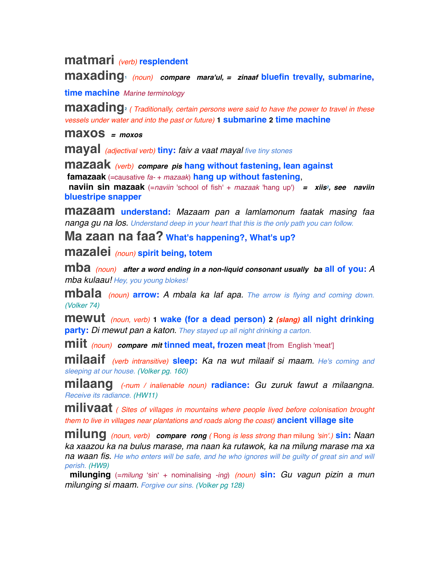# **matmari** *(verb)* **resplendent**

**maxading1** *(noun) compare mara'ul, = zinaaf* **bluefin trevally, submarine,**

**time machine** *Marine terminology*

**maxading**<sup>2</sup> ( Traditionally, certain persons were said to have the power to travel in these *vessels under water and into the past or future)* **1 submarine 2 time machine**

**maxos** *= moxos*

**mayal** *(adjectival verb)* **tiny:** *faiv a vaat mayal five tiny stones*

**mazaak** *(verb) compare pis* **hang without fastening, lean against famazaak** (=causative *fa-* + *mazaak*) **hang up without fastening**,  **naviin sin mazaak** (=*naviin* 'school of fish' + *mazaak* 'hang up') = xiis<sup>2</sup>, see naviin **bluestripe snapper**

**mazaam understand:** *Mazaam pan a lamlamonum faatak masing faa nanga gu na los. Understand deep in your heart that this is the only path you can follow.*

**Ma zaan na faa? What's happening?, What's up?**

**mazalei** *(noun)* **spirit being, totem**

**mba** *(noun) after a word ending in a non-liquid consonant usually ba* **all of you:***<sup>A</sup> mba kulaau! Hey, you young blokes!*

**mbala** *(noun)* **arrow:** *A mbala ka laf apa. The arrow is flying and coming down. (Volker 74)*

**mewut** *(noun, verb)* **1 wake (for a dead person) <sup>2</sup>** *(slang)* **all night drinking party:** *Di mewut pan a katon. They stayed up all night drinking a carton.*

**miit** *(noun) compare mit* **tinned meat, frozen meat** [from English 'meat']

**milaaif** *(verb intransitive)* **sleep:** *Ka na wut milaaif si maam. He's coming and sleeping at our house. (Volker pg. 160)*

**milaang** *(-num / inalienable noun)* **radiance:** *Gu zuruk fawut a milaangna. Receive its radiance. (HW11)*

**milivaat** *( Sites of villages in mountains where people lived before colonisation brought them to live in villages near plantations and roads along the coast)* **ancient village site**

**milung** *(noun, verb) compare rong (* Rong *is less strong than* milung *'sin'.)* **sin:** *Naan ka xaazou ka na bulus marase, ma naan ka rutawok, ka na milung marase ma xa*  **na waan fis.** He who enters will be safe, and he who ignores will be quilty of great sin and will *perish. (HW9)*

 **milunging** (=*milung* ʻsinʻ + nominalising *-ing*) *(noun)* **sin:** *Gu vagun pizin a mun milunging si maam. Forgive our sins. (Volker pg 128)*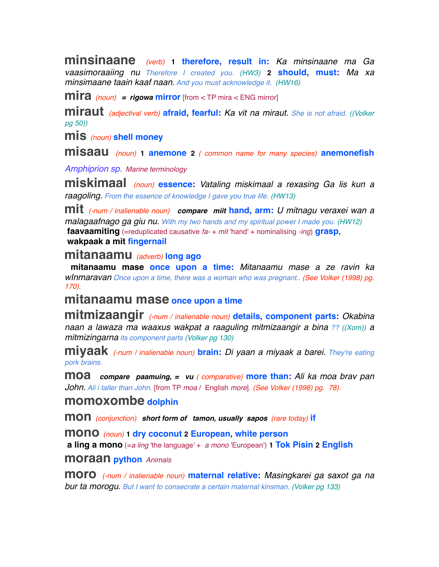**minsinaane** *(verb)* **1 therefore, result in:** *Ka minsinaane ma Ga vaasimoraaiing nu Therefore I created you. (HW3)* **2 should, must:** *Ma xa minsimaane taain kaaf naan. And you must acknowledge it. (HW16)*

**mira** *(noun) = rigowa* **mirror** [from < TP mira < ENG mirror]

**miraut** *(adjectival verb)* **afraid, fearful:** *Ka vit na miraut. She is not afraid. ((Volker pg 50))*

**mis** *(noun)* **shell money**

**misaau** *(noun)* **1 anemone <sup>2</sup>** *( common name for many species)* **anemonefish**

*Amphiprion sp. Marine terminology*

**miskimaal** *(noun)* **essence:** *Vataling miskimaal a rexasing Ga lis kun a raagoling. From the essence of knowledge I gave you true life. (HW13)*

**mit** *(-num / inalienable noun) compare miit* **hand, arm:** *U mitnagu veraxei wan a malagaafnago ga giu nu. With my two hands and my spiritual power I made you. (HW12)*  **faavaamiting** (=reduplicated causative *fa-* + *mit* 'hand' + nominalising *-ing*) **grasp**,  **wakpaak a mit fingernail**

## **mitanaamu** *(adverb)* **long ago**

 **mitanaamu mase once upon a time:** *Mitanaamu mase a ze ravin ka wInmaravan Once upon a time, there was a woman who was pregnant.. (See Volker (1998) pg. 170).*

# **mitanaamu mase once upon a time**

**mitmizaangir** *(-num / inalienable noun)* **details, component parts:** *Okabina naan a lawaza ma waaxus wakpat a raaguling mitmizaangir a bina ?? ((Xom)) a mitmizingarna its component parts (Volker pg 130)*

**miyaak** *(-num / inalienable noun)* **brain:** *Di yaan a miyaak a barei. They're eating pork brains.*

**moa** *compare paamuing, = vu ( comparative)* **more than:** *Ali ka moa brav pan John. Ali i taller than John.* [from TP *moa* / English *more*]*. (See Volker (1998) pg. 78).*

### **momoxombe dolphin**

**mon** *(conjunction) short form of tamon, usually sapos (rare today)* **if**

**mono** *(noun)* **1 dry coconut 2 European, white person**

 **a ling a mono** (=*a ling* 'the language' + *a mono* 'European') **1 Tok Pisin 2 English**

#### **moraan python** *Animals*

**moro** *(-num / inalienable noun)* **maternal relative:** *Masingkarei ga saxot ga na bur ta morogu. But I want to consecrate a certain maternal kinsman. (Volker pg 133)*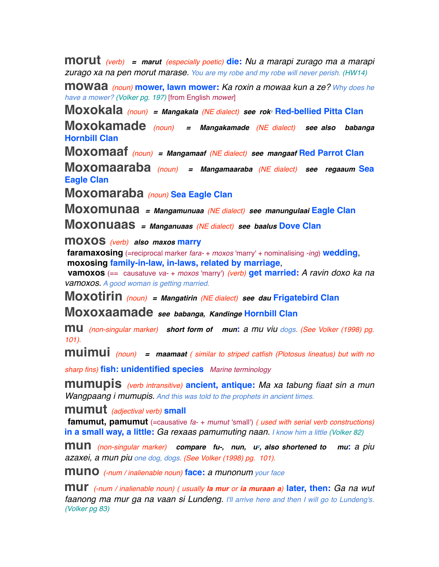**morut** *(verb) = marut (especially poetic)* **die:** *Nu a marapi zurago ma a marapi zurago xa na pen morut marase. You are my robe and my robe will never perish. (HW14)*

**mowaa** *(noun)* **mower, lawn mower:** *Ka roxin a mowaa kun a ze? Why does he have a mower? (Volker pg. 197)* [from English *mower*]

**Moxokala** *(noun) = Mangakala (NE dialect) see rok1* **Red-bellied Pitta Clan**

**Moxokamade** *(noun) = Mangakamade (NE dialect) see also babanga* **Hornbill Clan**

**Moxomaaf** *(noun) = Mangamaaf (NE dialect) see mangaaf* **Red Parrot Clan**

**Moxomaaraba** *(noun) = Mangamaaraba (NE dialect) see regaaum* **Sea Eagle Clan**

**Moxomaraba** *(noun)* **Sea Eagle Clan**

**Moxomunaa** *= Mangamunuaa (NE dialect) see manungulaai* **Eagle Clan**

**Moxonuaas** *= Manganuaas (NE dialect) see baalus* **Dove Clan**

**moxos** *(verb) also maxos* **marry**

 **faramaxosing** (=reciprocal marker *fara-* + *moxos* 'marry' + nominalising *-ing*) **wedding**,  **moxosing family-in-law, in-laws, related by marriage**,

 **vamoxos** (== causatuve *va-* + *moxos* 'marry') *(verb)* **get married:** *A ravin doxo ka na vamoxos. A good woman is getting married.*

**Moxotirin** *(noun) = Mangatirin (NE dialect) see dau* **Frigatebird Clan**

**Moxoxaamade** *see babanga, Kandinge* **Hornbill Clan**

**mu** *(non-singular marker) short form of mun***:** *a mu viu dogs. (See Volker (1998) pg. 101).*

**muimui** *(noun) = maamaat ( similar to striped catfish (Plotosus lineatus) but with no* 

*sharp fins)* **fish: unidentified species** *Marine terminology*

**mumupis** *(verb intransitive)* **ancient, antique:** *Ma xa tabung fiaat sin a mun Wangpaang i mumupis. And this was told to the prophets in ancient times.*

**mumut** *(adjectival verb)* **small**

 **famumut, pamumut** (=causative *fa-* + *mumut* 'small') *( used with serial verb constructions)* **in a small way, a little:** *Ga rexaas pamumuting naan. I know him a little (Volker 82)*

**mun** *(non-singular marker) compare fu-, nun, u2, also shortened to mu***:** *a piu azaxei, a mun piu one dog, dogs. (See Volker (1998) pg. 101).*

**muno** *(-num / inalienable noun)* **face:** *a munonum your face*

**mur** *(-num / inalienable noun) ( usually la mur or ia muraan a)* **later, then:** *Ga na wut faanong ma mur ga na vaan si Lundeng. I'll arrive here and then I will go to Lundeng's. (Volker pg 83)*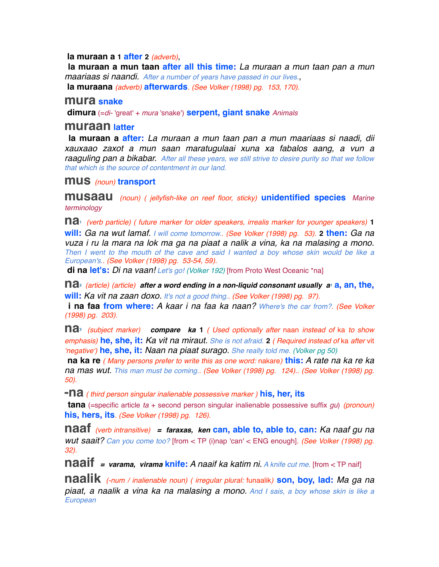#### **la muraan a 1 after 2** *(adverb)*,

 **la muraan a mun taan after all this time:** *La muraan a mun taan pan a mun maariaas si naandi. After a number of years have passed in our lives.*,  **la muraana** *(adverb)* **afterwards***. (See Volker (1998) pg. 153, 170).*

#### **mura snake**

 **dimura** (=*di-* 'great' + *mura* 'snake') **serpent, giant snake** *Animals* 

#### **muraan latter**

 **la muraan a after:** *La muraan a mun taan pan a mun maariaas si naadi, dii xauxaao zaxot a mun saan maratugulaai xuna xa fabalos aang, a vun a raaguling pan a bikabar. After all these years, we still strive to desire purity so that we follow that which is the source of contentment in our land.*

#### **mus** *(noun)* **transport**

**musaau** *(noun) ( jellyfish-like on reef floor, sticky)* **unidentified species** *Marine terminology*

**na1** *(verb particle) ( future marker for older speakers, irrealis marker for younger speakers)* **<sup>1</sup> will:** *Ga na wut lamaf. I will come tomorrow.. (See Volker (1998) pg. 53).* **2 then:** *Ga na vuza i ru la mara na lok ma ga na piaat a nalik a vina, ka na malasing a mono. Then I went to the mouth of the cave and said I wanted a boy whose skin would be like a European's.. (See Volker (1998) pg. 53-54, 59).*

 **di na let's:** *Di na vaan! Let's go! (Volker 192)* [from Proto West Oceanic \*na]

**na**<sup>2</sup> *(article) (article) after a word ending in a non-liquid consonant usually a<sup>t</sup> a, an, the,* **will:** *Ka vit na zaan doxo. It's not a good thing.. (See Volker (1998) pg. 97).*

 **i na faa from where:** *A kaar i na faa ka naan? Where's the car from?. (See Volker (1998) pg. 203).*

**na3** *(subject marker) compare ka* **<sup>1</sup>** *( Used optionally after* naan *instead of* ka *to show emphasis)* **he, she, it:** *Ka vit na miraut. She is not afraid.* **2** *( Required instead of* ka *after* vit ʻ*negative*ʻ*)* **he, she, it:** *Naan na piaat surago. She really told me. (Volker pg 50)*

 **na ka re** *( Many persons prefer to write this as one word:* nakare*)* **this:** *A rate na ka re ka na mas wut. This man must be coming.. (See Volker (1998) pg. 124).. (See Volker (1998) pg. 50).*

**-na** *( third person singular inalienable possessive marker )* **his, her, its**

 **tana** (=specific article *ta* + second person singular inalienable possessive suffix *gu*) *(pronoun)* **his, hers, its***. (See Volker (1998) pg. 126).*

**naaf** *(verb intransitive) = faraxas, ken* **can, able to, able to, can:** *Ka naaf gu na wut saait? Can you come too?* [from < TP (i)nap 'can' < ENG enough]*. (See Volker (1998) pg. 32).*

**naaif** *= varama, virama* **knife:** *A naaif ka katim ni. A knife cut me.* [from < TP naif]

**naalik** *(-num / inalienable noun) ( irregular plural:* funaalik*)* **son, boy, lad:** *Ma ga na piaat, a naalik a vina ka na malasing a mono. And I sais, a boy whose skin is like a European*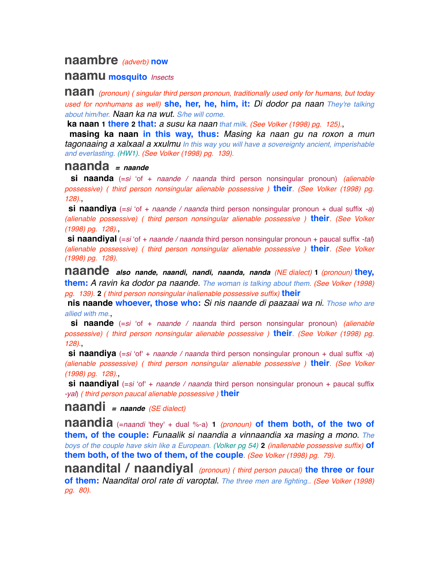## **naambre** *(adverb)* **now**

#### **naamu mosquito** *Insects*

**naan** *(pronoun) ( singular third person pronoun, traditionally used only for humans, but today used for nonhumans as well)* **she, her, he, him, it:** *Di dodor pa naan They're talking about him/her. Naan ka na wut. S/he will come.*

 **ka naan 1 there 2 that:** *a susu ka naan that milk. (See Volker (1998) pg. 125).*,

 **masing ka naan in this way, thus:** *Masing ka naan gu na roxon a mun tagonaaing a xalxaal a xxulmu In this way you will have a sovereignty ancient, imperishable and everlasting. (HW1). (See Volker (1998) pg. 139).*

### **naanda** *= naande*

 **si naanda** (=*si* ʻof + *naande / naanda* third person nonsingular pronoun) *(alienable possessive) ( third person nonsingular alienable possessive )* **their***. (See Volker (1998) pg. 128).*,

 **si naandiya** (=*si* ʻof + *naande / naanda* third person nonsingular pronoun + dual suffix *-a*) *(alienable possessive) ( third person nonsingular alienable possessive )* **their***. (See Volker (1998) pg. 128).*,

 **si naandiyal** (=*si* ʻof + *naande / naanda* third person nonsingular pronoun + paucal suffix *-tal*) *(alienable possessive) ( third person nonsingular alienable possessive )* **their***. (See Volker (1998) pg. 128).*

**naande** *also nande, naandi, nandi, naanda, nanda (NE dialect)* **<sup>1</sup>** *(pronoun)* **they, them:** *A ravin ka dodor pa naande. The woman is talking about them. (See Volker (1998) pg. 139).* **2** *( third person nonsingular inalienable possessive suffix)* **their**

 **nis naande whoever, those who:** *Si nis naande di paazaai wa ni. Those who are allied with me.*,

 **si naande** (=*si* ʻof + *naande / naanda* third person nonsingular pronoun) *(alienable possessive) ( third person nonsingular alienable possessive )* **their***. (See Volker (1998) pg. 128).*,

 **si naandiya** (=*si* ʻof' + *naande / naanda* third person nonsingular pronoun + dual suffix *-a*) *(alienable possessive) ( third person nonsingular alienable possessive )* **their***. (See Volker (1998) pg. 128).*,

 **si naandiyal** (=*si* ʻof' + *naande / naanda* third person nonsingular pronoun + paucal suffix *-yal*) *( third person paucal alienable possessive )* **their**

**naandi** *= naande (SE dialect)*

**naandia** (=*naandi* 'they' + dual %-a) **<sup>1</sup>** *(pronoun)* **of them both, of the two of them, of the couple:** *Funaalik si naandia a vinnaandia xa masing a mono. The boys of the couple have skin like a European. (Volker pg 54)* **2** *(inallenable possessive suffix)* **of them both, of the two of them, of the couple***. (See Volker (1998) pg. 79).*

**naandital / naandiyal** *(pronoun) ( third person paucal)* **the three or four of them:** *Naandital orol rate di varoptal. The three men are fighting.. (See Volker (1998) pg. 80).*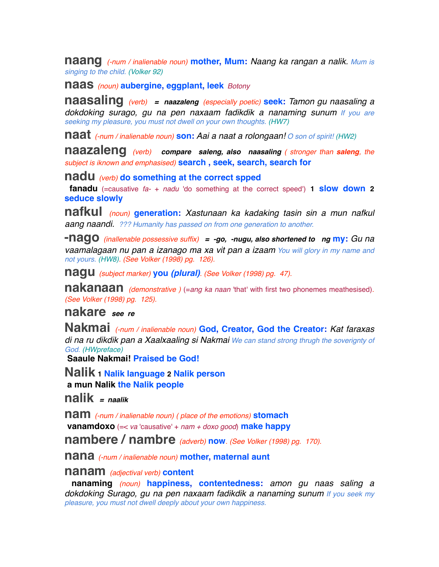**naang** *(-num / inalienable noun)* **mother, Mum:** *Naang ka rangan a nalik. Mum is singing to the child. (Volker 92)*

**naas** *(noun)* **aubergine, eggplant, leek** *Botony*

**naasaling** *(verb) = naazaleng (especially poetic)* **seek:** *Tamon gu naasaling a dokdoking surago, gu na pen naxaam fadikdik a nanaming sunum If you are seeking my pleasure, you must not dwell on your own thoughts. (HW7)*

**naat** *(-num / inalienable noun)* **son:** *Aai a naat a rolongaan! O son of spirit! (HW2)*

**naazaleng** *(verb) compare saleng, also naasaling ( stronger than saleng, the subject is iknown and emphasised)* **search , seek, search, search for**

**nadu** *(verb)* **do something at the correct spped**

 **fanadu** (=causative *fa-* + *nadu* 'do something at the correct speed') **1 slow down 2 seduce slowly**

**nafkul** *(noun)* **generation:** *Xastunaan ka kadaking tasin sin a mun nafkul aang naandi. ??? Humanity has passed on from one generation to another.*

**-nago** *(inallenable possessive suffix) = -go, -nugu, also shortened to ng* **my:** *Gu na vaamalagaan nu pan a izanago ma xa vit pan a izaam You will glory in my name and not yours. (HW8). (See Volker (1998) pg. 126).*

**nagu** *(subject marker)* **you** *(plural). (See Volker (1998) pg. 47).*

**nakanaan** *(demonstrative )* (=*ang ka naan* 'that' with first two phonemes meathesised)*. (See Volker (1998) pg. 125).*

### **nakare** *see re*

**Nakmai** *(-num / inalienable noun)* **God, Creator, God the Creator:** *Kat faraxas di na ru dikdik pan a Xaalxaaling si Nakmai We can stand strong thrugh the soverignty of God. (HWpreface)*

 **Saaule Nakmai! Praised be God!**

**Nalik 1 Nalik language 2 Nalik person a mun Nalik the Nalik people**

**nalik** *= naalik*

**nam** *(-num / inalienable noun) ( place of the emotions)* **stomach**

 **vanamdoxo** (=< *va* 'causative' + *nam + doxo good*) **make happy**

**nambere / nambre** *(adverb)* **now***. (See Volker (1998) pg. 170).*

**nana** *(-num / inalienable noun)* **mother, maternal aunt**

#### **nanam** *(adjectival verb)* **content**

 **nanaming** *(noun)* **happiness, contentedness:** *amon gu naas saling a dokdoking Surago, gu na pen naxaam fadikdik a nanaming sunum If you seek my pleasure, you must not dwell deeply about your own happiness.*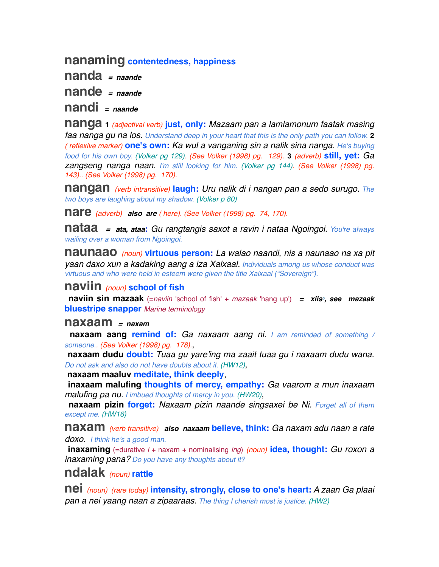## **nanaming contentedness, happiness**

**nanda** *= naande* **nande** *= naande*

**nandi** *= naande*

**nanga <sup>1</sup>** *(adjectival verb)* **just, only:** *Mazaam pan a lamlamonum faatak masing faa nanga gu na los. Understand deep in your heart that this is the only path you can follow.* **2** *( reflexive marker)* **one's own:** *Ka wul a vanganing sin a nalik sina nanga. He's buying food for his own boy. (Volker pg 129). (See Volker (1998) pg. 129).* **3** *(adverb)* **still, yet:** *Ga zangseng nanga naan. I'm still looking for him. (Volker pg 144). (See Volker (1998) pg. 143).. (See Volker (1998) pg. 170).*

**nangan** *(verb intransitive)* **laugh:** *Uru nalik di i nangan pan a sedo surugo. The two boys are laughing about my shadow. (Volker p 80)*

**nare** *(adverb) also are ( here). (See Volker (1998) pg. 74, 170).*

**nataa** *= ata, ataa***:** *Gu rangtangis saxot a ravin i nataa Ngoingoi. You're always wailing over a woman from Ngoingoi.*

**naunaao** *(noun)* **virtuous person:** *La walao naandi, nis a naunaao na xa pit yaan daxo xun a kadaking aang a iza Xalxaal. Individuals among us whose conduct was virtuous and who were held in esteem were given the title Xalxaal ("Sovereign").*

### **naviin** *(noun)* **school of fish**

 **naviin sin mazaak** (=*naviin* 'school of fish' + *mazaak* 'hang up') *= xiis2, see mazaak* **bluestripe snapper** *Marine terminology*

#### **naxaam** *= naxam*

 **naxaam aang remind of:** *Ga naxaam aang ni. I am reminded of something / someone.. (See Volker (1998) pg. 178).*,

 **naxaam dudu doubt:** *Tuaa gu yare'ing ma zaait tuaa gu i naxaam dudu wana. Do not ask and also do not have doubts about it. (HW12)*,

 **naxaam maaluv meditate, think deeply**,

 **inaxaam malufing thoughts of mercy, empathy:** *Ga vaarom a mun inaxaam malufing pa nu. I imbued thoughts of mercy in you. (HW20)*,

 **naxaam pizin forget:** *Naxaam pizin naande singsaxei be Ni. Forget all of them except me. (HW16)*

**naxam** *(verb transitive) also naxaam* **believe, think:** *Ga naxam adu naan a rate doxo. I think he's a good man.*

 **inaxaming** (=durative *i* + naxam + nominalising *ing*) *(noun)* **idea, thought:** *Gu roxon a inaxaming pana? Do you have any thoughts about it?*

# **ndalak** *(noun)* **rattle**

**nei** *(noun) (rare today)* **intensity, strongly, close to one's heart:** *A zaan Ga plaai pan a nei yaang naan a zipaaraas. The thing I cherish most is justice. (HW2)*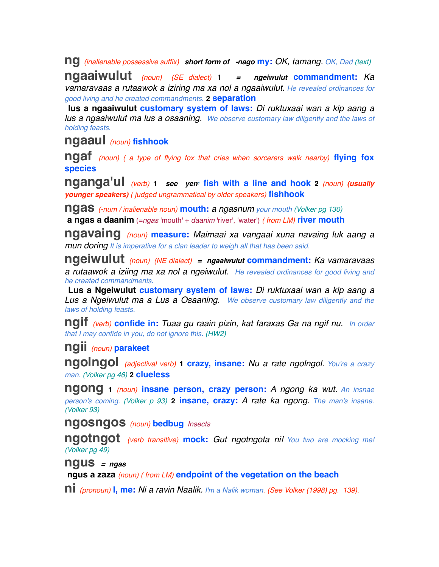**ng** *(inallenable possessive suffix) short form of -nago* **my:** *OK, tamang. OK, Dad (text)*

**ngaaiwulut** *(noun) (SE dialect)* **<sup>1</sup>** *= ngeiwulut* **commandment:** *Ka vamaravaas a rutaawok a iziring ma xa nol a ngaaiwulut. He revealed ordinances for good living and he created commandments.* **2 separation**

 **lus a ngaaiwulut customary system of laws:** *Di ruktuxaai wan a kip aang a lus a ngaaiwulut ma lus a osaaning. We observe customary law diligently and the laws of holding feasts.* 

## **ngaaul** *(noun)* **fishhook**

**ngaf** *(noun) ( a type of flying fox that cries when sorcerers walk nearby)* **flying fox species**

**nganga'ul** *(verb)* **1** *see yen<sup><i>i*</sup> fish with a line and hook 2 *(noun) (usually younger speakers) ( judged ungrammatical by older speakers)* **fishhook**

**ngas** *(-num / inalienable noun)* **mouth:** *a ngasnum your mouth (Volker pg 130)*  **a ngas a daanim** (=*ngas* 'mouth' + *daanim* 'river', 'water') *( from LM)* **river mouth**

**ngavaing** *(noun)* **measure:** *Maimaai xa vangaai xuna navaing luk aang a mun doring It is imperative for a clan leader to weigh all that has been said.*

**ngeiwulut** *(noun) (NE dialect) = ngaaiwulut* **commandment:** *Ka vamaravaas a rutaawok a iziing ma xa nol a ngeiwulut. He revealed ordinances for good living and he created commandments.* 

 **Lus a Ngeiwulut customary system of laws:** *Di ruktuxaai wan a kip aang a Lus a Ngeiwulut ma a Lus a Osaaning. We observe customary law diligently and the laws of holding feasts.* 

**ngif** *(verb)* **confide in:** *Tuaa gu raain pizin, kat faraxas Ga na ngif nu. In order that I may confide in you, do not ignore this. (HW2)*

**ngii** *(noun)* **parakeet**

**ngolngol** *(adjectival verb)* **1 crazy, insane:** *Nu a rate ngolngol. You're a crazy man. (Volker pg 46)* **2 clueless**

**ngong <sup>1</sup>** *(noun)* **insane person, crazy person:** *A ngong ka wut. An insnae person's coming. (Volker p 93)* **2 insane, crazy:** *A rate ka ngong. The man's insane. (Volker 93)*

**ngosngos** *(noun)* **bedbug** *Insects*

**ngotngot** *(verb transitive)* **mock:** *Gut ngotngota ni! You two are mocking me! (Volker pg 49)*

**ngus** *= ngas*  **ngus a zaza** *(noun) ( from LM)* **endpoint of the vegetation on the beach**

**ni** *(pronoun)* **I, me:** *Ni a ravin Naalik. I'm a Nalik woman. (See Volker (1998) pg. 139).*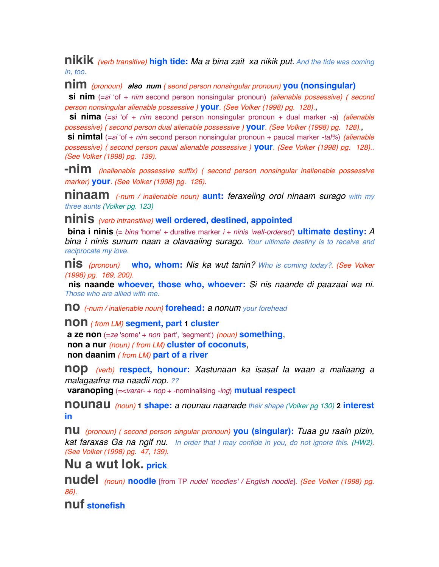**nikik** *(verb transitive)* **high tide:** *Ma a bina zait xa nikik put. And the tide was coming in, too.*

**nim** *(pronoun) also num ( seond person nonsingular pronoun)* **you (nonsingular)**

 **si nim** (=*si* ʻof + *nim* second person nonsingular pronoun) *(alienable possessive) ( second person nonsingular alienable possessive )* **your***. (See Volker (1998) pg. 128).*,

 **si nima** (=*si* ʻof + *nim* second person nonsingular pronoun + dual marker *-a*) *(alienable possessive) ( second person dual alienable possessive )* **your***. (See Volker (1998) pg. 128).*,

 **si nimtal** (=*si* ʻof + *nim* second person nonsingular pronoun + paucal marker *-tal%*) *(alienable possessive) ( second person paual alienable possessive )* **your***. (See Volker (1998) pg. 128).. (See Volker (1998) pg. 139).*

**-nim** *(inallenable possessive suffix) ( second person nonsingular inalienable possessive marker)* **your***. (See Volker (1998) pg. 126).*

**ninaam** *(-num / inalienable noun)* **aunt:** *feraxeiing orol ninaam surago with my three aunts (Volker pg. 123)*

**ninis** *(verb intransitive)* **well ordered, destined, appointed**

 **bina i ninis** (= *bina* 'home' + durative marker *i* + *ninis 'well-ordered'*) **ultimate destiny:** *A bina i ninis sunum naan a olavaaiing surago. Your ultimate destiny is to receive and reciprocate my love.*

**nis** *(pronoun)* **who, whom:** *Nis ka wut tanin? Who is coming today?. (See Volker (1998) pg. 169, 200).*

 **nis naande whoever, those who, whoever:** *Si nis naande di paazaai wa ni. Those who are allied with me.*

**no** *(-num / inalienable noun)* **forehead:** *a nonum your forehead*

**non** *( from LM)* **segment, part 1 cluster**

 **a ze non** (=*ze* 'some' + *non* 'part', 'segment') *(noun)* **something**,  **non a nur** *(noun) ( from LM)* **cluster of coconuts**,  **non daanim** *( from LM)* **part of a river**

**nop** *(verb)* **respect, honour:** *Xastunaan ka isasaf la waan a maliaang a malagaafna ma naadii nop. ??*

 **varanoping** (=<*varar-* + *nop* + -nominalising *-ing*) **mutual respect**

**nounau** *(noun)* **1 shape:** *a nounau naanade their shape (Volker pg 130)* **2 interest in**

**nu** *(pronoun) ( second person singular pronoun)* **you (singular):** *Tuaa gu raain pizin, kat faraxas Ga na ngif nu. In order that I may confide in you, do not ignore this. (HW2). (See Volker (1998) pg. 47, 139).*

# **Nu a wut lok. prick**

**nudel** *(noun)* **noodle** [from TP *nudel 'noodles' / English noodle*]*. (See Volker (1998) pg. 86).*

**nuf stonefish**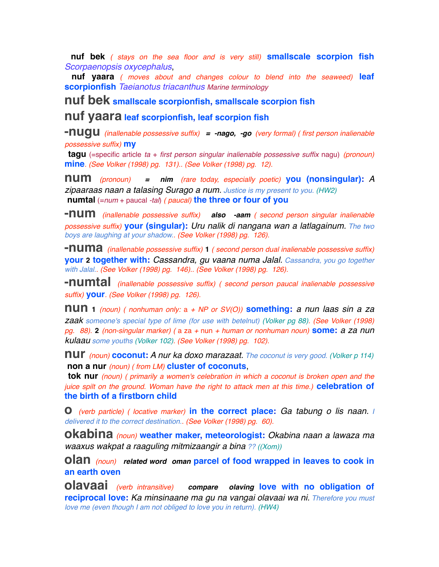**nuf bek** *( stays on the sea floor and is very still)* **smallscale scorpion fish** *Scorpaenopsis oxycephalus*,

 **nuf yaara** *( moves about and changes colour to blend into the seaweed)* **leaf scorpionfish** *Taeianotus triacanthus Marine terminology*

**nuf bek smallscale scorpionfish, smallscale scorpion fish**

**nuf yaara leaf scorpionfish, leaf scorpion fish**

**-nugu** *(inallenable possessive suffix) = -nago, -go (very formal) ( first person inalienable possessive suffix)* **my**

 **tagu** (=specific article *ta* + *first person singular inalienable possessive suffix* nagu) *(pronoun)* **mine***. (See Volker (1998) pg. 131).. (See Volker (1998) pg. 12).*

**num** *(pronoun) = nim (rare today, especially poetic)* **you (nonsingular):***<sup>A</sup> zipaaraas naan a talasing Surago a num. Justice is my present to you. (HW2)*  **numtal** (=*num* + paucal *-tal*) *( paucal)* **the three or four of you**

**-num** *(inallenable possessive suffix) also -aam ( second person singular inalienable possessive suffix)* **your (singular):** *Uru nalik di nangana wan a latlagainum. The two boys are laughing at your shadow.. (See Volker (1998) pg. 126).*

**-numa** *(inallenable possessive suffix)* **<sup>1</sup>** *( second person dual inalienable possessive suffix)* **your 2 together with:** *Cassandra, gu vaana numa Jalal. Cassandra, you go together with Jalal.. (See Volker (1998) pg. 146).. (See Volker (1998) pg. 126).*

**-numtal** *(inallenable possessive suffix) ( second person paucal inalienable possessive suffix)* **your***. (See Volker (1998) pg. 126).*

**nun <sup>1</sup>** *(noun) ( nonhuman only:* a *+ NP or SV(O))* **something:** *a nun laas sin a za zaak someone's special type of lime (for use with betelnut) (Volker pg 88). (See Volker (1998) pg. 88).* **2** *(non-singular marker) (* a za *+* nun *+ human or nonhuman noun)* **some:** *a za nun kulaau some youths (Volker 102). (See Volker (1998) pg. 102).*

**nur** *(noun)* **coconut:** *A nur ka doxo marazaat. The coconut is very good. (Volker p 114)*  **non a nur** *(noun) ( from LM)* **cluster of coconuts**,

 **tok nur** *(noun) ( primarily a women's celebration in which a coconut is broken open and the juice spilt on the ground. Woman have the right to attack men at this time.)* **celebration of the birth of a firstborn child**

**o** *(verb particle) ( locative marker)* **in the correct place:** *Ga tabung o lis naan. I delivered it to the correct destination.. (See Volker (1998) pg. 60).*

**okabina** *(noun)* **weather maker, meteorologist:** *Okabina naan a lawaza ma waaxus wakpat a raaguling mitmizaangir a bina ?? ((Xom))*

**olan** *(noun) related word oman* **parcel of food wrapped in leaves to cook in an earth oven**

**olavaai** *(verb intransitive) compare olaving* **love with no obligation of reciprocal love:** *Ka minsinaane ma gu na vangai olavaai wa ni. Therefore you must love me (even though I am not obliged to love you in return). (HW4)*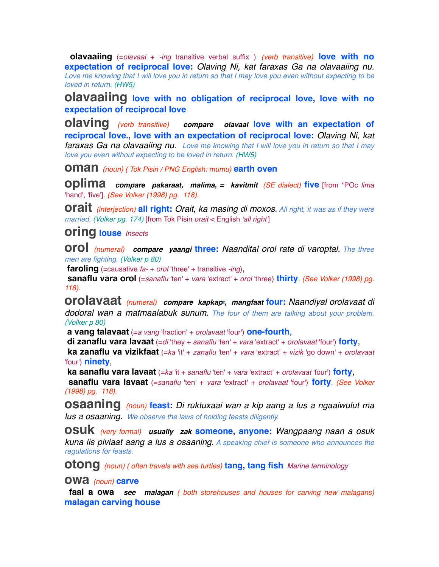**olavaaiing** (=*olavaai* + *-ing* transitive verbal suffix ) *(verb transitive)* **love with no expectation of reciprocal love:** *Olaving Ni, kat faraxas Ga na olavaaiing nu. Love me knowing that I will love you in return so that I may love you even without expecting to be loved in return. (HW5)*

**olavaaiing love with no obligation of reciprocal love, love with no expectation of reciprocal love**

**olaving** *(verb transitive) compare olavaai* **love with an expectation of reciprocal love., love with an expectation of reciprocal love:** *Olaving Ni, kat faraxas Ga na olavaaiing nu. Love me knowing that I will love you in return so that I may love you even without expecting to be loved in return. (HW5)*

**oman** *(noun) ( Tok Pisin / PNG English: mumu)* **earth oven**

**oplima** *compare pakaraat, malima, = kavitmit (SE dialect)* **five** [from \*POc *lima* 'hand', 'five']*. (See Volker (1998) pg. 118).*

**orait** *(interjection)* **all right:** *Orait, ka masing di moxos. All right, it was as if they were married. (Volker pg. 174)* [from Tok Pisin *orait* < English *'all right'*]

**oring louse** *Insects*

**orol** *(numeral) compare yaangi* **three:** *Naandital orol rate di varoptal. The three men are fighting. (Volker p 80)*

**faroling** (=causative *fa-* + *orol* 'three' + transitive *-ing*),

 **sanaflu vara orol** (=*sanaflu* 'ten' + *vara* 'extract' + *orol* 'three) **thirty***. (See Volker (1998) pg. 118).*

**orolavaat** *(numeral) compare kapkap2, mangfaat* **four:** *Naandiyal orolavaat di dodoral wan a matmaalabuk sunum. The four of them are talking about your problem. (Volker p 80)*

 **a vang talavaat** (=*a vang* 'fraction' + *orolavaat* 'four') **one-fourth**,

 **di zanaflu vara lavaat** (=*di* 'they + *sanaflu* 'ten' + *vara* 'extract' + *orolavaat* 'four') **forty**,

 **ka zanaflu va vizikfaat** (=*ka* 'it' + *zanaflu* 'ten' + *vara* 'extract' + *vizik* 'go down' + *orolavaat* 'four') **ninety**,

 **ka sanaflu vara lavaat** (=*ka* 'it + *sanaflu* 'ten' + *vara* 'extract' + *orolavaat* 'four') **forty**,

 **sanaflu vara lavaat** (=*sanaflu* 'ten' + *vara* 'extract' + *orolavaat* 'four') **forty***. (See Volker (1998) pg. 118).*

**osaaning** *(noun)* **feast:** *Di ruktuxaai wan a kip aang a lus a ngaaiwulut ma lus a osaaning. We observe the laws of holding feasts diligently.*

**osuk** *(very formal) usually zak* **someone, anyone:** *Wangpaang naan a osuk kuna lis piviaat aang a lus a osaaning. A speaking chief is someone who announces the regulations for feasts.* 

**otong** *(noun) ( often travels with sea turtles)* **tang, tang fish** *Marine terminology*

#### **owa** *(noun)* **carve**

 **faal a owa** *see malagan ( both storehouses and houses for carving new malagans)* **malagan carving house**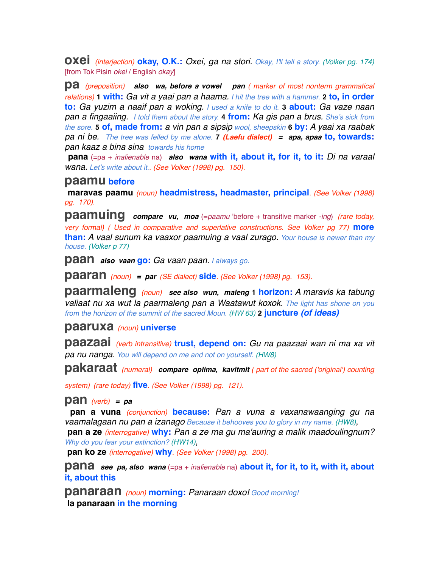**oxei** *(interjection)* **okay, O.K.:** *Oxei, ga na stori. Okay, I'll tell a story. (Volker pg. 174)* [from Tok Pisin *okei* / English *okay*]

**pa** *(preposition) also wa, before a vowel pan ( marker of most nonterm grammatical relations)* **1 with:** *Ga vit a yaai pan a haama. I hit the tree with a hammer.* **2 to, in order to:** *Ga yuzim a naaif pan a woking. I used a knife to do it.* **3 about:** *Ga vaze naan pan a fingaaiing. I told them about the story.* **4 from:** *Ka gis pan a brus. She's sick from the sore.* **5 of, made from:** *a vin pan a sipsip wool, sheepskin* **6 by:** *A yaai xa raabak pa ni be. The tree was felled by me alone.* **7** *(Laefu dialect) = apa, apaa* **to, towards:** *pan kaaz a bina sina towards his home*

 **pana** (=pa + *inalienable* na) *also wana* **with it, about it, for it, to it:** *Di na varaal wana. Let's write about it.. (See Volker (1998) pg. 150).*

#### **paamu before**

 **maravas paamu** *(noun)* **headmistress, headmaster, principal***. (See Volker (1998) pg. 170).*

**paamuing** *compare vu, moa* (=*paamu* 'before + transitive marker *-ing*) *(rare today, very formal) ( Used in comparative and superlative constructions. See Volker pg 77)* **more than:** *A vaal sunum ka vaaxor paamuing a vaal zurago. Your house is newer than my house. (Volker p 77)*

**paan** *also vaan* **go:** *Ga vaan paan. I always go.* 

**paaran** *(noun) = par (SE dialect)* **side***. (See Volker (1998) pg. 153).*

**paarmaleng** *(noun) see also wun, maleng* **1 horizon:** *A maravis ka tabung valiaat nu xa wut la paarmaleng pan a Waatawut koxok. The light has shone on you from the horizon of the summit of the sacred Moun. (HW 63)* **2 juncture** *(of ideas)*

#### **paaruxa** *(noun)* **universe**

**paazaai** *(verb intransitive)* **trust, depend on:** *Gu na paazaai wan ni ma xa vit pa nu nanga. You will depend on me and not on yourself. (HW8)*

**pakaraat** *(numeral) compare oplima, kavitmit ( part of the sacred ('original') counting* 

*system) (rare today)* **five***. (See Volker (1998) pg. 121).*

#### **pan** *(verb) = pa*

 **pan a vuna** *(conjunction)* **because:** *Pan a vuna a vaxanawaanging gu na vaamalagaan nu pan a izanago Because it behooves you to glory in my name. (HW8)*,  **pan a ze** *(interrogative)* **why:** *Pan a ze ma gu ma'auring a malik maadoulingnum? Why do you fear your extinction? (HW14)*,

 **pan ko ze** *(interrogative)* **why***. (See Volker (1998) pg. 200).*

**pana** see pa, also wana (=pa + *inalienable* na) about it, for it, to it, with it, about **it, about this**

**panaraan** *(noun)* **morning:** *Panaraan doxo! Good morning!*  **la panaraan in the morning**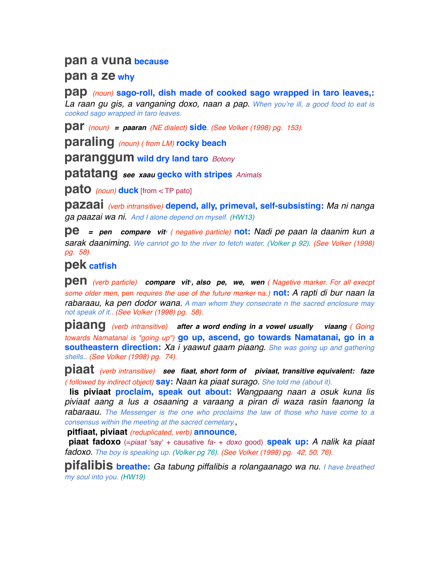## **pan a vuna because**

### **pan a ze why**

**pap** *(noun)* **sago-roll, dish made of cooked sago wrapped in taro leaves,:**

*La raan gu gis, a vanganing doxo, naan a pap. When you're ill, a good food to eat is cooked sago wrapped in taro leaves.*

**par** *(noun) = paaran (NE dialect)* **side***. (See Volker (1998) pg. 153).*

**paraling** *(noun) ( from LM)* **rocky beach**

**paranggum wild dry land taro** *Botony*

**patatang** *see xaau* **gecko with stripes** *Animals* 

**pato** *(noun)* **duck** [from < TP pato]

**pazaai** *(verb intransitive)* **depend, ally, primeval, self-subsisting:** *Ma ni nanga ga paazai wa ni. And I alone depend on myself. (HW13)*

**pe** = pen compare vit<sup>*i*</sup> ( negative particle) **not:** Nadi pe paan la daanim kun a *sarak daaniming. We cannot go to the river to fetch water. (Volker p 92). (See Volker (1998) pg. 58).*

# **pek catfish**

**pen** *(verb particle) compare vit<sup>1</sup>, also pe, we, wen <i>(* Nagetive marker. For all execpt *some older men,* pen *requires the use of the future marker* na*.)* **not:** *A rapti di bur naan la rabaraau, ka pen dodor wana. A man whom they consecrate n the sacred enclosure may not speak of it.. (See Volker (1998) pg. 58).*

**piaang** *(verb intransitive) after a word ending in a vowel usually viaang ( Going towards Namatanai is "going up")* **go up, ascend, go towards Namatanai, go in a southeastern direction:** *Xa i yaawut gaam piaang. She was going up and gathering shells.. (See Volker (1998) pg. 74).*

**piaat** *(verb intransitive) see fiaat, short form of piviaat, transitive equivalent: faze ( followed by indirect object)* **say:** *Naan ka piaat surago. She told me (about it).*

 **lis piviaat proclaim, speak out about:** *Wangpaang naan a osuk kuna lis piviaat aang a lus a osaaning a varaang a piran di waza rasin faanong la rabaraau. The Messenger is the one who proclaims the law of those who have come to a consensus within the meeting at the sacred cemetary.*,

 **pitfiaat, piviaat** *(reduplicated, verb)* **announce**,

 **piaat fadoxo** (=*piaat* 'say' + causative *fa-* + *doxo* good) **speak up:** *A nalik ka piaat fadoxo. The boy is speaking up. (Volker pg 76). (See Volker (1998) pg. 42, 50, 76).*

**pifalibis breathe:** *Ga tabung piffalibis a rolangaanago wa nu. I have breathed my soul into you. (HW19)*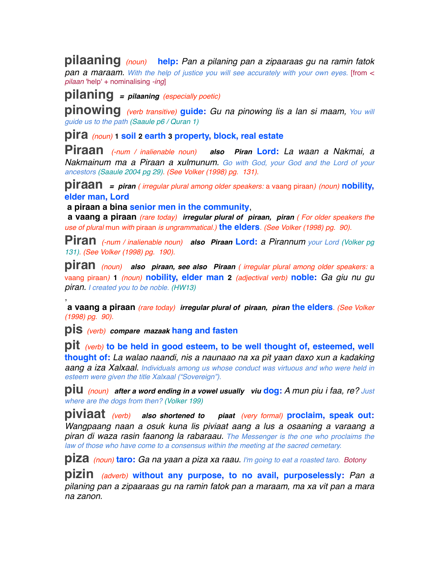**pilaaning** *(noun)* **help:** *Pan a pilaning pan a zipaaraas gu na ramin fatok pan a maraam. With the help of justice you will see accurately with your own eyes.* [from < *pilaan* 'help' + nominalising *-ing*]

## **pilaning** *= pilaaning (especially poetic)*

**pinowing** *(verb transitive)* **guide:** *Gu na pinowing lis a lan si maam, You will guide us to the path (Saaule p6 / Quran 1)*

**pira** *(noun)* **1 soil 2 earth 3 property, block, real estate**

**Piraan** *(-num / inalienable noun) also Piran* **Lord:** *La waan a Nakmai, a Nakmainum ma a Piraan a xulmunum. Go with God, your God and the Lord of your ancestors (Saaule 2004 pg 29). (See Volker (1998) pg. 131).*

**piraan** *= piran ( irregular plural among older speakers:* a vaang piraan*) (noun)* **nobility, elder man, Lord**

 **a piraan a bina senior men in the community**,

 **a vaang a piraan** *(rare today) irregular plural of piraan, piran ( For older speakers the use of plural* mun *with* piraan *is ungrammatical.)* **the elders***. (See Volker (1998) pg. 90).*

**Piran** *(-num / inalienable noun) also Piraan* **Lord:** *a Pirannum your Lord (Volker pg 131). (See Volker (1998) pg. 190).*

**piran** *(noun) also piraan, see also Piraan ( irregular plural among older speakers:* <sup>a</sup> vaang piraan*)* **1** *(noun)* **nobility, elder man 2** *(adjectival verb)* **noble:** *Ga giu nu gu piran. I created you to be noble. (HW13)*

 **a vaang a piraan** *(rare today) irregular plural of piraan, piran* **the elders***. (See Volker (1998) pg. 90).*

**pis** *(verb) compare mazaak* **hang and fasten**

,

**pit** *(verb)* **to be held in good esteem, to be well thought of, esteemed, well thought of:** *La walao naandi, nis a naunaao na xa pit yaan daxo xun a kadaking aang a iza Xalxaal. Individuals among us whose conduct was virtuous and who were held in esteem were given the title Xalxaal ("Sovereign").*

**piu** *(noun) after a word ending in a vowel usually viu* **dog:** *A mun piu i faa, re? Just where are the dogs from then? (Volker 199)*

**piviaat** *(verb) also shortened to piaat (very formal)* **proclaim, speak out:** *Wangpaang naan a osuk kuna lis piviaat aang a lus a osaaning a varaang a piran di waza rasin faanong la rabaraau. The Messenger is the one who proclaims the law of those who have come to a consensus within the meeting at the sacred cemetary.*

**piza** *(noun)* **taro:** *Ga na yaan a piza xa raau. I'm going to eat a roasted taro. Botony*

**pizin** *(adverb)* **without any purpose, to no avail, purposelessly:** *Pan a pilaning pan a zipaaraas gu na ramin fatok pan a maraam, ma xa vit pan a mara na zanon.*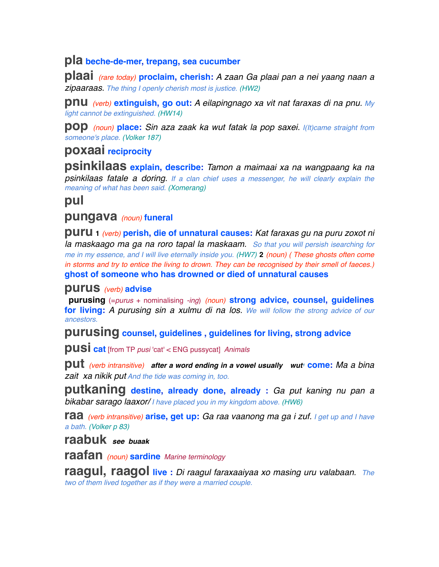### **pla beche-de-mer, trepang, sea cucumber**

**plaai** *(rare today)* **proclaim, cherish:** *A zaan Ga plaai pan a nei yaang naan a zipaaraas. The thing I openly cherish most is justice. (HW2)*

**pnu** *(verb)* **extinguish, go out:** *A eilapingnago xa vit nat faraxas di na pnu. My light cannot be extinguished. (HW14)*

**pop** *(noun)* **place:** *Sin aza zaak ka wut fatak la pop saxei. I(It)came straight from someone's place. (Volker 187)*

# **poxaai reciprocity**

**psinkilaas explain, describe:** *Tamon a maimaai xa na wangpaang ka na psinkilaas fatale a doring. If a clan chief uses a messenger, he will clearly explain the meaning of what has been said. (Xomerang)*

# **pul**

## **pungava** *(noun)* **funeral**

**puru <sup>1</sup>** *(verb)* **perish, die of unnatural causes:** *Kat faraxas gu na puru zoxot ni la maskaago ma ga na roro tapal la maskaam. So that you will persish isearching for me in my essence, and I will live eternally inside you. (HW7)* **2** *(noun) ( These ghosts often come in storms and try to entice the living to drown. They can be recognised by their smell of faeces.)* **ghost of someone who has drowned or died of unnatural causes**

#### **purus** *(verb)* **advise**

 **purusing** (=*purus* + nominalising *-ing*) *(noun)* **strong advice, counsel, guidelines for living:** *A purusing sin a xulmu di na los. We will follow the strong advice of our ancestors.*

**purusing counsel, guidelines , guidelines for living, strong advice**

**pusi cat** [from TP *pusi* 'cat' < ENG pussycat] *Animals* 

**put** *(verb intransitive)* after a word ending in a vowel usually wut<sup>1</sup> come: Ma a bina *zait xa nikik put And the tide was coming in, too.*

**putkaning destine, already done, already :** *Ga put kaning nu pan a bikabar sarago laaxor/ I have placed you in my kingdom above. (HW6)*

**raa** *(verb intransitive)* **arise, get up:** *Ga raa vaanong ma ga i zuf. I get up and I have a bath. (Volker p 83)*

## **raabuk** *see buaak*

**raafan** *(noun)* **sardine** *Marine terminology*

**raagul, raagol live :** *Di raagul faraxaaiyaa xo masing uru valabaan. The two of them lived together as if they were a married couple.*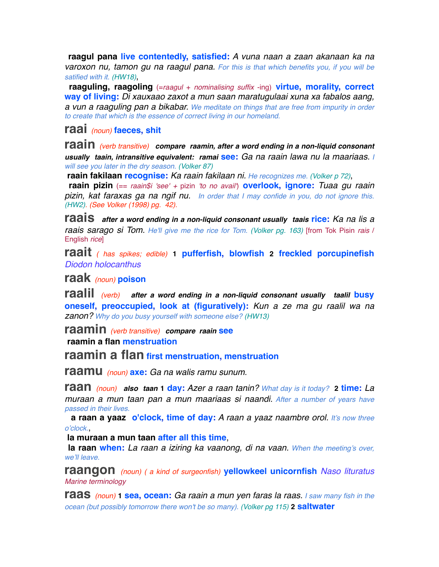**raagul pana live contentedly, satisfied:** *A vuna naan a zaan akanaan ka na varoxon nu, tamon gu na raagul pana. For this is that which benefits you, if you will be satified with it. (HW18)*,

 **raaguling, raagoling** (=*raagul* + *nominalising suffix* -ing) **virtue, morality, correct way of living:** *Di xauxaao zaxot a mun saan maratugulaai xuna xa fabalos aang, a vun a raaguling pan a bikabar. We meditate on things that are free from impurity in order to create that which is the essence of correct living in our homeland.*

**raai** *(noun)* **faeces, shit**

**raain** *(verb transitive) compare raamin, after a word ending in a non-liquid consonant usually taain, intransitive equivalent: ramai* **see:** *Ga na raain lawa nu la maariaas. I will see you later in the dry season. (Volker 87)*

 **raain fakilaan recognise:** *Ka raain fakilaan ni. He recognizes me. (Volker p 72)*,

 **raain pizin** (== *raain\$i 'see' +* pizin *'to no avail'*) **overlook, ignore:** *Tuaa gu raain pizin, kat faraxas ga na ngif nu. In order that I may confide in you, do not ignore this. (HW2). (See Volker (1998) pg. 42).*

**raais** *after a word ending in a non-liquid consonant usually taais* **rice:** *Ka na lis a raais sarago si Tom. He'll give me the rice for Tom. (Volker pg. 163)* [from Tok Pisin *rais* / English *rice*]

**raait** *( has spikes; edible)* **1 pufferfish, blowfish 2 freckled porcupinefish** *Diodon holocanthus*

**raak** *(noun)* **poison**

**raalil** *(verb) after a word ending in a non-liquid consonant usually taalil* **busy oneself, preoccupied, look at (figuratively):** *Kun a ze ma gu raalil wa na zanon? Why do you busy yourself with someone else? (HW13)*

**raamin** *(verb transitive) compare raain* **see**

 **raamin a flan menstruation**

**raamin a flan first menstruation, menstruation**

**raamu** *(noun)* **axe:** *Ga na walis ramu sunum.*

**raan** *(noun) also taan* **1 day:** *Azer a raan tanin? What day is it today?* **2 time:** *La muraan a mun taan pan a mun maariaas si naandi. After a number of years have passed in their lives.* 

 **a raan a yaaz o'clock, time of day:** *A raan a yaaz naambre orol. It's now three o'clock.*,

 **la muraan a mun taan after all this time**,

 **la raan when:** *La raan a iziring ka vaanong, di na vaan. When the meeting's over, we'll leave.*

**raangon** *(noun) ( a kind of surgeonfish)* **yellowkeel unicornfish** *Naso lituratus Marine terminology*

**raas** *(noun)* **1 sea, ocean:** *Ga raain a mun yen faras la raas. I saw many fish in the ocean (but possibly tomorrow there won't be so many). (Volker pg 115)* **2 saltwater**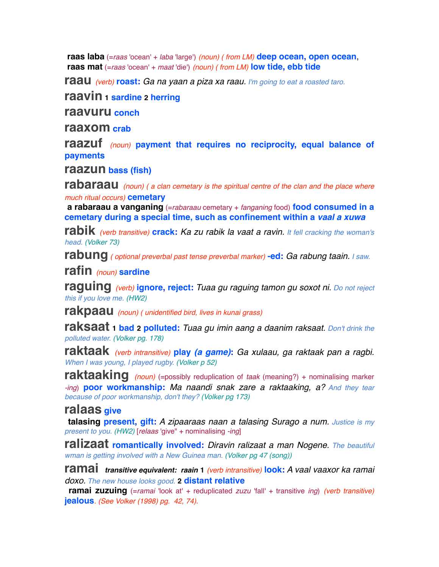**raas laba** (=*raas* 'ocean' + *laba* 'large') *(noun) ( from LM)* **deep ocean, open ocean**,  **raas mat** (=*raas* 'ocean' + *maat* 'die') *(noun) ( from LM)* **low tide, ebb tide**

**raau** *(verb)* **roast:** *Ga na yaan a piza xa raau. I'm going to eat a roasted taro.*

**raavin 1 sardine 2 herring**

**raavuru conch**

**raaxom crab**

**raazuf** *(noun)* **payment that requires no reciprocity, equal balance of payments**

**raazun bass (fish)**

**rabaraau** *(noun) ( a clan cemetary is the spiritual centre of the clan and the place where much ritual occurs)* **cemetary**

**a rabaraau a vanganing** (=*rabaraau* cemetary + *fanganing* food) **food consumed in a cemetary during a special time, such as confinement within a** *vaal a xuwa*

**rabik** *(verb transitive)* **crack:** *Ka zu rabik la vaat a ravin. It fell cracking the woman's head. (Volker 73)*

**rabung** *( optional preverbal past tense preverbal marker)* **-ed:** *Ga rabung taain. I saw.*

**rafin** *(noun)* **sardine**

**raguing** *(verb)* **ignore, reject:** *Tuaa gu raguing tamon gu soxot ni. Do not reject this if you love me. (HW2)*

**rakpaau** *(noun) ( unidentified bird, lives in kunai grass)*

**raksaat 1 bad 2 polluted:** *Tuaa gu imin aang a daanim raksaat. Don't drink the polluted water. (Volker pg. 178)*

**raktaak** *(verb intransitive)* **play** *(a game)***:** *Ga xulaau, ga raktaak pan a ragbi. When I was young, I played rugby. (Volker p 52)*

**raktaaking** *(noun)* (=possibly reduplication of *taak* (meaning?) + nominalising marker *-ing*) **poor workmanship:** *Ma naandi snak zare a raktaaking, a? And they tear because of poor workmanship, don't they? (Volker pg 173)*

### **ralaas give**

 **talasing present, gift:** *A zipaaraas naan a talasing Surago a num. Justice is my present to you. (HW2)* [*relaas* 'give" + nominalising *-ing*]

**ralizaat romantically involved:** *Diravin ralizaat a man Nogene. The beautiful wman is getting involved with a New Guinea man. (Volker pg 47 (song))*

**ramai** *transitive equivalent: raain* **<sup>1</sup>** *(verb intransitive)* **look:** *A vaal vaaxor ka ramai doxo. The new house looks good.* **2 distant relative**

 **ramai zuzuing** (=*ramai* 'look at' + reduplicated *zuzu* 'fall' + transitive *ing*) *(verb transitive)* **jealous***. (See Volker (1998) pg. 42, 74).*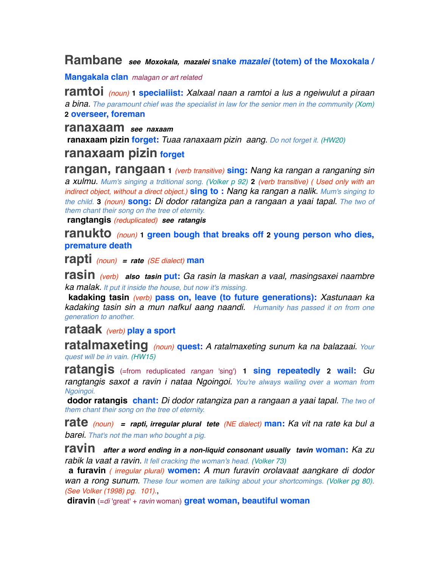### **Rambane** *see Moxokala, mazalei* **snake** *mazalei* **(totem) of the Moxokala /**

**Mangakala clan** *malagan or art related*

**ramtoi** *(noun)* **1 specialiist:** *Xalxaal naan a ramtoi a lus a ngeiwulut a piraan a bina. The paramount chief was the specialist in law for the senior men in the community (Xom)* **2 overseer, foreman**

**ranaxaam** *see naxaam*

 **ranaxaam pizin forget:** *Tuaa ranaxaam pizin aang. Do not forget it. (HW20)*

## **ranaxaam pizin forget**

**rangan, rangaan <sup>1</sup>** *(verb transitive)* **sing:** *Nang ka rangan a ranganing sin a xulmu. Mum's singing a trditional song. (Volker p 92)* **2** *(verb transitive) ( Used only with an indirect object, without a direct object.)* **sing to :** *Nang ka rangan a nalik. Mum's singing to the child.* **3** *(noun)* **song:** *Di dodor ratangiza pan a rangaan a yaai tapal. The two of them chant their song on the tree of eternity.*

 **rangtangis** *(reduplicated) see ratangis*

**ranukto** *(noun)* **1 green bough that breaks off 2 young person who dies, premature death**

**rapti** *(noun) = rate (SE dialect)* **man**

**rasin** *(verb) also tasin* **put:** *Ga rasin la maskan a vaal, masingsaxei naambre ka malak. It put it inside the house, but now it's missing.*

 **kadaking tasin** *(verb)* **pass on, leave (to future generations):** *Xastunaan ka kadaking tasin sin a mun nafkul aang naandi. Humanity has passed it on from one generation to another.*

## **rataak** *(verb)* **play a sport**

**ratalmaxeting** *(noun)* **quest:** *A ratalmaxeting sunum ka na balazaai. Your quest will be in vain. (HW15)*

**ratangis** (=from reduplicated *rangan* 'sing') **1 sing repeatedly 2 wail:** *Gu rangtangis saxot a ravin i nataa Ngoingoi. You're always wailing over a woman from Ngoingoi.*

 **dodor ratangis chant:** *Di dodor ratangiza pan a rangaan a yaai tapal. The two of them chant their song on the tree of eternity.*

**rate** *(noun) = rapti, irregular plural tete (NE dialect)* **man:** *Ka vit na rate ka bul a barei. That's not the man who bought a pig.*

**ravin** *after a word ending in a non-liquid consonant usually tavin* **woman:** *Ka zu rabik la vaat a ravin. It fell cracking the woman's head. (Volker 73)*

 **a furavin** *( irregular plural)* **women:** *A mun furavin orolavaat aangkare di dodor wan a rong sunum. These four women are talking about your shortcomings. (Volker pg 80). (See Volker (1998) pg. 101).*,

 **diravin** (=*di* 'great' + *ravin* woman) **great woman, beautiful woman**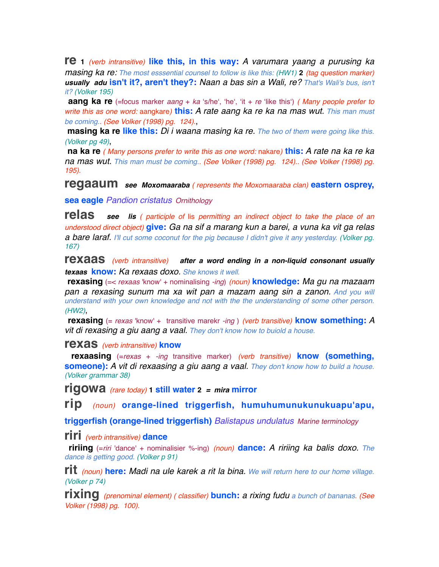**re <sup>1</sup>** *(verb intransitive)* **like this, in this way:** *A varumara yaang a purusing ka masing ka re: The most esssential counsel to follow is like this: (HW1)* **2** *(tag question marker) usually adu* **isn't it?, aren't they?:** *Naan a bas sin a Wali, re? That's Wali's bus, isn't it? (Volker 195)*

 **aang ka re** (=focus marker *aang* + *ka* ʻs/heʻ, ʻheʻ, ʻit + *re* ʻlike thisʻ) *( Many people prefer to write this as one word:* aangkare*)* **this:** *A rate aang ka re ka na mas wut. This man must be coming.. (See Volker (1998) pg. 124).*,

 **masing ka re like this:** *Di i waana masing ka re. The two of them were going like this. (Volker pg 49)*,

 **na ka re** *( Many persons prefer to write this as one word:* nakare*)* **this:** *A rate na ka re ka na mas wut. This man must be coming.. (See Volker (1998) pg. 124).. (See Volker (1998) pg. 195).*

**regaaum** *see Moxomaaraba ( represents the Moxomaaraba clan)* **eastern osprey,**

**sea eagle** *Pandion cristatus Ornithology*

**relas** *see lis ( participle of* lis *permitting an indirect object to take the place of an understood direct object)* **give:** *Ga na sif a marang kun a barei, a vuna ka vit ga relas a bare laraf. I'll cut some coconut for the pig because I didn't give it any yesterday. (Volker pg. 167)*

**rexaas** *(verb intransitive) after a word ending in a non-liquid consonant usually texaas* **know:** *Ka rexaas doxo. She knows it well.*

 **rexasing** (=< *rexaas* 'know' + nominalising *-ing*) *(noun)* **knowledge:** *Ma gu na mazaam*  **pan a rexasing sunum ma xa wit pan a mazam aang sin a zanon.** And you will *understand with your own knowledge and not with the the understanding of some other person. (HW2)*,

 **rexasing** (= *rexas* 'know' + transitive marekr *-ing* ) *(verb transitive)* **know something:** A *vit di rexasing a giu aang a vaal. They don't know how to buiold a house.*

**rexas** *(verb intransitive)* **know**

 **rexaasing** (=*rexas* + *-ing* transitive marker) *(verb transitive)* **know (something, someone):** *A vit di rexaasing a giu aang a vaal. They don't know how to build a house. (Volker grammar 38)*

**rigowa** *(rare today)* **1 still water <sup>2</sup>** *= mira* **mirror**

**rip** *(noun)* **orange-lined triggerfish, humuhumunukunukuapu'apu,**

**triggerfish (orange-lined triggerfish)** *Balistapus undulatus Marine terminology*

**riri** *(verb intransitive)* **dance**

 **ririing** (=*riri* 'dance' + nominalisier %-ing) *(noun)* **dance:** *A ririing ka balis doxo. The dance is getting good. (Volker p 91)*

**rit** *(noun)* **here:** *Madi na ule karek a rit la bina. We will return here to our home village. (Volker p 74)*

**rixing** *(prenominal element) ( classifier)* **bunch:** *a rixing fudu a bunch of bananas. (See Volker (1998) pg. 100).*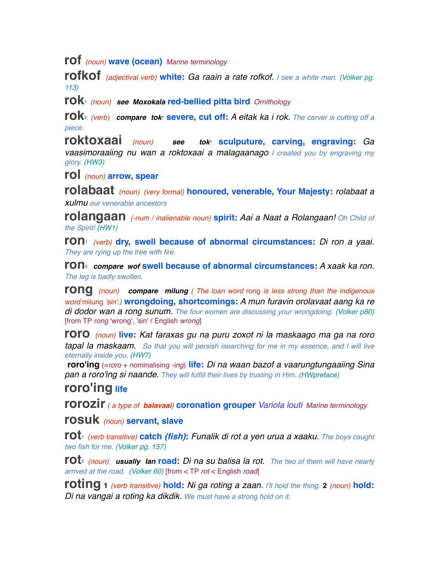**rof** *(noun)* **wave (ocean)** *Marine terminology*

**rofkof** *(adjectival verb)* **white:** *Ga raain a rate rofkof. I see a white man. (Volker pg. 113)*

**rok1** *(noun) see Moxokala* **red-bellied pitta bird** *Ornithology*

**rok**<sup>2</sup> *(verb) compare tok<sup>1</sup>* **severe, cut off: A eitak ka i rok. The carver is cutting off a** *piece.*

**roktoxaai** *(noun) see tok1* **sculputure, carving, engraving:** *Ga vaasimoraaiing nu wan a roktoxaai a malagaanago I created you by engraving my glory. (HW3)*

**rol** *(noun)* **arrow, spear**

**rolabaat** *(noun) (very formal)* **honoured, venerable, Your Majesty:** *rolabaat a xulmu our venerable ancestors*

**rolangaan** *(-num / inalienable noun)* **spirit:** *Aai a Naat a Rolangaan! Oh Child of the Spirit! (HW1)*

**ron1** *(verb)* **dry, swell because of abnormal circumstances:** *Di ron a yaai. They are rying up the tree with fire.*

**ron2** *compare wof* **swell because of abnormal circumstances:** *A xaak ka ron. The leg is badly swollen.*

**rong** *(noun) compare milung ( The loan word* rong *is less strong than the indigenous word* milung *'sin'.)* **wrongdoing, shortcomings:** *A mun furavin orolavaat aang ka re di dodor wan a rong sunum. The four women are discussing your wrongdoing. (Volker p80)* [from TP *rong* 'wrong', 'sin' / English *wrong*]

**roro** *(noun)* **live:** *Kat faraxas gu na puru zoxot ni la maskaago ma ga na roro tapal la maskaam. So that you will persish isearching for me in my essence, and I will live eternally inside you. (HW7)*

 **roro'ing** (=*roro* + nominalising *-ing*) **life:** *Di na waan bazof a vaarungtungaaiing Sina pan a roro'ing si naande. They will fulfill their lives by trusting in Him. (HWpreface)*

# **roro'ing life**

**rorozir** *( a type of balavaai)* **coronation grouper** *Variola louti Marine terminology*

**rosuk** *(noun)* **servant, slave**

**rot1** *(verb transitive)* **catch** *(fish)***:** *Funalik di rot a yen urua a xaaku. The boys caught two fish for me. (Volker pg. 157)*

**rot2** *(noun) usually lan* **road:** *Di na su balisa la rot. The two of them will have nearly arrived at the road. (Volker 60)* [from < TP *rot* < English *road*]

**roting <sup>1</sup>** *(verb transitive)* **hold:** *Ni ga roting a zaan. I'll hold the thing.* **<sup>2</sup>** *(noun)* **hold:** *Di na vangai a roting ka dikdik. We must have a strong hold on it.*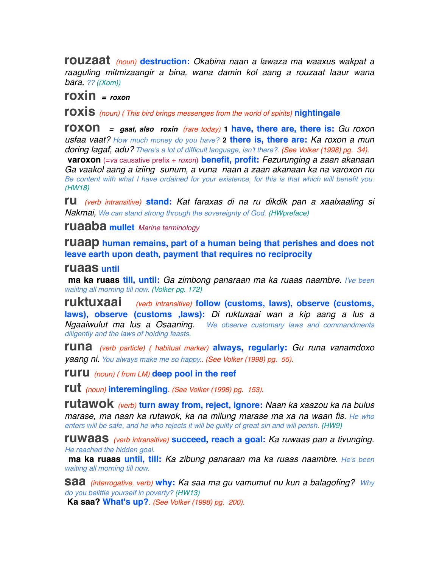**rouzaat** *(noun)* **destruction:** *Okabina naan a lawaza ma waaxus wakpat a raaguling mitmizaangir a bina, wana damin kol aang a rouzaat laaur wana bara, ?? ((Xom))*

# **roxin** *= roxon*

**roxis** *(noun) ( This bird brings messenges from the world of spirits)* **nightingale**

**roxon** *= gaat, also roxin (rare today)* **1 have, there are, there is:** *Gu roxon usfaa vaat? How much money do you have?* **2 there is, there are:** *Ka roxon a mun doring lagaf, adu? There's a lot of difficult language, isn't there?. (See Volker (1998) pg. 34).*

 **varoxon** (=*va* causative prefix + *roxon*) **benefit, profit:** *Fezurunging a zaan akanaan Ga vaakol aang a iziing sunum, a vuna naan a zaan akanaan ka na varoxon nu Be content with what I have ordained for your existence, for this is that which will benefit you. (HW18)*

**ru** *(verb intransitive)* **stand:** *Kat faraxas di na ru dikdik pan a xaalxaaling si Nakmai, We can stand strong through the sovereignty of God. (HWpreface)*

**ruaaba mullet** *Marine terminology*

**ruaap** human remains, part of a human being that perishes and does not **leave earth upon death, payment that requires no reciprocity**

#### **ruaas until**

 **ma ka ruaas till, until:** *Ga zimbong panaraan ma ka ruaas naambre. I've been waiitng all morning till now. (Volker pg. 172)*

**ruktuxaai** *(verb intransitive)* **follow (customs, laws), observe (customs, laws), observe (customs ,laws):** *Di ruktuxaai wan a kip aang a lus a Ngaaiwulut ma lus a Osaaning. We observe customary laws and commandments diligently and the laws of holding feasts.*

**runa** *(verb particle) ( habitual marker)* **always, regularly:** *Gu runa vanamdoxo yaang ni. You always make me so happy.. (See Volker (1998) pg. 55).*

**ruru** *(noun) ( from LM)* **deep pool in the reef**

**rut** *(noun)* **interemingling***. (See Volker (1998) pg. 153).*

**rutawok** *(verb)* **turn away from, reject, ignore:** *Naan ka xaazou ka na bulus marase, ma naan ka rutawok, ka na milung marase ma xa na waan fis. He who enters will be safe, and he who rejects it will be guilty of great sin and will perish. (HW9)*

**ruwaas** *(verb intransitive)* **succeed, reach a goal:** *Ka ruwaas pan a tivunging. He reached the hidden goal.* 

 **ma ka ruaas until, till:** *Ka zibung panaraan ma ka ruaas naambre. He's been waiting all morning till now.* 

**saa** *(interrogative, verb)* **why:** *Ka saa ma gu vamumut nu kun a balagofing? Why do you belittle yourself in poverty? (HW13)*

 **Ka saa? What's up?***. (See Volker (1998) pg. 200).*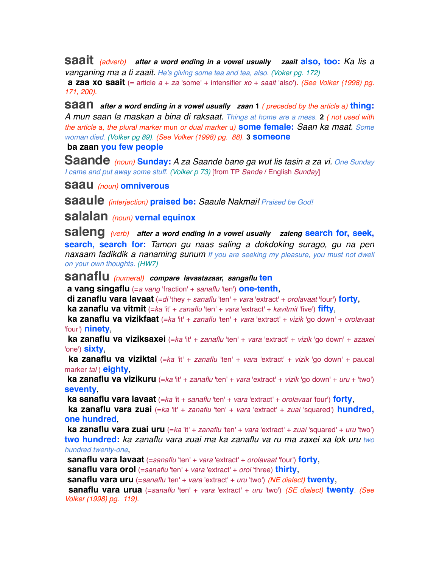**saait** *(adverb) after a word ending in a vowel usually zaait* **also, too:** *Ka lis a vanganing ma a ti zaait. He's giving some tea and tea, also. (Voker pg. 172)*

 **a zaa xo saait** (= article *a* + *za* 'some' + intensifier *xo* + *saait* 'also')*. (See Volker (1998) pg. 171, 200).*

**saan** *after a word ending in a vowel usually zaan* **<sup>1</sup>** *( preceded by the article* a*)* **thing:** *A mun saan la maskan a bina di raksaat. Things at home are a mess.* **2** *( not used with the article* a*, the plural marker* mun *or dual marker* u*)* **some female:** *Saan ka maat. Some woman died. (Volker pg 89). (See Volker (1998) pg. 88).* **3 someone**

#### **ba zaan you few people**

**Saande** *(noun)* **Sunday:** *A za Saande bane ga wut lis tasin a za vi. One Sunday I came and put away some stuff. (Volker p 73)* [from TP *Sande* / English *Sunday*]

**saau** *(noun)* **omniverous**

**saaule** *(interjection)* **praised be:** *Saaule Nakmai! Praised be God!*

**salalan** *(noun)* **vernal equinox**

**saleng** *(verb) after a word ending in a vowel usually zaleng* **search for, seek, search, search for:** *Tamon gu naas saling a dokdoking surago, gu na pen*  **naxaam fadikdik a nanaming sunum** If you are seeking my pleasure, you must not dwell *on your own thoughts. (HW7)*

**sanaflu** *(numeral) compare lavaatazaar, sangaflu* **ten**

 **a vang singaflu** (=*a vang* 'fraction' + *sanaflu* 'ten') **one-tenth**,

 **di zanaflu vara lavaat** (=*di* 'they + *sanaflu* 'ten' + *vara* 'extract' + *orolavaat* 'four') **forty**,

 **ka zanaflu va vitmit** (=*ka* 'it' + *zanaflu* 'ten' + *vara* 'extract' + *kavitmit* 'five') **fifty**,

 **ka zanaflu va vizikfaat** (=*ka* 'it' + *zanaflu* 'ten' + *vara* 'extract' + *vizik* 'go down' + *orolavaat* 'four') **ninety**,

 **ka zanaflu va viziksaxei** (=*ka* 'it' + *zanaflu* 'ten' + *vara* 'extract' + *vizik* 'go down' + *azaxei* 'one') **sixty**,

 **ka zanaflu va viziktal** (=*ka* 'it' + *zanaflu* 'ten' + *vara* 'extract' + *vizik* 'go down' + paucal marker *tal* ) **eighty**,

 **ka zanaflu va vizikuru** (=*ka* 'it' + *zanaflu* 'ten' + *vara* 'extract' + *vizik* 'go down' + *uru* + 'two') **seventy**,

 **ka sanaflu vara lavaat** (=*ka* 'it + *sanaflu* 'ten' + *vara* 'extract' + *orolavaat* 'four') **forty**,

 **ka zanaflu vara zuai** (=*ka* 'it' + *zanaflu* 'ten' + *vara* 'extract' + *zuai* 'squared') **hundred, one hundred**,

 **ka zanaflu vara zuai uru** (=*ka* 'it' + *zanaflu* 'ten' + *vara* 'extract' + *zuai* 'squared' + *uru* 'two') **two hundred:** *ka zanaflu vara zuai ma ka zanaflu va ru ma zaxei xa lok uru two hundred twenty-one*,

 **sanaflu vara lavaat** (=*sanaflu* 'ten' + *vara* 'extract' + *orolavaat* 'four') **forty**,

 **sanaflu vara orol** (=*sanaflu* 'ten' + *vara* 'extract' + *orol* 'three) **thirty**,

 **sanaflu vara uru** (=*sanaflu* 'ten' + *vara* 'extract' + *uru* 'two') *(NE dialect)* **twenty**,

 **sanaflu vara urua** (=*sanaflu* 'ten' + *vara* 'extract' + *uru* 'two') *(SE dialect)* **twenty***. (See Volker (1998) pg. 119).*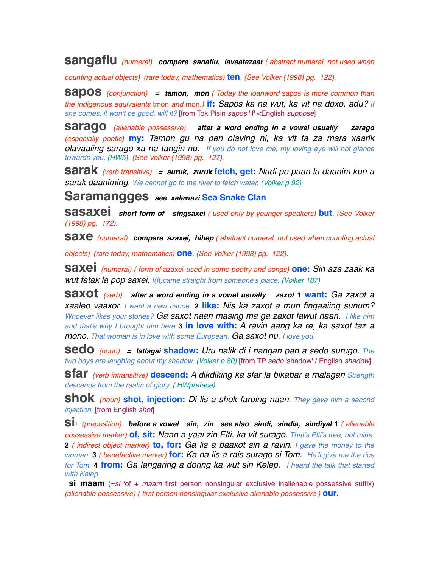**sangaflu** *(numeral) compare sanaflu, lavaatazaar ( abstract numeral, not used when* 

*counting actual objects) (rare today, mathematics)* **ten***. (See Volker (1998) pg. 122).*

**sapos** *(conjunction) = tamon, mon ( Today the loanword* sapos *is more common than the indigenous equivalents* tmon *and* mon*.)* **if:** *Sapos ka na wut, ka vit na doxo, adu? If she comes, it won't be good, will it?* [from Tok Pisin *sapos* 'if' <English *suppose*]

**sarago** *(alienable possessive) after a word ending in a vowel usually zarago (especially poetic)* **my:** *Tamon gu na pen olaving ni, ka vit ta za mara xaarik olavaaiing sarago xa na tangin nu. If you do not love me, my loving eye will not glance towards you. (HW5). (See Volker (1998) pg. 127).*

**sarak** *(verb transitive) = suruk, zuruk* **fetch, get:** *Nadi pe paan la daanim kun a sarak daaniming. We cannot go to the river to fetch water. (Volker p 92)*

**Saramangges** *see xalawazi* **Sea Snake Clan**

**sasaxei** *short form of singsaxei ( used only by younger speakers)* **but***. (See Volker (1998) pg. 172).*

**saxe** *(numeral) compare azaxei, hihep ( abstract numeral, not used when counting actual* 

*objects) (rare today, mathematics)* **one***. (See Volker (1998) pg. 122).*

**saxei** *(numeral) ( form of* azaxei *used in some poetry and songs)* **one:** *Sin aza zaak ka wut fatak la pop saxei. I(It)came straight from someone's place. (Volker 187)*

**saxot** *(verb) after a word ending in a vowel usually zaxot* **1 want:** *Ga zaxot a xaaleo vaaxor. I want a new canoe.* **2 like:** *Nis ka zaxot a mun fingaaiing sunum? Whoever likes your stories? Ga saxot naan masing ma ga zaxot fawut naan. I like him and that's why I brought him here* **3 in love with:** *A ravin aang ka re, ka saxot taz a mono. That woman is in love with some European. Ga saxot nu. I love you.*

**sedo** *(noun) = latlagai* **shadow:** *Uru nalik di i nangan pan a sedo surugo. The two boys are laughing about my shadow. (Volker p 80)* [from TP *sedo* 'shadow' / English *shadow*]

**sfar** *(verb intransitive)* **descend:** *A dikdiking ka sfar la bikabar a malagan Strength descends from the realm of glory. (.HWpreface)*

**shok** *(noun)* **shot, injection:** *Di lis a shok faruing naan. They gave him a second injection.* [from English *shot*]

**si1** *(preposition) before a vowel sin, zin see also sindi, sindia, sindiyal* **<sup>1</sup>** *( alienable possessive marker)* **of, sit:** *Naan a yaai zin Elti, ka vit surago. That's Elti's tree, not mine.* **2** *( indirect object marker)* **to, for:** *Ga lis a baaxot sin a ravin. I gave the money to the woman.* **3** *( benefactive marker)* **for:** *Ka na lis a rais surago si Tom. He'll give me the rice for Tom.* **4 from:** *Ga langaring a doring ka wut sin Kelep. I heard the talk that started with Kelep.*

**si maam** (=si 'of + maam first person nonsingular exclusive inalienable possessive suffix) *(alienable possessive) ( first person nonsingular exclusive alienable possessive )* **our**,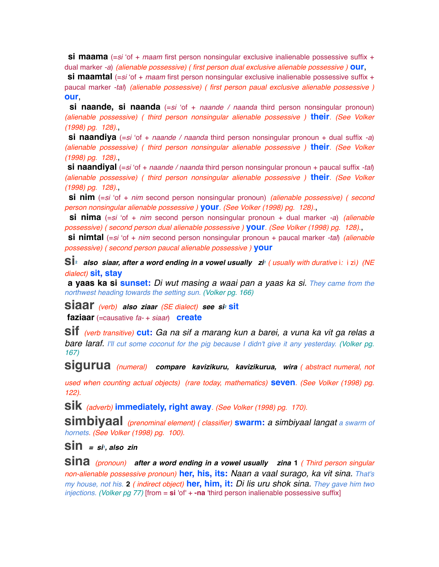**si maama** (=si 'of + *maam* first person nonsingular exclusive inalienable possessive suffix + dual marker *-a*) *(alienable possessive) ( first person dual exclusive alienable possessive )* **our**,

**si maamtal** (=si 'of + *maam* first person nonsingular exclusive inalienable possessive suffix + paucal marker *-tal*) *(alienable possessive) ( first person paual exclusive alienable possessive )* **our**,

**si naande, si naanda** (=si 'of + *naande / naanda* third person nonsingular pronoun) *(alienable possessive) ( third person nonsingular alienable possessive )* **their***. (See Volker (1998) pg. 128).*,

 **si naandiya** (=*si* ʻof + *naande / naanda* third person nonsingular pronoun + dual suffix *-a*) *(alienable possessive) ( third person nonsingular alienable possessive )* **their***. (See Volker (1998) pg. 128).*,

 **si naandiyal** (=*si* ʻof + *naande / naanda* third person nonsingular pronoun + paucal suffix *-tal*) *(alienable possessive) ( third person nonsingular alienable possessive )* **their***. (See Volker (1998) pg. 128).*,

 **si nim** (=*si* ʻof + *nim* second person nonsingular pronoun) *(alienable possessive) ( second person nonsingular alienable possessive )* **your***. (See Volker (1998) pg. 128).*,

 **si nima** (=*si* ʻof + *nim* second person nonsingular pronoun + dual marker *-a*) *(alienable possessive) ( second person dual alienable possessive )* **your***. (See Volker (1998) pg. 128).*,

 **si nimtal** (=*si* ʻof + *nim* second person nonsingular pronoun + paucal marker *-tal*) *(alienable possessive) ( second person paucal alienable possessive )* **your**

**Si**<sup>2</sup> also siaar, after a word ending in a vowel usually zi<sup>*i*</sup> (usually with durative i: i zi) (NE *dialect)* **sit, stay**

 **a yaas ka si sunset:** *Di wut masing a waai pan a yaas ka si. They came from the northwest heading towards the setting sun. (Volker pg. 166)*

**siaar** *(verb) also ziaar (SE dialect) see si2* **sit**

 **faziaar** (=causative *fa-* + *siaar*) **create**

**sif** *(verb transitive)* **cut:** *Ga na sif a marang kun a barei, a vuna ka vit ga relas a*  **bare laraf.** I'll cut some coconut for the pig because I didn't give it any vesterday. (Volker pg. *167)*

**sigurua** *(numeral) compare kavizikuru, kavizikurua, wira ( abstract numeral, not* 

*used when counting actual objects) (rare today, mathematics)* **seven***. (See Volker (1998) pg. 122).*

**sik** *(adverb)* **immediately, right away***. (See Volker (1998) pg. 170).*

**simbiyaal** *(prenominal element) ( classifier)* **swarm:** *a simbiyaal langat a swarm of hornets. (See Volker (1998) pg. 100).*

 $\sin = \sin \theta$ , also zin

**sina** *(pronoun) after a word ending in a vowel usually zina* **<sup>1</sup>** *( Third person singular non-alienable possessive pronoun)* **her, his, its:** *Naan a vaal surago, ka vit sina. That's my house, not his.* **2** *( indirect object)* **her, him, it:** *Di lis uru shok sina. They gave him two injections. (Volker pg 77)* [from = **si** 'of' + **-na** 'third person inalienable possessive suffix]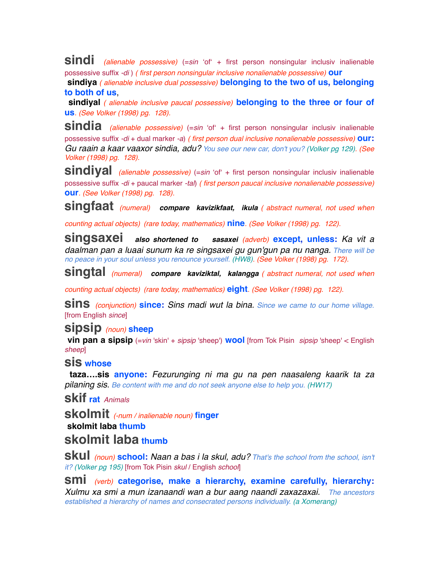**sindi** *(alienable possessive)* (=*sin* <sup>ʻ</sup>ofʻ + first person nonsingular inclusiv inalienable possessive suffix *-di* ) *( first person nonsingular inclusive nonalienable possessive)* **our**

 **sindiya** *( alienable inclusive dual possessive)* **belonging to the two of us, belonging to both of us**,

 **sindiyal** *( alienable inclusive paucal possessive)* **belonging to the three or four of us***. (See Volker (1998) pg. 128).*

**sindia** *(alienable possessive)* (=*sin* <sup>ʻ</sup>ofʻ + first person nonsingular inclusiv inalienable possessive suffix *-di* + dual marker *-a*) *( first person dual inclusive nonalienable possessive)* **our:** *Gu raain a kaar vaaxor sindia, adu? You see our new car, don't you? (Volker pg 129). (See Volker (1998) pg. 128).*

**sindiyal** *(alienable possessive)* (=*sin* <sup>ʻ</sup>ofʻ + first person nonsingular inclusiv inalienable possessive suffix *-di* + paucal marker *-tal*) *( first person paucal inclusive nonalienable possessive)* **our***. (See Volker (1998) pg. 128).*

**singfaat** *(numeral) compare kavizikfaat, ikula ( abstract numeral, not used when* 

*counting actual objects) (rare today, mathematics)* **nine***. (See Volker (1998) pg. 122).*

**singsaxei** *also shortened to sasaxei (adverb)* **except, unless:** *Ka vit a daalman pan a luaai sunum ka re singsaxei gu gun'gun pa nu nanga. There will be no peace in your soul unless you renounce yourself. (HW8). (See Volker (1998) pg. 172).*

**singtal** *(numeral) compare kaviziktal, kalangga ( abstract numeral, not used when* 

*counting actual objects) (rare today, mathematics)* **eight***. (See Volker (1998) pg. 122).*

**sins** *(conjunction)* **since:** *Sins madi wut la bina. Since we came to our home village.* [from English *since*]

## **sipsip** *(noun)* **sheep**

**vin pan a sipsip** (=*vin* 'skin' + *sipsip* 'sheep') **wool** [from Tok Pisin *sipsip* 'sheep' < English *sheep*]

### **sis whose**

 **taza….sis anyone:** *Fezurunging ni ma gu na pen naasaleng kaarik ta za pilaning sis. Be content with me and do not seek anyone else to help you. (HW17)*

**skif rat** *Animals* 

**skolmit** *(-num / inalienable noun)* **finger skolmit laba thumb**

# **skolmit laba thumb**

**skul** *(noun)* **school:** *Naan a bas i la skul, adu? That's the school from the school, isn't it? (Volker pg 195)* [from Tok Pisin *skul* / English *school*]

**smi** *(verb)* **categorise, make a hierarchy, examine carefully, hierarchy:** *Xulmu xa smi a mun izanaandi wan a bur aang naandi zaxazaxai. The ancestors established a hierarchy of names and consecrated persons individually. (a Xomerang)*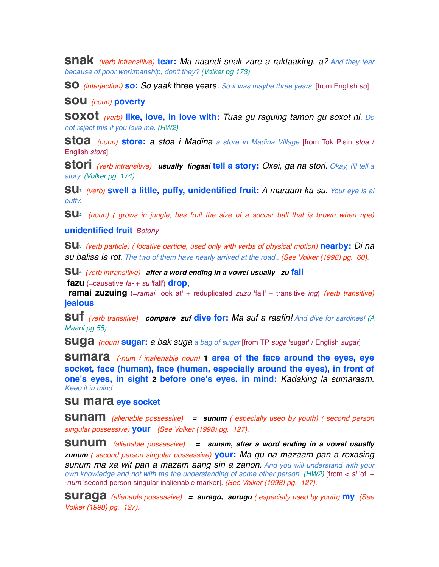**snak** *(verb intransitive)* **tear:** *Ma naandi snak zare a raktaaking, a? And they tear because of poor workmanship, don't they? (Volker pg 173)*

**so** *(interjection)* **so:** *So yaak* three years*. So it was maybe three years.* [from English *so*]

#### **sou** *(noun)* **poverty**

**soxot** *(verb)* **like, love, in love with:** *Tuaa gu raguing tamon gu soxot ni. Do not reject this if you love me. (HW2)*

**stoa** *(noun)* **store:** *a stoa i Madina a store in Madina Village* [from Tok Pisin *stoa* / English *store*]

**stori** *(verb intransitive) usually fingaai* **tell a story:** *Oxei, ga na stori. Okay, I'll tell a story. (Volker pg. 174)*

**su1** *(verb)* **swell a little, puffy, unidentified fruit:** *A maraam ka su. Your eye is al puffy.*

**su2** *(noun) ( grows in jungle, has fruit the size of a soccer ball that is brown when ripe)*

#### **unidentified fruit** *Botony*

**su3** *(verb particle) ( locative particle, used only with verbs of physical motion)* **nearby:** *Di na su balisa la rot. The two of them have nearly arrived at the road.. (See Volker (1998) pg. 60).*

**su4** *(verb intransitive) after a word ending in a vowel usually zu* **fall fazu** (=causative *fa-* + *su* 'fall') **drop**,

**ramai zuzuing** (=*ramai* 'look at' + reduplicated *zuzu* 'fall' + transitive *ing*) *(verb transitive)* **jealous**

**suf** *(verb transitive) compare zuf* **dive for:** *Ma suf a raafin! And dive for sardines! (A Maani pg 55)*

**suga** *(noun)* **sugar:** *a bak suga a bag of sugar* [from TP *suga* 'sugar' / English *sugar*]

**sumara** *(-num / inalienable noun)* **1 area of the face around the eyes, eye socket, face (human), face (human, especially around the eyes), in front of one's eyes, in sight 2 before one's eyes, in mind:** *Kadaking la sumaraam. Keep it in mind*

#### **su mara eye socket**

**sunam** *(alienable possessive) = sunum ( especially used by youth) ( second person singular possessive)* **your** *. (See Volker (1998) pg. 127).*

**sunum** *(alienable possessive) = sunam, after a word ending in a vowel usually zunum ( second person singular possessive)* **your:** *Ma gu na mazaam pan a rexasing sunum ma xa wit pan a mazam aang sin a zanon. And you will understand with your own knowledge and not with the the understanding of some other person. (HW2)* [from < *si* 'of' + *-num* 'second person singular inalienable marker]*. (See Volker (1998) pg. 127).*

**suraga** *(alienable possessive) = surago, surugu ( especially used by youth)* **my***. (See Volker (1998) pg. 127).*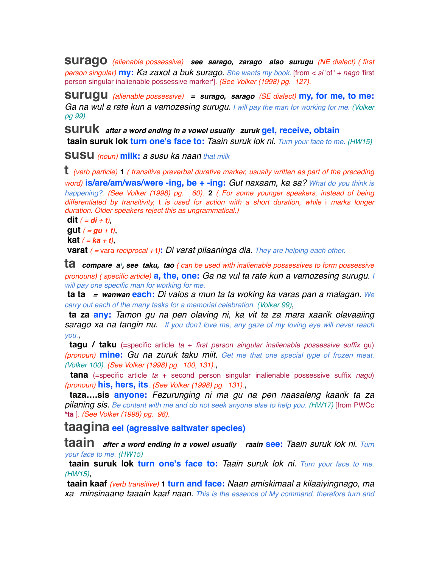**surago** *(alienable possessive) see sarago, zarago also surugu (NE dialect) ( first person singular)* **my:** *Ka zaxot a buk surago. She wants my book.* [from < *si* 'of" + *nago* 'first person singular inalienable possessive marker']*. (See Volker (1998) pg. 127).*

**surugu** *(alienable possessive) = surago, sarago (SE dialect)* **my, for me, to me:** *Ga na wul a rate kun a vamozesing surugu. I will pay the man for working for me. (Volker pg 99)*

**suruk** *after a word ending in a vowel usually zuruk* **get, receive, obtain taain suruk lok turn one's face to:** *Taain suruk lok ni. Turn your face to me. (HW15)*

**susu** *(noun)* **milk:** *a susu ka naan that milk*

**t** *(verb particle)* **<sup>1</sup>** *( transitive preverbal durative marker, usually written as part of the preceding word)* **is/are/am/was/were -ing, be + -ing:** *Gut naxaam, ka sa? What do you think is happening?. (See Volker (1998) pg. 60).* **2** *( For some younger speakers, instead of being differentiated by transitivity,* t *is used for action with a short duration, while* i *marks longer duration. Older speakers reject this as ungrammatical.)*

**dit**  $(= di + t)$ ,

**gut**  $( = gu + t)$ ,

 **kat**  $( = **ka** + **t**)$ 

 **varat** *( =* vara *reciprocal +* t*)***:** *Di varat pilaaninga dia. They are helping each other.*

**ta** *compare a<sup>t</sup>, see taku, tao* (*can be used with inalienable possessives to form possessive pronouns) ( specific article)* **a, the, one:** *Ga na vul ta rate kun a vamozesing surugu. I will pay one specific man for working for me.*

 **ta ta** *= wanwan* **each:** *Di valos a mun ta ta woking ka varas pan a malagan. We carry out each of the many tasks for a memorial celebration. (Volker 99)*,

 **ta za any:** *Tamon gu na pen olaving ni, ka vit ta za mara xaarik olavaaiing sarago xa na tangin nu. If you don't love me, any gaze of my loving eye will never reach you.*,

 **tagu / taku** (=specific article *ta* + *first person singular inalienable possessive suffix* gu) *(pronoun)* **mine:** *Gu na zuruk taku miit. Get me that one special type of frozen meat. (Volker 100). (See Volker (1998) pg. 100, 131).*,

 **tana** (=specific article *ta* + second person singular inalienable possessive suffix *nagu*) *(pronoun)* **his, hers, its***. (See Volker (1998) pg. 131).*,

 **taza….sis anyone:** *Fezurunging ni ma gu na pen naasaleng kaarik ta za pilaning sis. Be content with me and do not seek anyone else to help you. (HW17)* [from PWCc **\*ta** ]*. (See Volker (1998) pg. 98).*

**taagina eel (agressive saltwater species)**

**taain** *after a word ending in a vowel usually raain* **see:** *Taain suruk lok ni. Turn your face to me. (HW15)*

 **taain suruk lok turn one's face to:** *Taain suruk lok ni. Turn your face to me. (HW15)*,

 **taain kaaf** *(verb transitive)* **1 turn and face:** *Naan amiskimaal a kilaaiyingnago, ma xa minsinaane taaain kaaf naan. This is the essence of My command, therefore turn and*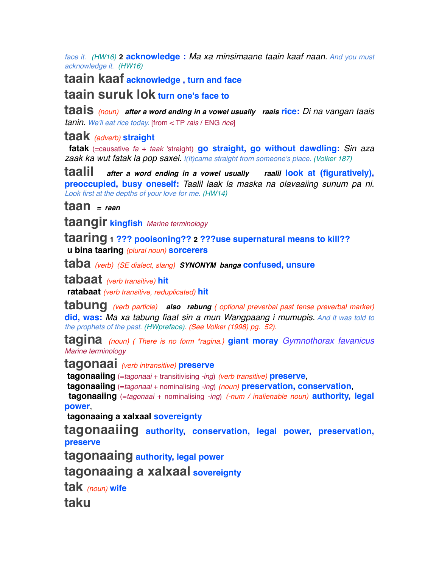*face it. (HW16)* **2 acknowledge :** *Ma xa minsimaane taain kaaf naan. And you must acknowledge it. (HW16)*

**taain kaaf acknowledge , turn and face taain suruk lok turn one's face to**

**taais** *(noun) after a word ending in a vowel usually raais* **rice:** *Di na vangan taais tanin. We'll eat rice today.* [from < TP *rais* / ENG *rice*]

**taak** *(adverb)* **straight**

 **fatak** (=causative *fa* + *taak* 'straight) **go straight, go without dawdling:** *Sin aza zaak ka wut fatak la pop saxei. I(It)came straight from someone's place. (Volker 187)*

**taalil** *after a word ending in a vowel usually raalil* **look at (figuratively), preoccupied, busy oneself:** *Taalil laak la maska na olavaaiing sunum pa ni. Look first at the depths of your love for me. (HW14)*

**taan** *= raan*

**taangir kingfish** *Marine terminology*

**taaring 1 ??? pooisoning?? 2 ???use supernatural means to kill?? u bina taaring** *(plural noun)* **sorcerers**

**taba** *(verb) (SE dialect, slang) SYNONYM banga* **confused, unsure**

**tabaat** *(verb transitive)* **hit**

 **ratabaat** *(verb transitive, reduplicated)* **hit**

**tabung** *(verb particle) also rabung ( optional preverbal past tense preverbal marker)* **did, was:** *Ma xa tabung fiaat sin a mun Wangpaang i mumupis. And it was told to the prophets of the past. (HWpreface). (See Volker (1998) pg. 52).*

**tagina** *(noun) ( There is no form \*ragina.)* **giant moray** *Gymnothorax favanicus Marine terminology*

**tagonaai** *(verb intransitive)* **preserve**

 **tagonaaiing** (=*tagonaai* + transitivising *-ing*) *(verb transitive)* **preserve**,

 **tagonaaiing** (=*tagonaai* + nominalising *-ing*) *(noun)* **preservation, conservation**,

 **tagonaaiing** (=*tagonaai* + nominalising *-ing*) *(-num / inalienable noun)* **authority, legal power**,

 **tagonaaing a xalxaal sovereignty**

**tagonaaiing authority, conservation, legal power, preservation, preserve**

**tagonaaing authority, legal power**

**tagonaaing a xalxaal sovereignty**

**tak** *(noun)* **wife**

**taku**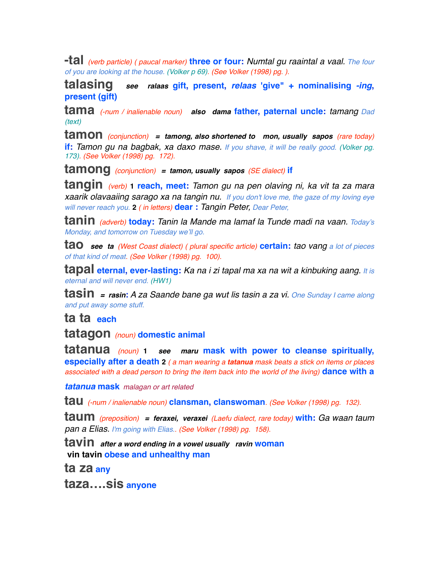**-tal** *(verb particle) ( paucal marker)* **three or four:** *Numtal gu raaintal a vaal. The four of you are looking at the house. (Volker p 69). (See Volker (1998) pg. ).*

**talasing** *see ralaas* **gift, present,** *relaas* **'give" + nominalising** *-ing***, present (gift)**

**tama** *(-num / inalienable noun) also dama* **father, paternal uncle:** *tamang Dad (text)*

**tamon** *(conjunction) = tamong, also shortened to mon, usually sapos (rare today)* **if:** *Tamon gu na bagbak, xa daxo mase. If you shave, it will be really good. (Volker pg. 173). (See Volker (1998) pg. 172).*

**tamong** *(conjunction) = tamon, usually sapos (SE dialect)* **if**

**tangin** *(verb)* **1 reach, meet:** *Tamon gu na pen olaving ni, ka vit ta za mara xaarik olavaaiing sarago xa na tangin nu. If you don't love me, the gaze of my loving eye will never reach you.* **2** *( in letters)* **dear :** *Tangin Peter, Dear Peter,*

**tanin** *(adverb)* **today:** *Tanin la Mande ma lamaf la Tunde madi na vaan. Today's Monday, and tomorrow on Tuesday we'll go.*

**tao** *see ta (West Coast dialect) ( plural specific article)* **certain:** *tao vang a lot of pieces of that kind of meat. (See Volker (1998) pg. 100).*

**tapal eternal, ever-lasting:** *Ka na i zi tapal ma xa na wit a kinbuking aang. It is eternal and will never end. (HW1)*

**tasin** *= rasin***:** *A za Saande bane ga wut lis tasin a za vi. One Sunday I came along and put away some stuff.*

**ta ta each**

**tatagon** *(noun)* **domestic animal**

**tatanua** *(noun)* **<sup>1</sup>** *see maru* **mask with power to cleanse spiritually, especially after a death 2** *( a man wearing a tatanua mask beats a stick on items or places associated with a dead person to bring the item back into the world of the living)* **dance with a** 

*tatanua* **mask** *malagan or art related*

**tau** *(-num / inalienable noun)* **clansman, clanswoman***. (See Volker (1998) pg. 132).*

**taum** *(preposition) = feraxei, veraxei (Laefu dialect, rare today)* **with:** *Ga waan taum pan a Elias. I'm going with Elias.. (See Volker (1998) pg. 158).*

**tavin** *after a word ending in a vowel usually ravin* **woman vin tavin obese and unhealthy man**

**ta za any**

**taza….sis anyone**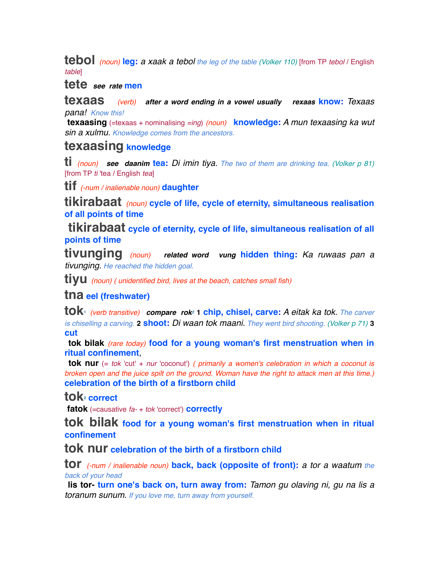**tebol** *(noun)* **leg:** *a xaak a tebol the leg of the table (Volker 110)* [from TP *tebol* / English *table*]

**tete** *see rate* **men**

**texaas** *(verb) after a word ending in a vowel usually rexaas* **know:** *Texaas pana! Know this!*

 **texaasing** (=texaas + nominalising *=ing*) *(noun)* **knowledge:** *A mun texaasing ka wut sin a xulmu. Knowledge comes from the ancestors.*

## **texaasing knowledge**

**ti** *(noun) see daanim* **tea:** *Di imin tiya. The two of them are drinking tea. (Volker p 81)* [from TP *ti* 'tea / English *tea*]

**tif** *(-num / inalienable noun)* **daughter**

**tikirabaat** *(noun)* **cycle of life, cycle of eternity, simultaneous realisation of all points of time**

 **tikirabaat cycle of eternity, cycle of life, simultaneous realisation of all points of time**

**tivunging** *(noun) related word vung* **hidden thing:** *Ka ruwaas pan a tivunging. He reached the hidden goal.* 

**tiyu** *(noun) ( unidentified bird, lives at the beach, catches small fish)*

### **tna eel (freshwater)**

**tok1** *(verb transitive) compare rok2* **1 chip, chisel, carve:** *A eitak ka tok. The carver is chiselling a carving.* **2 shoot:** *Di waan tok maani. They went bird shooting. (Volker p 71)* **3 cut**

 **tok bilak** *(rare today)* **food for a young woman's first menstruation when in ritual confinement**,

 **tok nur** (= *tok* 'cut' + *nur* 'coconut') *( primarily a women's celebration in which a coconut is broken open and the juice spilt on the ground. Woman have the right to attack men at this time.)* **celebration of the birth of a firstborn child**

## tok<sub>2</sub> correct

 **fatok** (=causative *fa-* + *tok* 'correct') **correctly**

**tok bilak food for a young woman's first menstruation when in ritual confinement**

**tok nur celebration of the birth of a firstborn child**

**tor** *(-num / inalienable noun)* **back, back (opposite of front):** *a tor a waatum the back of your head*

 **lis tor- turn one's back on, turn away from:** *Tamon gu olaving ni, gu na lis a toranum sunum. If you love me, turn away from yourself.*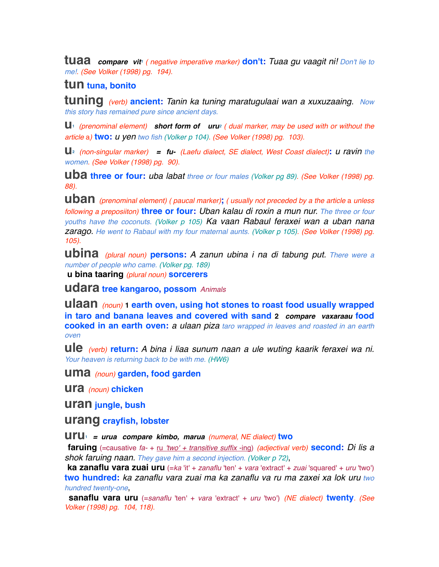**tuaa** compare vit<sup>1</sup> ( negative imperative marker) **don't:** Tuaa gu vaagit ni! Don't lie to *me!. (See Volker (1998) pg. 194).*

### **tun tuna, bonito**

**tuning** *(verb)* **ancient:** *Tanin ka tuning maratugulaai wan a xuxuzaaing. Now this story has remained pure since ancient days.* 

**u1** *(prenominal element) short form of uru2 ( dual marker, may be used with or without the article* a*)* **two:** *u yen two fish (Volker p 104). (See Volker (1998) pg. 103).*

**u2** *(non-singular marker) = fu- (Laefu dialect, SE dialect, West Coast dialect)***:** *u ravin the women. (See Volker (1998) pg. 90).*

**uba three or four:** *uba labat three or four males (Volker pg 89). (See Volker (1998) pg. 88).*

**uban** *(prenominal element) ( paucal marker)***;** *( usually not preceded by a the article* a *unless following a preposiiton)* **three or four:** *Uban kalau di roxin a mun nur. The three or four youths have the coconuts. (Volker p 105) Ka vaan Rabaul feraxei wan a uban nana zarago. He went to Rabaul with my four maternal aunts. (Volker p 105). (See Volker (1998) pg. 105).*

**ubina** *(plural noun)* **persons:** *A zanun ubina i na di tabung put. There were a number of people who came. (Volker pg. 189)*

 **u bina taaring** *(plural noun)* **sorcerers**

**udara tree kangaroo, possom** *Animals* 

**ulaan** *(noun)* **1 earth oven, using hot stones to roast food usually wrapped in taro and banana leaves and covered with sand 2** *compare vaxaraau* **food cooked in an earth oven:** *a ulaan piza taro wrapped in leaves and roasted in an earth oven* 

**ule** *(verb)* **return:** *A bina i liaa sunum naan a ule wuting kaarik feraxei wa ni. Your heaven is returning back to be with me. (HW6)*

**uma** *(noun)* **garden, food garden**

**ura** *(noun)* **chicken**

**uran jungle, bush**

**urang crayfish, lobster**

**uru1** *= urua compare kimbo, marua (numeral, NE dialect)* **two**

 **faruing** (=causative *fa-* + ru *'two' + transitive suffix* -ing) *(adjectival verb)* **second:** *Di lis a shok faruing naan. They gave him a second injection. (Volker p 72)*,

 **ka zanaflu vara zuai uru** (=*ka* 'it' + *zanaflu* 'ten' + *vara* 'extract' + *zuai* 'squared' + *uru* 'two') **two hundred:** *ka zanaflu vara zuai ma ka zanaflu va ru ma zaxei xa lok uru two hundred twenty-one*,

 **sanaflu vara uru** (=*sanaflu* 'ten' + *vara* 'extract' + *uru* 'two') *(NE dialect)* **twenty***. (See Volker (1998) pg. 104, 118).*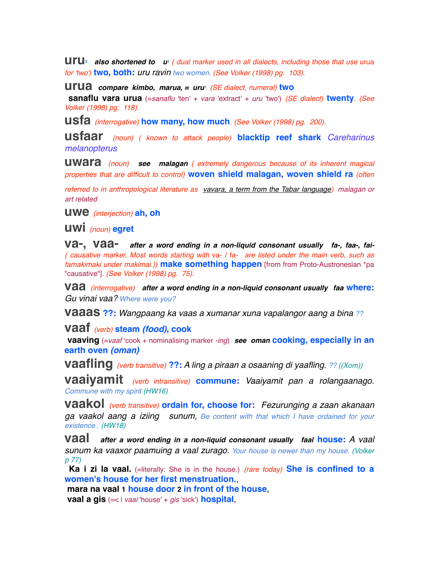**UITU**<sup>2</sup> also shortened to  $\mathbf{u}^{\text{T}}$  ( dual marker used in all dialects, including those that use urua *for 'two')* **two, both:** *uru ravin two women. (See Volker (1998) pg. 103).*

**urua** *compare kimbo, marua, = uru<sup>1</sup> <i>(SE dialect, numeral)* **two** 

 **sanaflu vara urua** (=*sanaflu* 'ten' + *vara* 'extract' + *uru* 'two') *(SE dialect)* **twenty***. (See Volker (1998) pg. 118).*

**usfa** *(interrogative)* **how many, how much***. (See Volker (1998) pg. 200).*

**usfaar** *(noun) ( known to attack people)* **blacktip reef shark** *Careharinus melanopterus*

**uwara** *(noun) see malagan ( extremely dangerous because of its inherent magical properties that are difficult to control)* **woven shield malagan, woven shield ra** *(often* 

*referred to in anthropological literature as vavara, a term from the Tabar language) malagan or art related*

**uwe** *(interjection)* **ah, oh**

**uwi** *(noun)* **egret**

**va-, vaa-** *after a word ending in a non-liquid consonant usually fa-, faa-, fai- ( causative marker. Most words starting with* va- / fa- *are listed under the main verb, such as famakimaki under makimai.))* **make something happen** [from from Proto-Austronesian \*pa "causative"]*. (See Volker (1998) pg. 75).*

**vaa** *(interrogative) after a word ending in a non-liquid consonant usually faa* **where:** *Gu vinai vaa? Where were you?*

**vaaas ??:** *Wangpaang ka vaas a xumanar xuna vapalangor aang a bina ??*

**vaaf** *(verb)* **steam** *(food)***, cook**

 **vaaving** (=*vaaf* ʻcook + nominalising marker *-ing*) *see oman* **cooking, especially in an earth oven** *(oman)*

**vaafling** *(verb transitive)* **??:** *A ling a piraan a osaaning di yaafling. ?? ((Xom))*

**vaaiyamit** *(verb intransitive)* **commune:** *Vaaiyamit pan a rolangaanago. Commune with my spirit (HW16)*

**vaakol** *(verb transitive)* **ordain for, choose for:** *Fezurunging a zaan akanaan ga vaakol aang a iziing sunum, Be content with that which I have ordained for your existence.. (HW18)*

**vaal** *after a word ending in a non-liquid consonant usually faal* **house:** *A vaal sunum ka vaaxor paamuing a vaal zurago. Your house is newer than my house. (Volker p 77)*

**Ka i zi la vaal.** (=literally: She is in the house.) *(rare today)* She is confined to a **women's house for her first menstruation.**,

 **mara na vaal 1 house door 2 in front of the house**,

 **vaal a gis** (=< i *vaal* 'house' + *gis* 'sick') **hospital**,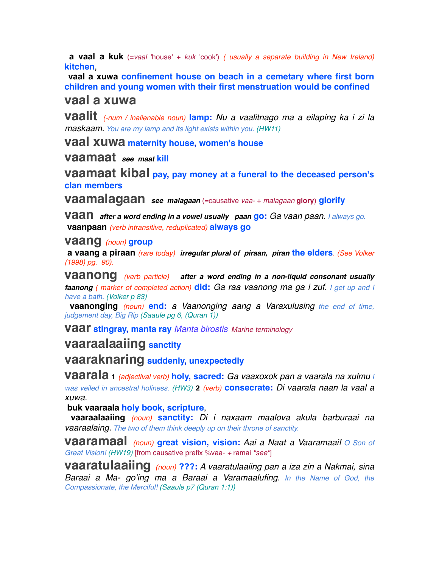**a vaal a kuk** (=*vaal* 'house' + *kuk* 'cook') *( usually a separate building in New Ireland)* **kitchen**,

 **vaal a xuwa confinement house on beach in a cemetary where first born children and young women with their first menstruation would be confined**

### **vaal a xuwa**

**vaalit** *(-num / inalienable noun)* **lamp:** *Nu a vaalitnago ma a eilaping ka i zi la maskaam. You are my lamp and its light exists within you. (HW11)*

**vaal xuwa maternity house, women's house**

**vaamaat** *see maat* **kill**

**vaamaat kibal pay, pay money at a funeral to the deceased person's clan members**

**vaamalagaan** *see malagaan* (=causative *vaa-* + *malagaan* **glory**) **glorify**

**vaan** *after a word ending in a vowel usually paan* **go:** *Ga vaan paan. I always go.*   **vaanpaan** *(verb intransitive, reduplicated)* **always go**

#### **vaang** *(noun)* **group**

 **a vaang a piraan** *(rare today) irregular plural of piraan, piran* **the elders***. (See Volker (1998) pg. 90).*

**vaanong** *(verb particle) after a word ending in a non-liquid consonant usually faanong ( marker of completed action)* **did:** *Ga raa vaanong ma ga i zuf. I get up and I have a bath. (Volker p 83)*

 **vaanonging** *(noun)* **end:** *a Vaanonging aang a Varaxulusing the end of time, judgement day, Big Rip (Saaule pg 6, (Quran 1))*

**vaar stingray, manta ray** *Manta birostis Marine terminology*

## **vaaraalaaiing sanctity**

**vaaraknaring suddenly, unexpectedly**

**vaarala <sup>1</sup>** *(adjectival verb)* **holy, sacred:** *Ga vaaxoxok pan a vaarala na xulmu I was veiled in ancestral holiness. (HW3)* **2** *(verb)* **consecrate:** *Di vaarala naan la vaal a xuwa.*

 **buk vaaraala holy book, scripture**,

 **vaaraalaaiing** *(noun)* **sanctity:** *Di i naxaam maalova akula barburaai na vaaraalaing. The two of them think deeply up on their throne of sanctity.*

**vaaramaal** *(noun)* **great vision, vision:** *Aai a Naat a Vaaramaai! O Son of Great Vision! (HW19)* [from causative prefix %vaa- *+* ramai *"see"*]

**vaaratulaaiing** *(noun)* **???:** *A vaaratulaaiing pan a iza zin a Nakmai, sina Baraai a Ma- go'ing ma a Baraai a Varamaalufing. In the Name of God, the Compassionate, the Merciful! (Saaule p7 (Quran 1:1))*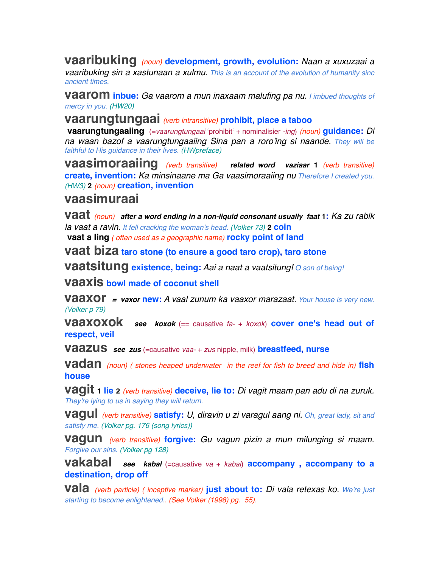**vaaribuking** *(noun)* **development, growth, evolution:** *Naan a xuxuzaai a vaaribuking sin a xastunaan a xulmu. This is an account of the evolution of humanity sinc ancient times.* 

**vaarom inbue:** *Ga vaarom a mun inaxaam malufing pa nu. I imbued thoughts of mercy in you. (HW20)*

**vaarungtungaai** *(verb intransitive)* **prohibit, place a taboo**

 **vaarungtungaaiing** (=*vaarungtungaai* ʻprohibitʻ + nominalisier *-ing*) *(noun)* **guidance:** *Di na waan bazof a vaarungtungaaiing Sina pan a roro'ing si naande. They will be faithful to His guidance in their lives. (HWpreface)*

**vaasimoraaiing** *(verb transitive) related word vaziaar* **<sup>1</sup>** *(verb transitive)* **create, invention:** *Ka minsinaane ma Ga vaasimoraaiing nu Therefore I created you. (HW3)* **2** *(noun)* **creation, invention**

# **vaasimuraai**

**vaat** *(noun) after a word ending in a non-liquid consonant usually faat* **1:** *Ka zu rabik la vaat a ravin. It fell cracking the woman's head. (Volker 73)* **2 coin vaat a ling** *( often used as a geographic name)* **rocky point of land**

**vaat biza taro stone (to ensure a good taro crop), taro stone**

**vaatsitung existence, being:** *Aai a naat a vaatsitung! O son of being!*

**vaaxis bowl made of coconut shell**

**vaaxor** *= vaxor* **new:** *A vaal zunum ka vaaxor marazaat. Your house is very new. (Volker p 79)*

**vaaxoxok** *see koxok* (== causative *fa-* + *koxok*) **cover one's head out of respect, veil**

**vaazus** *see zus* (=causative *vaa-* + *zus* nipple, milk) **breastfeed, nurse**

**vadan** *(noun) ( stones heaped underwater in the reef for fish to breed and hide in)* **fish house**

**vagit 1 lie <sup>2</sup>** *(verb transitive)* **deceive, lie to:** *Di vagit maam pan adu di na zuruk. They're lying to us in saying they will return.*

**vagul** *(verb transitive)* **satisfy:** *U, diravin u zi varagul aang ni. Oh, great lady, sit and satisfy me. (Volker pg. 176 (song lyrics))*

**vagun** *(verb transitive)* **forgive:** *Gu vagun pizin a mun milunging si maam. Forgive our sins. (Volker pg 128)*

**vakabal** see kabal (=causative va + kabal) **accompany**, **accompany to a destination, drop off**

**vala** *(verb particle) ( inceptive marker)* **just about to:** *Di vala retexas ko. We're just starting to become enlightened.. (See Volker (1998) pg. 55).*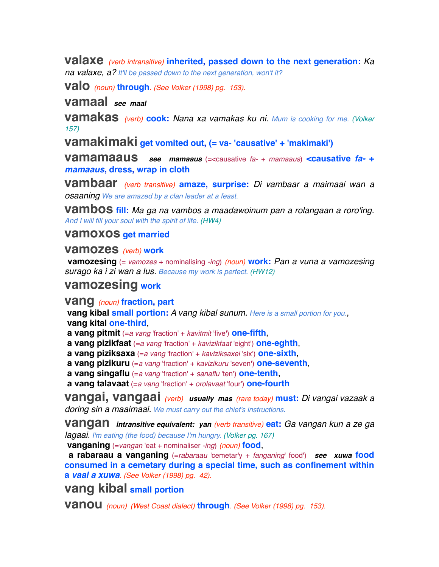**valaxe** *(verb intransitive)* **inherited, passed down to the next generation:** *Ka na valaxe, a? It'll be passed down to the next generation, won't it?*

**valo** *(noun)* **through***. (See Volker (1998) pg. 153).*

**vamaal** *see maal*

**vamakas** *(verb)* **cook:** *Nana xa vamakas ku ni. Mum is cooking for me. (Volker 157)*

**vamakimaki get vomited out, (= va- 'causative' + 'makimaki')**

**vamamaaus** *see mamaaus* (=<causative *fa-* + *mamaaus*) **<causative** *fa-***<sup>+</sup>** *mamaaus***, dress, wrap in cloth**

**vambaar** *(verb transitive)* **amaze, surprise:** *Di vambaar a maimaai wan a osaaning We are amazed by a clan leader at a feast.*

**vambos fill:** *Ma ga na vambos a maadawoinum pan a rolangaan a roro'ing. And I will fill your soul with the spirit of life. (HW4)*

**vamoxos get married**

**vamozes** *(verb)* **work**

 **vamozesing** (= *vamozes* + nominalising *-ing*) *(noun)* **work:** *Pan a vuna a vamozesing surago ka i zi wan a lus. Because my work is perfect. (HW12)*

# **vamozesing work**

**vang** *(noun)* **fraction, part**

 **vang kibal small portion:** *A vang kibal sunum. Here is a small portion for you.*,  **vang kital one-third**,

 **a vang pitmit** (=*a vang* 'fraction' + *kavitmit* 'five') **one-fifth**,

 **a vang pizikfaat** (=*a vang* 'fraction' + *kavizikfaat* 'eight') **one-eghth**,

 **a vang piziksaxa** (=*a vang* 'fraction' + *kaviziksaxei* 'six') **one-sixth**,

 **a vang pizikuru** (=*a vang* 'fraction' + *kavizikuru* 'seven') **one-seventh**,

 **a vang singaflu** (=*a vang* 'fraction' + *sanaflu* 'ten') **one-tenth**,

 **a vang talavaat** (=*a vang* 'fraction' + *orolavaat* 'four') **one-fourth**

**vangai, vangaai** *(verb) usually mas (rare today)* **must:** *Di vangai vazaak a doring sin a maaimaai. We must carry out the chief's instructions.*

**vangan** *intransitive equivalent: yan (verb transitive)* **eat:** *Ga vangan kun a ze ga lagaai. I'm eating (the food) because I'm hungry. (Volker pg. 167)*

 **vanganing** (=*vangan* 'eat + nominaliser *-ing*) *(noun)* **food**,

 **a rabaraau a vanganing** (=*rabaraau* 'cemetar'y + *fanganing*' food') *see xuwa* **food consumed in a cemetary during a special time, such as confinement within a** *vaal a xuwa. (See Volker (1998) pg. 42).*

# **vang kibal small portion**

**vanou** *(noun) (West Coast dialect)* **through***. (See Volker (1998) pg. 153).*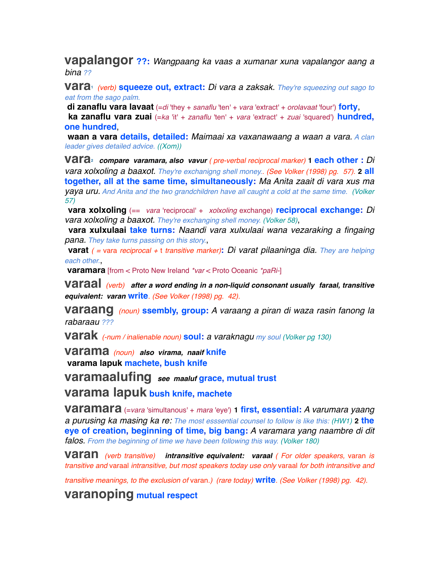**vapalangor ??:** *Wangpaang ka vaas a xumanar xuna vapalangor aang a bina ??*

**vara1** *(verb)* **squeeze out, extract:** *Di vara a zaksak. They're squeezing out sago to eat from the sago palm.*

 **di zanaflu vara lavaat** (=*di* 'they + *sanaflu* 'ten' + *vara* 'extract' + *orolavaat* 'four') **forty**,

 **ka zanaflu vara zuai** (=*ka* 'it' + *zanaflu* 'ten' + *vara* 'extract' + *zuai* 'squared') **hundred, one hundred**,

 **waan a vara details, detailed:** *Maimaai xa vaxanawaang a waan a vara. A clan leader gives detailed advice. ((Xom))*

**vara2** *compare varamara, also vavur ( pre-verbal reciprocal marker)* **1 each other :** *Di vara xolxoling a baaxot. They're exchanigng shell money.. (See Volker (1998) pg. 57).* **2 all together, all at the same time, simultaneously:** *Ma Anita zaait di vara xus ma yaya uru. And Anita and the two grandchildren have all caught a cold at the same time. (Volker 57)*

 **vara xolxoling** (== *vara* 'reciprocal' + *xolxoling* exchange) **reciprocal exchange:** *Di vara xolxoling a baaxot. They're exchanging shell money. (Volker 58)*,

 **vara xulxulaai take turns:** *Naandi vara xulxulaai wana vezaraking a fingaing pana. They take turns passing on this story.*,

 **varat** *( =* vara *reciprocal +* t *transitive marker)***:** *Di varat pilaaninga dia. They are helping each other.*,

 **varamara** [from < Proto New Ireland *\*var* < Proto Oceanic *\*paRi-*]

**varaal** *(verb) after a word ending in a non-liquid consonant usually faraal, transitive equivalent: varan* **write***. (See Volker (1998) pg. 42).*

**varaang** *(noun)* **ssembly, group:** *A varaang a piran di waza rasin fanong la rabaraau ???*

**varak** *(-num / inalienable noun)* **soul:** *a varaknagu my soul (Volker pg 130)*

**varama** *(noun) also virama, naaif* **knife varama lapuk machete, bush knife**

**varamaalufing** *see maaluf* **grace, mutual trust**

**varama lapuk bush knife, machete**

**varamara** (=*vara* 'simultanous' + *mara* 'eye') **1 first, essential:** *A varumara yaang a purusing ka masing ka re: The most esssential counsel to follow is like this: (HW1)* **2 the eye of creation, beginning of time, big bang:** *A varamara yang naambre di dit falos. From the beginning of time we have been following this way. (Volker 180)*

**varan** *(verb transitive) intransitive equivalent: varaal ( For older speakers,* varan *is transitive and* varaal *intransitive, but most speakers today use only* varaal *for both intransitive and* 

*transitive meanings, to the exclusion of* varan*.) (rare today)* **write***. (See Volker (1998) pg. 42).*

**varanoping mutual respect**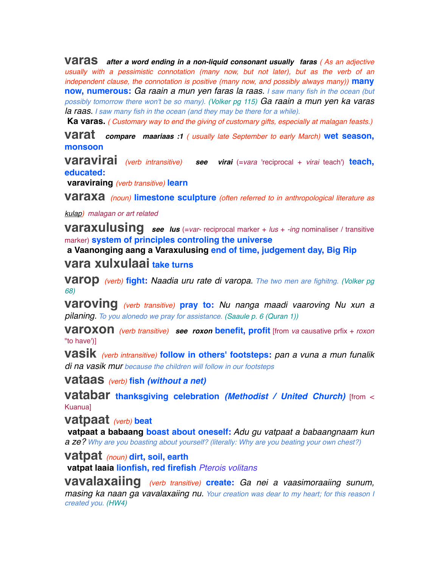**varas** *after a word ending in a non-liquid consonant usually faras ( As an adjective usually with a pessimistic connotation (many now, but not later), but as the verb of an independent clause, the connotation is positive (many now, and possibly always many))* **many now, numerous:** *Ga raain a mun yen faras la raas. I saw many fish in the ocean (but possibly tomorrow there won't be so many). (Volker pg 115) Ga raain a mun yen ka varas la raas. I saw many fish in the ocean (and they may be there for a while).*

 **Ka varas.** *( Customary way to end the giving of customary gifts, especially at malagan feasts.)*

**varat** *compare maariaas :1 ( usually late September to early March)* **wet season, monsoon** 

**varavirai** *(verb intransitive) see virai* (=*vara* 'reciprocal + *virai* teach') **teach, educated:**

 **varaviraing** *(verb transitive)* **learn**

**varaxa** *(noun)* **limestone sculpture** *(often referred to in anthropological literature as* 

*kulap) malagan or art related*

**varaxulusing** *see lus* (=*var-* reciprocal marker + *lus* + *-ing* nominaliser / transitive marker) **system of principles controling the universe**

 **a Vaanonging aang a Varaxulusing end of time, judgement day, Big Rip**

## **vara xulxulaai take turns**

**varop** *(verb)* **fight:** *Naadia uru rate di varopa. The two men are fighitng. (Volker pg 68)*

**varoving** *(verb transitive)* **pray to:** *Nu nanga maadi vaaroving Nu xun a pilaning. To you alonedo we pray for assistance. (Saaule p. 6 (Quran 1))*

**varoxon** *(verb transitive) see roxon* **benefit, profit** [from *va* causative prfix + *roxon* "to have')]

**vasik** *(verb intransitive)* **follow in others' footsteps:** *pan a vuna a mun funalik di na vasik mur because the children will follow in our footsteps*

**vataas** *(verb)* **fish** *(without a net)*

**vatabar thanksgiving celebration** *(Methodist / United Church)* [from < Kuanua]

**vatpaat** *(verb)* **beat**

 **vatpaat a babaang boast about oneself:** *Adu gu vatpaat a babaangnaam kun a ze? Why are you boasting about yourself? (literally: Why are you beating your own chest?)*

**vatpat** *(noun)* **dirt, soil, earth**

 **vatpat laaia lionfish, red firefish** *Pterois volitans*

**vavalaxaiing** *(verb transitive)* **create:** *Ga nei a vaasimoraaiing sunum, masing ka naan ga vavalaxaiing nu. Your creation was dear to my heart; for this reason I created you. (HW4)*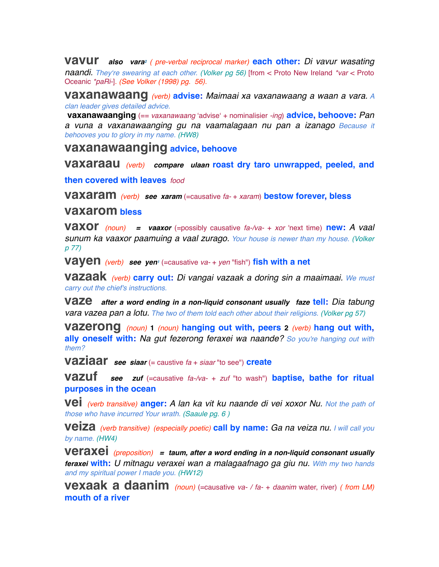**vavur** *also vara2 ( pre-verbal reciprocal marker)* **each other:** *Di vavur wasating naandi. They*ʻ*re swearing at each other. (Volker pg 56)* [from < Proto New Ireland *\*var* < Proto Oceanic *\*paRi-*]*. (See Volker (1998) pg. 56).*

**vaxanawaang** *(verb)* **advise:** *Maimaai xa vaxanawaang a waan a vara. A clan leader gives detailed advice.*

 **vaxanawaanging** (== *vaxanawaang* ʻadviseʻ + nominalisier *-ing*) **advice, behoove:** *Pan a vuna a vaxanawaanging gu na vaamalagaan nu pan a izanago Because it behooves you to glory in my name. (HW8)*

**vaxanawaanging advice, behoove**

**vaxaraau** *(verb) compare ulaan* **roast dry taro unwrapped, peeled, and** 

**then covered with leaves** *food*

**vaxaram** *(verb) see xaram* (=causative *fa-* + *xaram*) **bestow forever, bless**

#### **vaxarom bless**

**vaxor** *(noun) = vaaxor* (=possibly causative *fa-/va-* + *xor* 'next time) **new:** *A vaal sunum ka vaaxor paamuing a vaal zurago. Your house is newer than my house. (Volker p 77)*

**vayen** *(verb)* see yen<sup>*i*</sup> (=causative *va-* + *yen* "fish") fish with a net

**vazaak** *(verb)* **carry out:** *Di vangai vazaak a doring sin a maaimaai. We must carry out the chief's instructions.*

**vaze** *after a word ending in a non-liquid consonant usually faze* **tell:** *Dia tabung vara vazea pan a lotu. The two of them told each other about their religions. (Volker pg 57)*

**vazerong** *(noun)* **<sup>1</sup>** *(noun)* **hanging out with, peers <sup>2</sup>** *(verb)* **hang out with, ally oneself with:** *Na gut fezerong feraxei wa naande? So you're hanging out with them?*

**vaziaar** *see siaar* (= caustive *fa* + *siaar* "to see") **create**

**vazuf** *see zuf* (=causative *fa-/va-* + *zuf* "to wash") **baptise, bathe for ritual purposes in the ocean**

**vei** *(verb transitive)* **anger:** *A lan ka vit ku naande di vei xoxor Nu. Not the path of those who have incurred Your wrath. (Saaule pg. 6 )*

**veiza** *(verb transitive) (especially poetic)* **call by name:** *Ga na veiza nu. I will call you by name. (HW4)*

**veraxei** *(preposition) = taum, after a word ending in a non-liquid consonant usually feraxei* **with:** *U mitnagu veraxei wan a malagaafnago ga giu nu. With my two hands and my spiritual power I made you. (HW12)*

**vexaak a daanim** *(noun)* (=causative *va- / fa-* + *daanim* water, river) *( from LM)* **mouth of a river**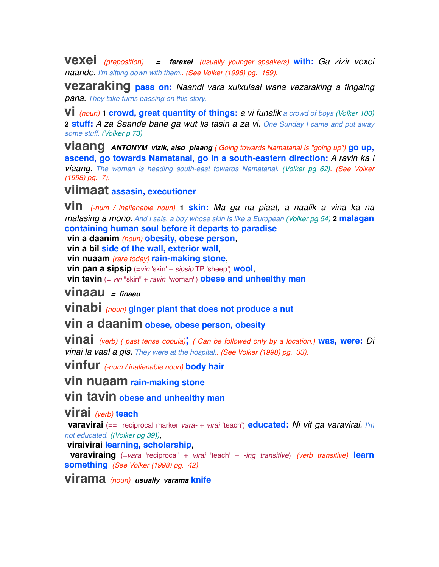**vexei** *(preposition) = feraxei (usually younger speakers)* **with:** *Ga zizir vexei naande. I'm sitting down with them.. (See Volker (1998) pg. 159).*

**vezaraking pass on:** *Naandi vara xulxulaai wana vezaraking a fingaing pana. They take turns passing on this story.*

**vi** *(noun)* **1 crowd, great quantity of things:** *a vi funalik a crowd of boys (Volker 100)* **2 stuff:** *A za Saande bane ga wut lis tasin a za vi. One Sunday I came and put away some stuff. (Volker p 73)*

**viaang** *ANTONYM vizik, also piaang ( Going towards Namatanai is "going up")* **go up, ascend, go towards Namatanai, go in a south-eastern direction:** *A ravin ka i viaang. The woman is heading south-east towards Namatanai. (Volker pg 62). (See Volker (1998) pg. 7).*

# **viimaat assasin, executioner**

**vin** *(-num / inalienable noun)* **1 skin:** *Ma ga na piaat, a naalik a vina ka na malasing a mono. And I sais, a boy whose skin is like a European (Volker pg 54)* **2 malagan containing human soul before it departs to paradise**

 **vin a daanim** *(noun)* **obesity, obese person**,

 **vin a bil side of the wall, exterior wall**,

 **vin nuaam** *(rare today)* **rain-making stone**,

 **vin pan a sipsip** (=*vin* 'skin' + *sipsip* TP 'sheep') **wool**,

 **vin tavin** (= *vin* "skin" + *ravin* "woman") **obese and unhealthy man**

**vinaau** *= finaau*

**vinabi** *(noun)* **ginger plant that does not produce a nut**

# **vin a daanim obese, obese person, obesity**

**vinai** *(verb) ( past tense copula)***;** *( Can be followed only by a location.)* **was, were:** *Di vinai la vaal a gis. They were at the hospital.. (See Volker (1998) pg. 33).*

**vinfur** *(-num / inalienable noun)* **body hair**

**vin nuaam rain-making stone**

**vin tavin obese and unhealthy man**

**virai** *(verb)* **teach**

 **varavirai** (== reciprocal marker *vara-* + *virai* 'teach') **educated:** *Ni vit ga varavirai. I'm not educated. ((Volker pg 39))*,

 **viraivirai learning, scholarship**,

 **varaviraing** (=*vara* 'reciprocal' + *virai* 'teach' + *-ing transitive*) *(verb transitive)* **learn something***. (See Volker (1998) pg. 42).*

**virama** *(noun) usually varama* **knife**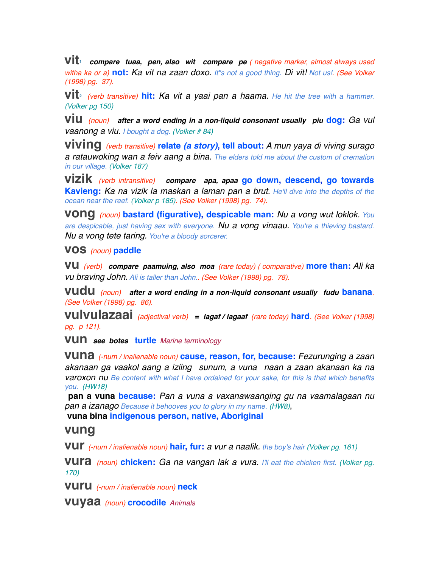**vit1** *compare tuaa, pen, also wit compare pe ( negative marker, almost always used witha ka or a)* **not:** *Ka vit na zaan doxo. It"s not a good thing. Di vit! Not us!. (See Volker (1998) pg. 37).*

**vit2** *(verb transitive)* **hit:** *Ka vit a yaai pan a haama. He hit the tree with a hammer. (Volker pg 150)*

**viu** *(noun) after a word ending in a non-liquid consonant usually piu* **dog:** *Ga vul vaanong a viu. I bought a dog. (Volker # 84)*

**viving** *(verb transitive)* **relate** *(a story)***, tell about:** *A mun yaya di viving surago a ratauwoking wan a feiv aang a bina. The elders told me about the custom of cremation in our village. (Volker 187)*

**vizik** *(verb intransitive) compare apa, apaa* **go down, descend, go towards Kavieng:** *Ka na vizik la maskan a laman pan a brut. He'll dive into the depths of the ocean near the reef. (Volker p 185). (See Volker (1998) pg. 74).*

**vong** *(noun)* **bastard (figurative), despicable man:** *Nu a vong wut loklok. You are despicable, just having sex with everyone. Nu a vong vinaau. You're a thieving bastard. Nu a vong tete taring. You're a bloody sorcerer.*

#### **vos** *(noun)* **paddle**

**vu** *(verb) compare paamuing, also moa (rare today) ( comparative)* **more than:** *Ali ka vu braving John. Ali is taller than John.. (See Volker (1998) pg. 78).*

**vudu** *(noun) after a word ending in a non-liquid consonant usually fudu* **banana***. (See Volker (1998) pg. 86).*

**vulvulazaai** *(adjectival verb) = lagaf / lagaaf (rare today)* **hard***. (See Volker (1998) pg. p 121).*

**vun** *see botes* **turtle** *Marine terminology*

**vuna** *(-num / inalienable noun)* **cause, reason, for, because:** *Fezurunging a zaan akanaan ga vaakol aang a iziing sunum, a vuna naan a zaan akanaan ka na varoxon nu Be content with what I have ordained for your sake, for this is that which benefits you. (HW18)*

 **pan a vuna because:** *Pan a vuna a vaxanawaanging gu na vaamalagaan nu pan a izanago Because it behooves you to glory in my name. (HW8)*,

 **vuna bina indigenous person, native, Aboriginal**

### **vung**

**vur** *(-num / inalienable noun)* **hair, fur:** *a vur a naalik. the boy's hair (Volker pg. 161)*

**vura** *(noun)* **chicken:** *Ga na vangan lak a vura. I'll eat the chicken first. (Volker pg. 170)*

**vuru** *(-num / inalienable noun)* **neck**

**vuyaa** *(noun)* **crocodile** *Animals*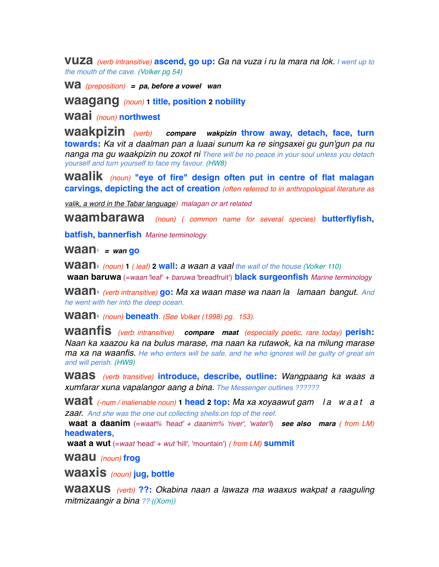**vuza** *(verb intransitive)* **ascend, go up:** *Ga na vuza i ru la mara na lok. I went up to the mouth of the cave. (Volker pg 54)*

**wa** *(preposition) = pa, before a vowel wan*

**waagang** *(noun)* **1 title, position 2 nobility**

**waai** *(noun)* **northwest**

**waakpizin** *(verb) compare wakpizin* **throw away, detach, face, turn towards:** *Ka vit a daalman pan a luaai sunum ka re singsaxei gu gun'gun pa nu nanga ma gu waakpizin nu zoxot ni There will be no peace in your soul unless you detach yourself and turn yourself to face my favour. (HW8)*

**waalik** *(noun)* **"eye of fire" design often put in centre of flat malagan carvings, depicting the act of creation** *(often referred to in anthropological literature as* 

*valik, a word in the Tabar language) malagan or art related*

**waambarawa** *(noun) ( common name for several species)* **butterflyfish,**

**batfish, bannerfish** *Marine terminology*

**waan1** *= wan* **go**

**waan2** *(noun)* **<sup>1</sup>** *( leaf)* **2 wall:** *a waan a vaal the wall of the house (Volker 110)*

 **waan baruwa** (=*waan* 'leaf' + *baruwa* 'breadfruit') **black surgeonfish** *Marine terminology*

**waan3** *(verb intransitive)* **go:** *Ma xa waan mase wa naan la lamaan bangut. And he went with her into the deep ocean.*

**waan4** *(noun)* **beneath***. (See Volker (1998) pg. 153).*

**waanfis** *(verb intransitive) compare maat (especially poetic, rare today)* **perish:** *Naan ka xaazou ka na bulus marase, ma naan ka rutawok, ka na milung marase ma xa na waanfis. He who enters will be safe, and he who ignores will be guilty of great sin and will perish. (HW9)*

**waas** *(verb transitive)* **introduce, describe, outline:** *Wangpaang ka waas a xumfarar xuna vapalangor aang a bina. The Messenger outlines ??????*

**waat** *(-num / inalienable noun)* **1 head 2 top:** *Ma xa xoyaawut gam l a w a a t a zaar. And she was the one out collecting shells.on top of the reef.*

 **waat a daanim** (=*waat% 'head' + daanim% 'river', 'water'i*) *see also mara ( from LM)* **headwaters**,

 **waat a wut** (=*waat* 'head' + *wut* 'hill', 'mountain') *( from LM)* **summit**

**waau** *(noun)* **frog**

**waaxis** *(noun)* **jug, bottle**

**waaxus** *(verb)* **??:** *Okabina naan a lawaza ma waaxus wakpat a raaguling mitmizaangir a bina ?? ((Xom))*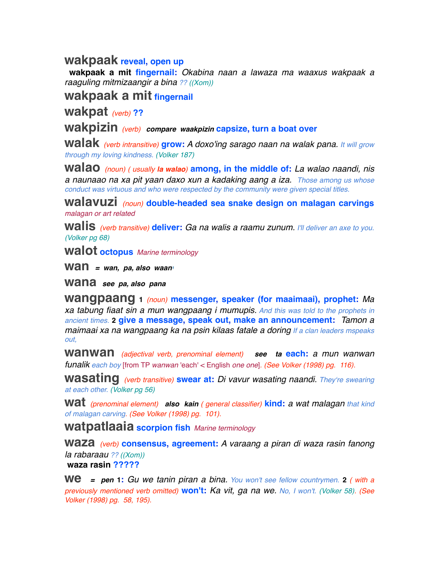## **wakpaak reveal, open up**

 **wakpaak a mit fingernail:** *Okabina naan a lawaza ma waaxus wakpaak a raaguling mitmizaangir a bina ?? ((Xom))*

**wakpaak a mit fingernail**

**wakpat** *(verb)* **??**

**wakpizin** *(verb) compare waakpizin* **capsize, turn a boat over**

**walak** *(verb intransitive)* **grow:** *A doxo'ing sarago naan na walak pana. It will grow through my loving kindness. (Volker 187)*

**walao** *(noun) ( usually la walao)* **among, in the middle of:** *La walao naandi, nis a naunaao na xa pit yaan daxo xun a kadaking aang a iza. Those among us whose conduct was virtuous and who were respected by the community were given special titles.* 

**walavuzi** *(noun)* **double-headed sea snake design on malagan carvings** *malagan or art related*

**walis** *(verb transitive)* **deliver:** *Ga na walis a raamu zunum. I'll deliver an axe to you. (Volker pg 68)*

**walot octopus** *Marine terminology*

**Wan** = wan, pa, also waan<sup>1</sup>

**wana** *see pa, also pana*

**wangpaang <sup>1</sup>** *(noun)* **messenger, speaker (for maaimaai), prophet:** *Ma xa tabung fiaat sin a mun wangpaang i mumupis. And this was told to the prophets in ancient times.* **2 give a message, speak out, make an announcement:** *Tamon a maimaai xa na wangpaang ka na psin kilaas fatale a doring If a clan leaders mspeaks out,* 

**wanwan** *(adjectival verb, prenominal element) see ta* **each:** *a mun wanwan funalik each boy* [from TP *wanwan* 'each' < English *one one*]*. (See Volker (1998) pg. 116).*

**wasating** *(verb transitive)* **swear at:** *Di vavur wasating naandi. They*ʻ*re swearing at each other. (Volker pg 56)*

**wat** *(prenominal element) also kain ( general classifier)* **kind:** *a wat malagan that kind of malagan carving. (See Volker (1998) pg. 101).*

**watpatlaaia scorpion fish** *Marine terminology*

**waza** *(verb)* **consensus, agreement:** *A varaang a piran di waza rasin fanong la rabaraau ?? ((Xom))*  **waza rasin ?????**

**we** *= pen* **1:** *Gu we tanin piran a bina. You won't see fellow countrymen.* **<sup>2</sup>** *( with a previously mentioned verb omitted)* **won't:** *Ka vit, ga na we. No, I won't. (Volker 58). (See Volker (1998) pg. 58, 195).*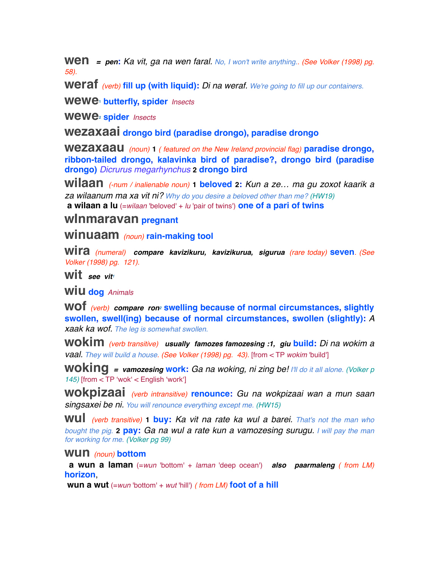**Wen** = pen: Ka vit, ga na wen faral. No, I won't write anything.. (See Volker (1998) pg. *58).*

**weraf** *(verb)* **fill up (with liquid):** *Di na weraf. We're going to fill up our containers.*

**wewe1 butterfly, spider** *Insects*

**wewe2 spider** *Insects*

**wezaxaai drongo bird (paradise drongo), paradise drongo**

**wezaxaau** *(noun)* **<sup>1</sup>** *( featured on the New Ireland provincial flag)* **paradise drongo, ribbon-tailed drongo, kalavinka bird of paradise?, drongo bird (paradise drongo)** *Dicrurus megarhynchus* **2 drongo bird**

**wilaan** *(-num / inalienable noun)* **1 beloved 2:** *Kun a ze… ma gu zoxot kaarik a za wilaanum ma xa vit ni? Why do you desire a beloved other than me? (HW19)*  **a wilaan a lu** (=*wilaan* 'beloved' + *lu* 'pair of twins') **one of a pari of twins**

### **wInmaravan pregnant**

**winuaam** *(noun)* **rain-making tool**

**wira** *(numeral) compare kavizikuru, kavizikurua, sigurua (rare today)* **seven***. (See Volker (1998) pg. 121).*

**Wit** see vit

**WIU dog** *Animals* 

**wof** *(verb) compare ron2* **swelling because of normal circumstances, slightly swollen, swell(ing) because of normal circumstances, swollen (slightly):** *A xaak ka wof. The leg is somewhat swollen.*

**wokim** *(verb transitive) usually famozes famozesing :1, giu* **build:** *Di na wokim a vaal. They will build a house. (See Volker (1998) pg. 43).* [from < TP *wokim* 'build']

**woking** *= vamozesing* **work:** *Ga na woking, ni zing be! I'll do it all alone. (Volker p 145)* [from < TP ʻwokʻ < English ʻworkʻ]

**wokpizaai** *(verb intransitive)* **renounce:** *Gu na wokpizaai wan a mun saan singsaxei be ni. You will renounce everything except me. (HW15)*

**wul** *(verb transitive)* **1 buy:** *Ka vit na rate ka wul a barei. That's not the man who bought the pig.* **2 pay:** *Ga na wul a rate kun a vamozesing surugu. I will pay the man for working for me. (Volker pg 99)*

#### **wun** *(noun)* **bottom**

 **a wun a laman** (=*wun* 'bottom' + *laman* 'deep ocean') *also paarmaleng ( from LM)* **horizon**,

 **wun a wut** (=*wun* 'bottom' + *wut* 'hill') *( from LM)* **foot of a hill**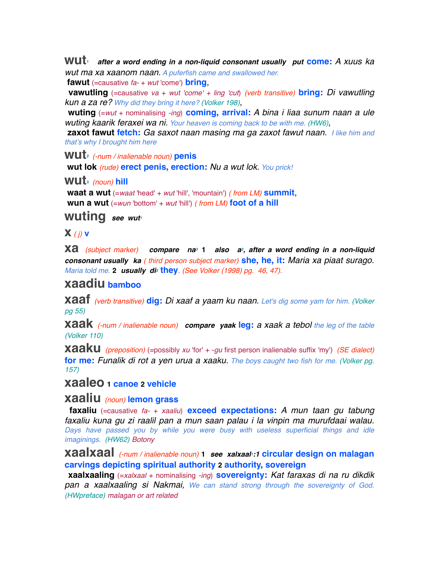**wut1** *after a word ending in a non-liquid consonant usually put* **come:** *A xuus ka wut ma xa xaanom naan. A puferfish came and swallowed her.*

 **fawut** (=causative *fa-* + *wut* 'come') **bring**,

 **vawutling** (=causative *va* + *wut 'come' + ling 'cut*) *(verb transitive)* **bring:** *Di vawutling kun a za re? Why did they bring it here? (Volker 198)*,

 **wuting** (=*wut* + nominalising *-ing*) **coming, arrival:** *A bina i liaa sunum naan a ule wuting kaarik feraxei wa ni. Your heaven is coming back to be with me. (HW6)*,

 **zaxot fawut fetch:** *Ga saxot naan masing ma ga zaxot fawut naan. I like him and that's why I brought him here*

**wut2** *(-num / inalienable noun)* **penis**

 **wut lok** *(rude)* **erect penis, erection:** *Nu a wut lok. You prick!*

**wut3** *(noun)* **hill**

 **waat a wut** (=*waat* 'head' + *wut* 'hill', 'mountain') *( from LM)* **summit**,  **wun a wut** (=*wun* 'bottom' + *wut* 'hill') *( from LM)* **foot of a hill**

**wuting** see wuti

#### **x** *( j)***<sup>v</sup>**

**xa** *(subject marker) compare na3* **<sup>1</sup>** *also a2, after a word ending in a non-liquid consonant usually ka ( third person subject marker)* **she, he, it:** *Maria xa piaat surago. Maria told me.* **2** *usually di2* **they***. (See Volker (1998) pg. 46, 47).*

## **xaadiu bamboo**

**xaaf** *(verb transitive)* **dig:** *Di xaaf a yaam ku naan. Let's dig some yam for him. (Volker pg 55)*

**xaak** *(-num / inalienable noun) compare yaak* **leg:** *a xaak a tebol the leg of the table (Volker 110)*

**xaaku** *(preposition)* (=possibly *xu* 'for' + -*gu* first person inalienable suffix 'my') *(SE dialect)* **for me:** *Funalik di rot a yen urua a xaaku. The boys caught two fish for me. (Volker pg. 157)*

**xaaleo 1 canoe 2 vehicle**

#### **xaaliu** *(noun)* **lemon grass**

 **faxaliu** (=causative *fa-* + *xaaliu*) **exceed expectations:** *A mun taan gu tabung faxaliu kuna gu zi raalil pan a mun saan palau i la vinpin ma murufdaai walau. Days have passed you by while you were busy with useless superficial things and idle imaginings. (HW62) Botony*

**xaalxaal** *(-num / inalienable noun)* **<sup>1</sup>** *see xalxaal1:1* **circular design on malagan carvings depicting spiritual authority 2 authority, sovereign**

 **xaalxaaling** (=*xalxaal* + nominalising *-ing*) **sovereignty:** *Kat faraxas di na ru dikdik pan a xaalxaaling si Nakmai, We can stand strong through the sovereignty of God. (HWpreface) malagan or art related*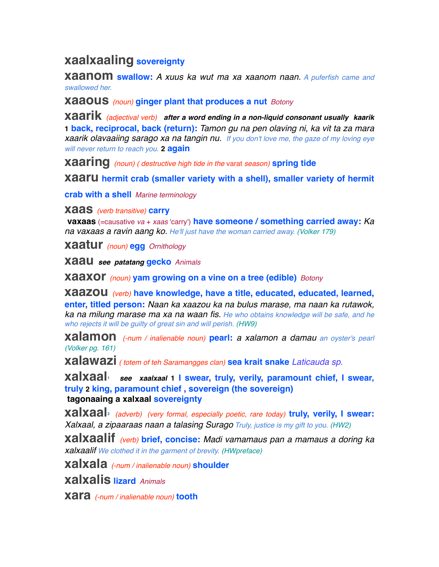# **xaalxaaling sovereignty**

**xaanom swallow:** *A xuus ka wut ma xa xaanom naan. A puferfish came and swallowed her.*

**xaaous** *(noun)* **ginger plant that produces a nut** *Botony*

**xaarik** *(adjectival verb) after a word ending in a non-liquid consonant usually kaarik* **1 back, reciprocal, back (return):** *Tamon gu na pen olaving ni, ka vit ta za mara xaarik olavaaiing sarago xa na tangin nu. If you don't love me, the gaze of my loving eye will never return to reach you.* **2 again**

**xaaring** *(noun) ( destructive high tide in the* varat *season)* **spring tide**

**xaaru hermit crab (smaller variety with a shell), smaller variety of hermit** 

**crab with a shell** *Marine terminology*

**xaas** *(verb transitive)* **carry**

 **vaxaas** (=causative *va* + *xaas* 'carry') **have someone / something carried away:** *Ka na vaxaas a ravin aang ko. He'll just have the woman carried away. (Volker 179)*

**xaatur** *(noun)* **egg** *Ornithology*

**xaau** *see patatang* **gecko** *Animals* 

**xaaxor** *(noun)* **yam growing on a vine on a tree (edible)** *Botony*

**xaazou** *(verb)* **have knowledge, have a title, educated, educated, learned, enter, titled person:** *Naan ka xaazou ka na bulus marase, ma naan ka rutawok, ka na milung marase ma xa na waan fis. He who obtains knowledge will be safe, and he who rejects it will be guilty of great sin and will perish. (HW9)*

**xalamon** *(-num / inalienable noun)* **pearl:** *a xalamon a damau an oyster's pearl (Volker pg. 161)*

**xalawazi** *( totem of teh Saramangges clan)* **sea krait snake** *Laticauda sp.*

**xalxaal1** *see xaalxaal* **1 I swear, truly, verily, paramount chief, I swear, truly 2 king, paramount chief , sovereign (the sovereign) tagonaaing a xalxaal sovereignty**

**xalxaal2** *(adverb) (very formal, especially poetic, rare today)* **truly, verily, I swear:** *Xalxaal, a zipaaraas naan a talasing Surago Truly, justice is my gift to you. (HW2)*

**xalxaalif** *(verb)* **brief, concise:** *Madi vamamaus pan a mamaus a doring ka xalxaalif We clothed it in the garment of brevity. (HWpreface)*

**xalxala** *(-num / inalienable noun)* **shoulder**

**xalxalis lizard** *Animals* 

**xara** *(-num / inalienable noun)* **tooth**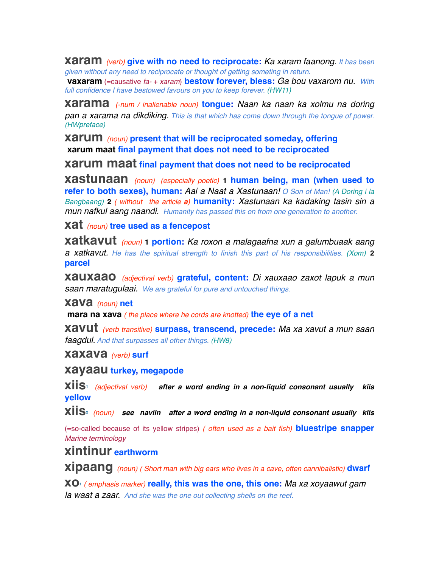**xaram** *(verb)* **give with no need to reciprocate:** *Ka xaram faanong. It has been given without any need to reciprocate or thought of getting someting in return.* 

 **vaxaram** (=causative *fa-* + *xaram*) **bestow forever, bless:** *Ga bou vaxarom nu. With full confidence I have bestowed favours on you to keep forever. (HW11)*

**xarama** *(-num / inalienable noun)* **tongue:** *Naan ka naan ka xolmu na doring pan a xarama na dikdiking. This is that which has come down through the tongue of power. (HWpreface)*

**xarum** *(noun)* **present that will be reciprocated someday, offering xarum maat final payment that does not need to be reciprocated**

**xarum maat final payment that does not need to be reciprocated**

**xastunaan** *(noun) (especially poetic)* **1 human being, man (when used to refer to both sexes), human:** *Aai a Naat a Xastunaan! O Son of Man! (A Doring i la Bangbaang)* **2** *( without the article a)* **humanity:** *Xastunaan ka kadaking tasin sin a mun nafkul aang naandi. Humanity has passed this on from one generation to another.* 

**xat** *(noun)* **tree used as a fencepost**

**xatkavut** *(noun)* **1 portion:** *Ka roxon a malagaafna xun a galumbuaak aang a xatkavut. He has the spiritual strength to finish this part of his responsibilities. (Xom)* **2 parcel**

**xauxaao** *(adjectival verb)* **grateful, content:** *Di xauxaao zaxot lapuk a mun saan maratugulaai. We are grateful for pure and untouched things.*

**xava** *(noun)* **net**

 **mara na xava** *( the place where he cords are knotted)* **the eye of a net**

**xavut** *(verb transitive)* **surpass, transcend, precede:** *Ma xa xavut a mun saan faagdul. And that surpasses all other things. (HW8)*

**xaxava** *(verb)* **surf**

**xayaau turkey, megapode**

**xiis1** *(adjectival verb) after a word ending in a non-liquid consonant usually kiis* **yellow**

**xiis2** *(noun) see naviin after a word ending in a non-liquid consonant usually kiis*

(=so-called because of its yellow stripes) *( often used as a bait fish)* **bluestripe snapper** *Marine terminology*

# **xintinur earthworm**

**xipaang** *(noun) ( Short man with big ears who lives in a cave, often cannibalistic)* **dwarf**

**xo1** *( emphasis marker)* **really, this was the one, this one:** *Ma xa xoyaawut gam la waat a zaar. And she was the one out collecting shells on the reef.*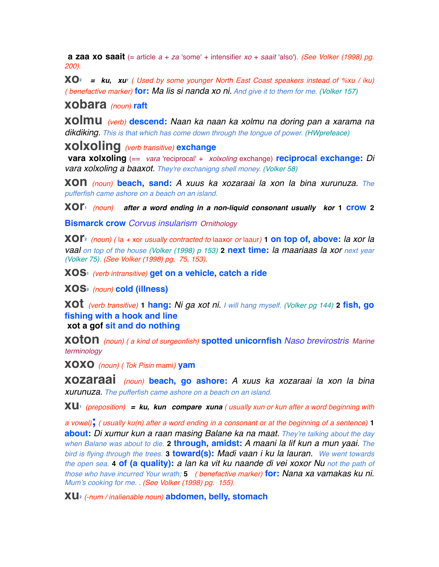**a zaa xo saait** (= article *a* + *za* 'some' + intensifier *xo* + *saait* 'also')*. (See Volker (1998) pg. 200).*

 $XO<sup>2</sup>$  = ku, xu<sup>1</sup> ( Used by some younger North East Coast speakers instead of %xu / iku) *( benefactive marker)* **for:** *Ma lis si nanda xo ni. And give it to them for me. (Volker 157)*

**xobara** *(noun)* **raft**

**xolmu** *(verb)* **descend:** *Naan ka naan ka xolmu na doring pan a xarama na dikdiking. This is that which has come down through the tongue of power. (HWprefeace)*

**xolxoling** *(verb transitive)* **exchange**

 **vara xolxoling** (== *vara* 'reciprocal' + *xolxoling* exchange) **reciprocal exchange:** *Di vara xolxoling a baaxot. They're exchanigng shell money. (Volker 58)*

**xon** *(noun)* **beach, sand:** *A xuus ka xozaraai la xon la bina xurunuza. The pufferfish came ashore on a beach on an island.*

**xor1** *(noun) after a word ending in a non-liquid consonant usually kor* **1 crow <sup>2</sup>**

**Bismarck crow** *Corvus insularism Ornithology*

**xor2** *(noun) (* la *+* xor *usually contracted to* laaxor *or* laaur*)* **1 on top of, above:** *la xor la vaal on top of the house (Volker (1998) p 153)* **2 next time:** *la maariaas la xor next year (Volker 75). (See Volker (1998) pg. 75, 153).*

**xos1** *(verb intransitive)* **get on a vehicle, catch a ride**

**xos2** *(noun)* **cold (illness)**

**xot** *(verb transitive)* **1 hang:** *Ni ga xot ni. I will hang myself. (Volker pg 144)* **2 fish, go fishing with a hook and line xot a gof sit and do nothing**

**xoton** *(noun) ( a kind of surgeonfish)* **spotted unicornfish** *Naso brevirostris Marine terminology*

**xoxo** *(noun) ( Tok Pisin* mami*)* **yam**

**xozaraai** *(noun)* **beach, go ashore:** *A xuus ka xozaraai la xon la bina xurunuza. The pufferfish came ashore on a beach on an island.*

**xu1** *(preposition) = ku, kun compare xuna ( usually xun or kun after a word beginning with* 

*a vowel)***;** *( usually ku(n) after a word ending in a consonant or at the beginning of a sentence)* **<sup>1</sup> about:** *Di xumur kun a raan masing Balane ka na maat. They're talking about the day when Balane was about to die.* **2 through, amidst:** *A maani la lif kun a mun yaai. The bird is flying through the trees.* **3 toward(s):** *Madi vaan i ku la lauran. We went towards the open sea.* **4 of (a quality):** *a lan ka vit ku naande di vei xoxor Nu not the path of those who have incurred Your wrath;* **5** *( benefactive marker)* **for:** *Nana xa vamakas ku ni. Mum's cooking for me. . (See Volker (1998) pg. 155).*

**xu2** *(-num / inalienable noun)* **abdomen, belly, stomach**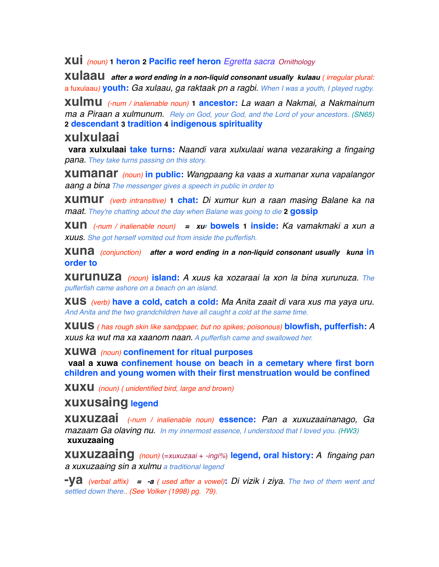## **xui** *(noun)* **1 heron 2 Pacific reef heron** *Egretta sacra Ornithology*

**xulaau** *after a word ending in a non-liquid consonant usually kulaau ( irregular plural:*  a fuxulaau*)* **youth:** *Ga xulaau, ga raktaak pn a ragbi. When I was a youth, I played rugby.*

**xulmu** *(-num / inalienable noun)* **1 ancestor:** *La waan a Nakmai, a Nakmainum ma a Piraan a xulmunum. Rely on God, your God, and the Lord of your ancestors. (SN65)* **2 descendant 3 tradition 4 indigenous spirituality**

## **xulxulaai**

 **vara xulxulaai take turns:** *Naandi vara xulxulaai wana vezaraking a fingaing pana. They take turns passing on this story.*

**xumanar** *(noun)* **in public:** *Wangpaang ka vaas a xumanar xuna vapalangor aang a bina The messenger gives a speech in public in order to* 

**xumur** *(verb intransitive)* **1 chat:** *Di xumur kun a raan masing Balane ka na maat. They're chatting about the day when Balane was going to die* **2 gossip**

**xun** *(-num / inalienable noun) = xu2* **bowels 1 inside:** *Ka vamakmaki a xun a xuus. She got herself vomited out from inside the pufferfish.*

**xuna** *(conjunction) after a word ending in a non-liquid consonant usually kuna* **in order to**

**xurunuza** *(noun)* **island:** *A xuus ka xozaraai la xon la bina xurunuza. The pufferfish came ashore on a beach on an island.*

**xus** *(verb)* **have a cold, catch a cold:** *Ma Anita zaait di vara xus ma yaya uru. And Anita and the two grandchildren have all caught a cold at the same time.*

**xuus** *( has rough skin like sandppaer, but no spikes; poisonous)* **blowfish, pufferfish:***<sup>A</sup> xuus ka wut ma xa xaanom naan. A pufferfish came and swallowed her.*

**xuwa** *(noun)* **confinement for ritual purposes**

 **vaal a xuwa confinement house on beach in a cemetary where first born children and young women with their first menstruation would be confined**

**xuxu** *(noun) ( unidentified bird, large and brown)*

## **xuxusaing legend**

**xuxuzaai** *(-num / inalienable noun)* **essence:** *Pan a xuxuzaainanago, Ga mazaam Ga olaving nu. In my innermost essence, I understood that I loved you. (HW3)*  **xuxuzaaing**

**xuxuzaaing** *(noun)* (=*xuxuzaai* + *-ingi%*) **legend, oral history:** *A fingaing pan a xuxuzaaing sin a xulmu a traditional legend*

**-ya** *(verbal affix) = -a ( used after a vowel)***:** *Di vizik i ziya. The two of them went and settled down there.. (See Volker (1998) pg. 79).*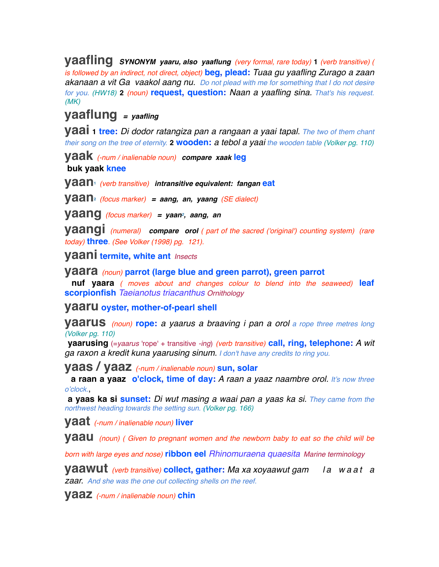**yaafling** *SYNONYM yaaru, also yaaflung (very formal, rare today)* **<sup>1</sup>** *(verb transitive) ( is followed by an indirect, not direct, object)* **beg, plead:** *Tuaa gu yaafling Zurago a zaan akanaan a vit Ga vaakol aang nu. Do not plead with me for something that I do not desire for you. (HW18)* **2** *(noun)* **request, question:** *Naan a yaafling sina. That's his request. (MK)*

## **yaaflung** *= yaafling*

**yaai 1 tree:** *Di dodor ratangiza pan a rangaan a yaai tapal. The two of them chant their song on the tree of eternity.* **2 wooden:** *a tebol a yaai the wooden table (Volker pg. 110)*

**yaak** *(-num / inalienable noun) compare xaak* **leg buk yaak knee**

**yaan1** *(verb transitive) intransitive equivalent: fangan* **eat**

**yaan2** *(focus marker) = aang, an, yaang (SE dialect)*

**yaang** *(focus marker) = yaan2, aang, an*

**yaangi** *(numeral) compare orol ( part of the sacred ('original') counting system) (rare today)* **three***. (See Volker (1998) pg. 121).*

**yaani termite, white ant** *Insects*

**yaara** *(noun)* **parrot (large blue and green parrot), green parrot**

 **nuf yaara** *( moves about and changes colour to blend into the seaweed)* **leaf scorpionfish** *Taeianotus triacanthus Ornithology*

**yaaru oyster, mother-of-pearl shell**

**yaarus** *(noun)* **rope:** *a yaarus a braaving i pan a orol a rope three metres long (Volker pg. 110)*

 **yaarusing** (=*yaarus* 'rope' + transitive *-ing*) *(verb transitive)* **call, ring, telephone:** *A wit ga raxon a kredit kuna yaarusing sinum. I don't have any credits to ring you.*

**yaas / yaaz** *(-num / inalienable noun)* **sun, solar**

 **a raan a yaaz o'clock, time of day:** *A raan a yaaz naambre orol. It's now three o'clock.*,

 **a yaas ka si sunset:** *Di wut masing a waai pan a yaas ka si. They came from the northwest heading towards the setting sun. (Volker pg. 166)*

**yaat** *(-num / inalienable noun)* **liver**

**Vaau** (noun) (Given to pregnant women and the newborn baby to eat so the child will be

*born with large eyes and nose)* **ribbon eel** *Rhinomuraena quaesita Marine terminology*

**yaawut** *(verb transitive)* **collect, gather:** *Ma xa xoyaawut gam l a w a a t a zaar. And she was the one out collecting shells on the reef.*

**yaaz** *(-num / inalienable noun)* **chin**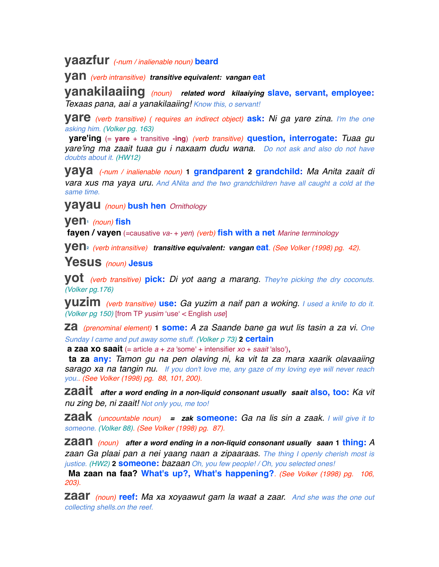## **yaazfur** *(-num / inalienable noun)* **beard**

**yan** *(verb intransitive) transitive equivalent: vangan* **eat**

**yanakilaaiing** *(noun) related word kilaaiying* **slave, servant, employee:** *Texaas pana, aai a yanakilaaiing! Know this, o servant!*

**yare** *(verb transitive) ( requires an indirect object)* **ask:** *Ni ga yare zina. I'm the one asking him. (Volker pg. 163)*

 **yare'ing** (= **yare** + transitive **-ing**) *(verb transitive)* **question, interrogate:** *Tuaa gu yare'ing ma zaait tuaa gu i naxaam dudu wana. Do not ask and also do not have doubts about it. (HW12)*

**yaya** *(-num / inalienable noun)* **1 grandparent 2 grandchild:** *Ma Anita zaait di vara xus ma yaya uru. And ANita and the two grandchildren have all caught a cold at the same time.*

**yayau** *(noun)* **bush hen** *Ornithology*

**yen1** *(noun)* **fish**

 **fayen / vayen** (=causative *va-* + *yen*) *(verb)* **fish with a net** *Marine terminology*

**yen2** *(verb intransitive) transitive equivalent: vangan* **eat***. (See Volker (1998) pg. 42).*

**Yesus** *(noun)* **Jesus**

**yot** *(verb transitive)* **pick:** *Di yot aang a marang. They're picking the dry coconuts. (Volker pg.176)*

**yuzim** *(verb transitive)* **use:** *Ga yuzim a naif pan a woking. I used a knife to do it. (Volker pg 150)* [from TP *yusim* ʻuseʻ < English *use*]

**za** *(prenominal element)* **1 some:** *A za Saande bane ga wut lis tasin a za vi. One Sunday I came and put away some stuff. (Volker p 73)* **2 certain**

**a zaa xo saait** (= article  $a + za$  'some' + intensifier  $xo + saait$  'also'),

 **ta za any:** *Tamon gu na pen olaving ni, ka vit ta za mara xaarik olavaaiing sarago xa na tangin nu. If you don't love me, any gaze of my loving eye will never reach you.. (See Volker (1998) pg. 88, 101, 200).*

**zaait** *after a word ending in a non-liquid consonant usually saait* **also, too:** *Ka vit nu zing be, ni zaait! Not only you, me too!*

**zaak** *(uncountable noun) = zak* **someone:** *Ga na lis sin a zaak. I will give it to someone. (Volker 88). (See Volker (1998) pg. 87).*

**zaan** *(noun) after a word ending in a non-liquid consonant usually saan* **1 thing:***<sup>A</sup> zaan Ga plaai pan a nei yaang naan a zipaaraas. The thing I openly cherish most is justice. (HW2)* **2 someone:** *bazaan Oh, you few people! / Oh, you selected ones!*

 **Ma zaan na faa? What's up?, What's happening?***. (See Volker (1998) pg. 106, 203).*

**zaar** *(noun)* **reef:** *Ma xa xoyaawut gam la waat a zaar. And she was the one out collecting shells.on the reef.*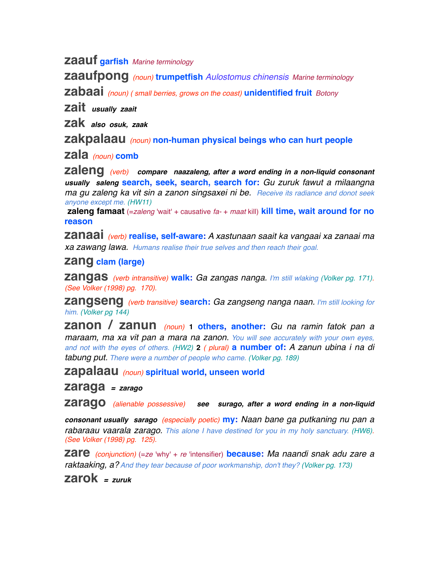**zaauf garfish** *Marine terminology*

**zaaufpong** *(noun)* **trumpetfish** *Aulostomus chinensis Marine terminology*

**zabaai** *(noun) ( small berries, grows on the coast)* **unidentified fruit** *Botony*

**zait** *usually zaait*

**zak** *also osuk, zaak*

**zakpalaau** *(noun)* **non-human physical beings who can hurt people**

**zala** *(noun)* **comb**

**zaleng** *(verb) compare naazaleng, after a word ending in a non-liquid consonant usually saleng* **search, seek, search, search for:** *Gu zuruk fawut a milaangna ma gu zaleng ka vit sin a zanon singsaxei ni be. Receive its radiance and donot seek anyone except me. (HW11)*

 **zaleng famaat** (=*zaleng* 'wait' + causative *fa-* + *maat* kill) **kill time, wait around for no reason**

**zanaai** *(verb)* **realise, self-aware:** *A xastunaan saait ka vangaai xa zanaai ma xa zawang lawa. Humans realise their true selves and then reach their goal.*

#### **zang clam (large)**

**zangas** *(verb intransitive)* **walk:** *Ga zangas nanga. I'm still wlaking (Volker pg. 171). (See Volker (1998) pg. 170).*

**zangseng** *(verb transitive)* **search:** *Ga zangseng nanga naan. I'm still looking for him. (Volker pg 144)*

**zanon / zanun** *(noun)* **1 others, another:** *Gu na ramin fatok pan a maraam, ma xa vit pan a mara na zanon. You will see accurately with your own eyes, and not with the eyes of others. (HW2)* **2** *( plural)* **a number of:** *A zanun ubina i na di tabung put. There were a number of people who came. (Volker pg. 189)*

**zapalaau** *(noun)* **spiritual world, unseen world**

**zaraga** *= zarago*

**zarago** *(alienable possessive) see surago, after a word ending in a non-liquid* 

*consonant usually sarago (especially poetic)* **my:** *Naan bane ga putkaning nu pan a rabaraau vaarala zarago. This alone I have destined for you in my holy sanctuary. (HW6). (See Volker (1998) pg. 125).*

**zare** *(conjunction)* (=*ze* 'why' + *re* 'intensifier) **because:** *Ma naandi snak adu zare a raktaaking, a? And they tear because of poor workmanship, don't they? (Volker pg. 173)*

**zarok** *= zuruk*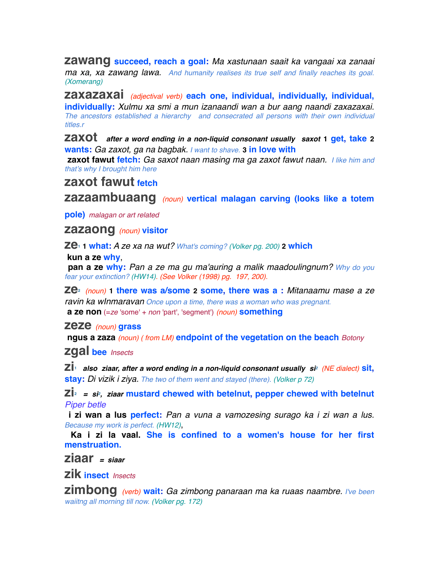**zawang succeed, reach a goal:** *Ma xastunaan saait ka vangaai xa zanaai ma xa, xa zawang lawa. And humanity realises its true self and finally reaches its goal. (Xomerang)*

**zaxazaxai** *(adjectival verb)* **each one, individual, individually, individual, individually:** *Xulmu xa smi a mun izanaandi wan a bur aang naandi zaxazaxai. The ancestors established a hierarchy and consecrated all persons with their own individual titles.r*

**zaxot** *after a word ending in a non-liquid consonant usually saxot* **1 get, take <sup>2</sup> wants:** *Ga zaxot, ga na bagbak. I want to shave.* **3 in love with**

 **zaxot fawut fetch:** *Ga saxot naan masing ma ga zaxot fawut naan. I like him and that's why I brought him here*

## **zaxot fawut fetch**

**zazaambuaang** *(noun)* **vertical malagan carving (looks like a totem** 

**pole)** *malagan or art related*

**zazaong** *(noun)* **visitor**

**ze1 1 what:** *A ze xa na wut? What's coming? (Volker pg. 200)* **2 which**

 **kun a ze why**,

 **pan a ze why:** *Pan a ze ma gu ma'auring a malik maadoulingnum? Why do you fear your extinction? (HW14). (See Volker (1998) pg. 197, 200).*

**ze2** *(noun)* **1 there was a/some 2 some, there was a :** *Mitanaamu mase a ze ravin ka wInmaravan Once upon a time, there was a woman who was pregnant.*  **a ze non** (=*ze* 'some' + *non* 'part', 'segment') *(noun)* **something**

**zeze** *(noun)* **grass**

 **ngus a zaza** *(noun) ( from LM)* **endpoint of the vegetation on the beach** *Botony*

**zgal bee** *Insects*

**zi1** *also ziaar, after a word ending in a non-liquid consonant usually si2 (NE dialect)* **sit, stay:** *Di vizik i ziya. The two of them went and stayed (there). (Volker p 72)*

 $\mathbb{Z}I_2$  = si<sub>2</sub>, ziaar mustard chewed with betelnut, pepper chewed with betelnut *Piper betle*

 **i zi wan a lus perfect:** *Pan a vuna a vamozesing surago ka i zi wan a lus. Because my work is perfect. (HW12)*,

 **Ka i zi la vaal. She is confined to a women's house for her first menstruation.**

**ziaar** *= siaar*

**zik insect** *Insects*

**zimbong** *(verb)* **wait:** *Ga zimbong panaraan ma ka ruaas naambre. I've been waiitng all morning till now. (Volker pg. 172)*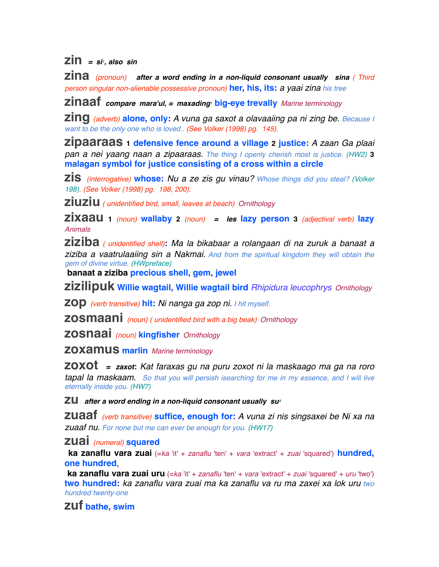$\overline{zin}$  =  $\sin$ , also  $\sin$ 

**zina** *(pronoun) after a word ending in a non-liquid consonant usually sina ( Third person singular non-alienable possessive pronoun)* **her, his, its:** *a yaai zina his tree*

**zinaaf** *compare mara'ul, = maxading1* **big-eye trevally** *Marine terminology*

**zing** *(adverb)* **alone, only:** *A vuna ga saxot a olavaaiing pa ni zing be. Because I want to be the only one who is loved.. (See Volker (1998) pg. 145).*

**zipaaraas 1 defensive fence around a village 2 justice:** *A zaan Ga plaai pan a nei yaang naan a zipaaraas. The thing I openly cherish most is justice. (HW2)* **3 malagan symbol for justice consisting of a cross within a circle**

**zis** *(interrogative)* **whose:** *Nu a ze zis gu vinau? Whose things did you steal? (Volker 198). (See Volker (1998) pg. 198, 200).*

**ziuziu** *( unidentified bird, small, leaves at beach) Ornithology*

**zixaau <sup>1</sup>** *(noun)* **wallaby <sup>2</sup>** *(noun) = les* **lazy person <sup>3</sup>** *(adjectival verb)* **lazy**  *Animals* 

**ziziba** *( unidentified shell)***:** *Ma la bikabaar a rolangaan di na zuruk a banaat a ziziba a vaatrulaaiing sin a Nakmai. And from the spiritual kingdom they will obtain the gem of divine virtue. (HWpreface)*

 **banaat a ziziba precious shell, gem, jewel**

**zizilipuk Willie wagtail, Willie wagtail bird** *Rhipidura leucophrys Ornithology*

**zop** *(verb transitive)* **hit:** *Ni nanga ga zop ni. I hit myself.*

**zosmaani** *(noun) ( unidentified bird with a big beak) Ornithology*

**zosnaai** *(noun)* **kingfisher** *Ornithology*

**zoxamus marlin** *Marine terminology*

**zoxot** *= zaxot***:** *Kat faraxas gu na puru zoxot ni la maskaago ma ga na roro tapal la maskaam. So that you will persish isearching for me in my essence, and I will live eternally inside you. (HW7)*

**ZU** after a word ending in a non-liquid consonant usually su<sup>4</sup>

**zuaaf** *(verb transitive)* **suffice, enough for:** *A vuna zi nis singsaxei be Ni xa na zuaaf nu. For none but me can ever be enough for you. (HW17)*

**zuai** *(numeral)* **squared**

 **ka zanaflu vara zuai** (=*ka* 'it' + *zanaflu* 'ten' + *vara* 'extract' + *zuai* 'squared') **hundred, one hundred**,

 **ka zanaflu vara zuai uru** (=*ka* 'it' + *zanaflu* 'ten' + *vara* 'extract' + *zuai* 'squared' + *uru* 'two') **two hundred:** *ka zanaflu vara zuai ma ka zanaflu va ru ma zaxei xa lok uru two hundred twenty-one*

**zuf bathe, swim**